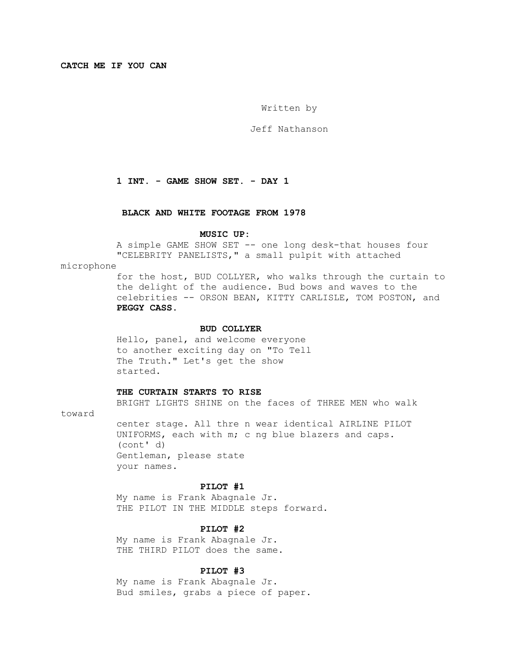**CATCH ME IF YOU CAN**

Written by

Jeff Nathanson

# **1 INT. - GAME SHOW SET. - DAY 1**

## **BLACK AND WHITE FOOTAGE FROM 1978**

#### **MUSIC UP:**

 A simple GAME SHOW SET -- one long desk-that houses four "CELEBRITY PANELISTS," a small pulpit with attached

microphone

 for the host, BUD COLLYER, who walks through the curtain to the delight of the audience. Bud bows and waves to the celebrities -- ORSON BEAN, KITTY CARLISLE, TOM POSTON, and  **PEGGY CASS.**

#### **BUD COLLYER**

 Hello, panel, and welcome everyone to another exciting day on "To Tell The Truth." Let's get the show started.

#### **THE CURTAIN STARTS TO RISE**

BRIGHT LIGHTS SHINE on the faces of THREE MEN who walk

toward

 center stage. All thre n wear identical AIRLINE PILOT UNIFORMS, each with m; c ng blue blazers and caps. (cont' d) Gentleman, please state your names.

### **PILOT #1**

 My name is Frank Abagnale Jr. THE PILOT IN THE MIDDLE steps forward.

# **PILOT #2**

 My name is Frank Abagnale Jr. THE THIRD PILOT does the same.

### **PILOT #3**

 My name is Frank Abagnale Jr. Bud smiles, grabs a piece of paper.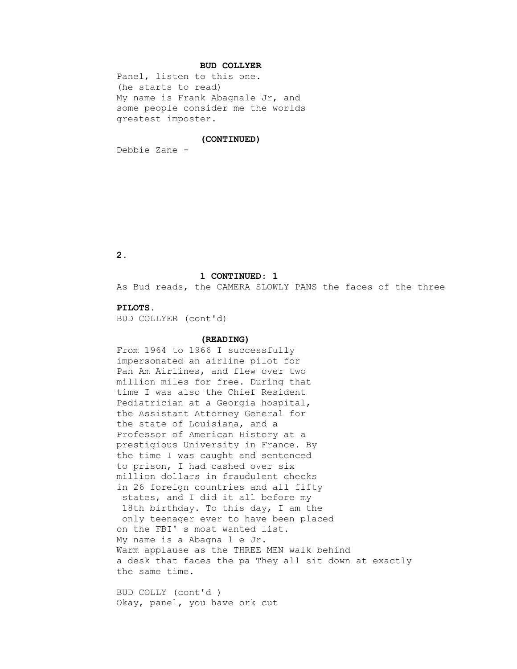# **BUD COLLYER**

 Panel, listen to this one. (he starts to read) My name is Frank Abagnale Jr, and some people consider me the worlds greatest imposter.

## **(CONTINUED)**

Debbie Zane -

 **2.**

### **1 CONTINUED: 1**

As Bud reads, the CAMERA SLOWLY PANS the faces of the three

#### **PILOTS.**

BUD COLLYER (cont'd)

# **(READING)**

 From 1964 to 1966 I successfully impersonated an airline pilot for Pan Am Airlines, and flew over two million miles for free. During that time I was also the Chief Resident Pediatrician at a Georgia hospital, the Assistant Attorney General for the state of Louisiana, and a Professor of American History at a prestigious University in France. By the time I was caught and sentenced to prison, I had cashed over six million dollars in fraudulent checks in 26 foreign countries and all fifty states, and I did it all before my 18th birthday. To this day, I am the only teenager ever to have been placed on the FBI' s most wanted list. My name is a Abagna l e Jr. Warm applause as the THREE MEN walk behind a desk that faces the pa They all sit down at exactly the same time.

 BUD COLLY (cont'd ) Okay, panel, you have ork cut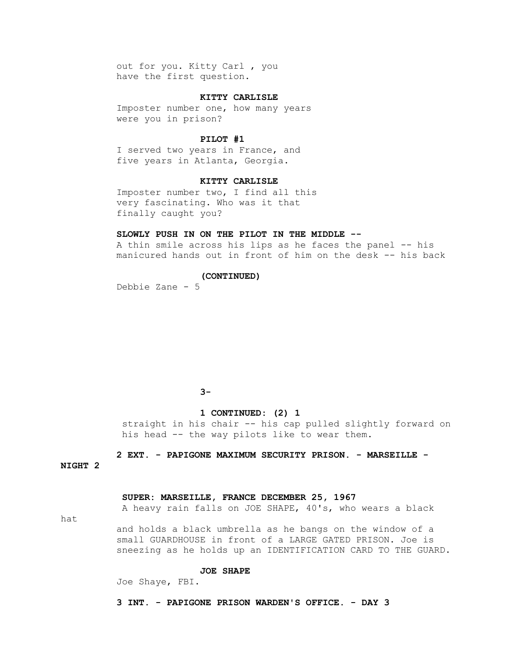out for you. Kitty Carl , you have the first question.

# **KITTY CARLISLE**

 Imposter number one, how many years were you in prison?

### **PILOT #1**

 I served two years in France, and five years in Atlanta, Georgia.

### **KITTY CARLISLE**

 Imposter number two, I find all this very fascinating. Who was it that finally caught you?

# **SLOWLY PUSH IN ON THE PILOT IN THE MIDDLE --**

 A thin smile across his lips as he faces the panel -- his manicured hands out in front of him on the desk -- his back

#### **(CONTINUED)**

Debbie Zane - 5

# **3−** 3−

## **1 CONTINUED: (2) 1**

 straight in his chair -- his cap pulled slightly forward on his head -- the way pilots like to wear them.

 **2 EXT. - PAPIGONE MAXIMUM SECURITY PRISON. - MARSEILLE -**

**NIGHT 2** 

## **SUPER: MARSEILLE, FRANCE DECEMBER 25, 1967**

A heavy rain falls on JOE SHAPE, 40's, who wears a black

hat

 and holds a black umbrella as he bangs on the window of a small GUARDHOUSE in front of a LARGE GATED PRISON. Joe is sneezing as he holds up an IDENTIFICATION CARD TO THE GUARD.

# **JOE SHAPE**

Joe Shaye, FBI.

### **3 INT. - PAPIGONE PRISON WARDEN'S OFFICE. - DAY 3**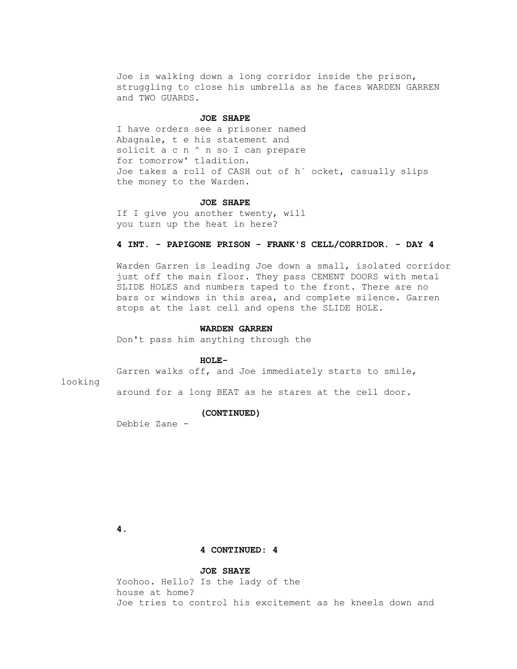Joe is walking down a long corridor inside the prison, struggling to close his umbrella as he faces WARDEN GARREN and TWO GUARDS.

#### **JOE SHAPE**

 I have orders see a prisoner named Abagnale, t e his statement and solicit a c n ^ n so I can prepare for tomorrow' tladition. Joe takes a roll of CASH out of h` ocket, casually slips the money to the Warden.

#### **JOE SHAPE**

 If I give you another twenty, will you turn up the heat in here?

## **4 INT. - PAPIGONE PRISON - FRANK'S CELL/CORRIDOR. - DAY 4**

 Warden Garren is leading Joe down a small, isolated corridor just off the main floor. They pass CEMENT DOORS with metal SLIDE HOLES and numbers taped to the front. There are no bars or windows in this area, and complete silence. Garren stops at the last cell and opens the SLIDE HOLE.

### **WARDEN GARREN**

Don't pass him anything through the

#### **HOLE-**

Garren walks off, and Joe immediately starts to smile,

# looking

around for a long BEAT as he stares at the cell door.

### **(CONTINUED)**

Debbie Zane -

 **4.**

### **4 CONTINUED: 4**

## **JOE SHAYE**

 Yoohoo. Hello? Is the lady of the house at home? Joe tries to control his excitement as he kneels down and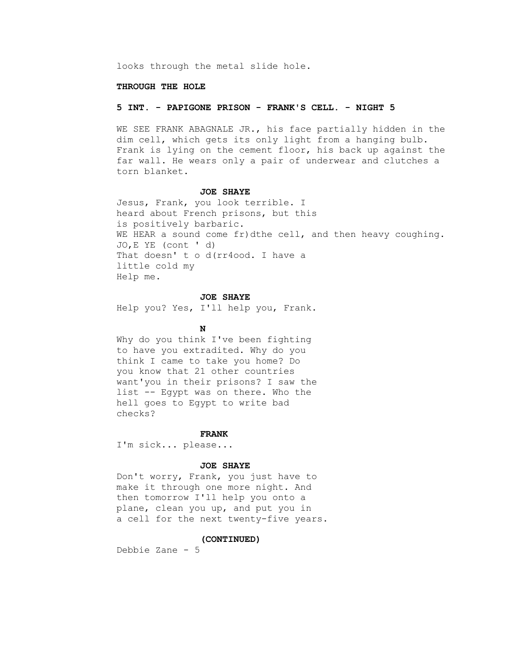looks through the metal slide hole.

#### **THROUGH THE HOLE**

### **5 INT. - PAPIGONE PRISON - FRANK'S CELL. - NIGHT 5**

 WE SEE FRANK ABAGNALE JR., his face partially hidden in the dim cell, which gets its only light from a hanging bulb. Frank is lying on the cement floor, his back up against the far wall. He wears only a pair of underwear and clutches a torn blanket.

#### **JOE SHAYE**

 Jesus, Frank, you look terrible. I heard about French prisons, but this is positively barbaric. WE HEAR a sound come fr)dthe cell, and then heavy coughing. JO,E YE (cont ' d) That doesn't o d(rr4ood. I have a little cold my Help me.

# **JOE SHAYE**

Help you? Yes, I'll help you, Frank.

# **N**

 Why do you think I've been fighting to have you extradited. Why do you think I came to take you home? Do you know that 21 other countries want'you in their prisons? I saw the list -- Egypt was on there. Who the hell goes to Egypt to write bad checks?

#### **FRANK**

I'm sick... please...

#### **JOE SHAYE**

 Don't worry, Frank, you just have to make it through one more night. And then tomorrow I'll help you onto a plane, clean you up, and put you in a cell for the next twenty-five years.

#### **(CONTINUED)**

Debbie Zane - 5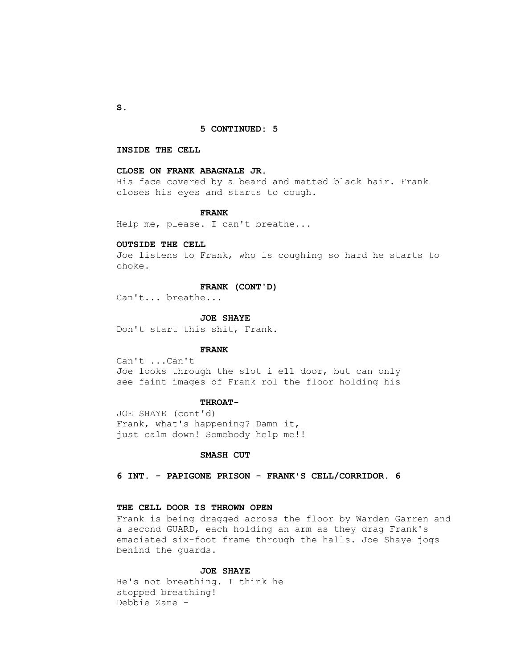#### **5 CONTINUED: 5**

### **INSIDE THE CELL**

# **CLOSE ON FRANK ABAGNALE JR.**

 His face covered by a beard and matted black hair. Frank closes his eyes and starts to cough.

#### **FRANK**

Help me, please. I can't breathe...

#### **OUTSIDE THE CELL**

 Joe listens to Frank, who is coughing so hard he starts to choke.

#### **FRANK (CONT'D)**

Can't... breathe...

 **JOE SHAYE**

Don't start this shit, Frank.

#### **FRANK**

 Can't ...Can't Joe looks through the slot i e11 door, but can only see faint images of Frank rol the floor holding his

#### **THROAT-**

 JOE SHAYE (cont'd) Frank, what's happening? Damn it, just calm down! Somebody help me!!

### **SMASH CUT**

 **6 INT. - PAPIGONE PRISON - FRANK'S CELL/CORRIDOR. 6**

# **THE CELL DOOR IS THROWN OPEN**

 Frank is being dragged across the floor by Warden Garren and a second GUARD, each holding an arm as they drag Frank's emaciated six-foot frame through the halls. Joe Shaye jogs behind the guards.

## **JOE SHAYE**

 He's not breathing. I think he stopped breathing! Debbie Zane -

 **S.**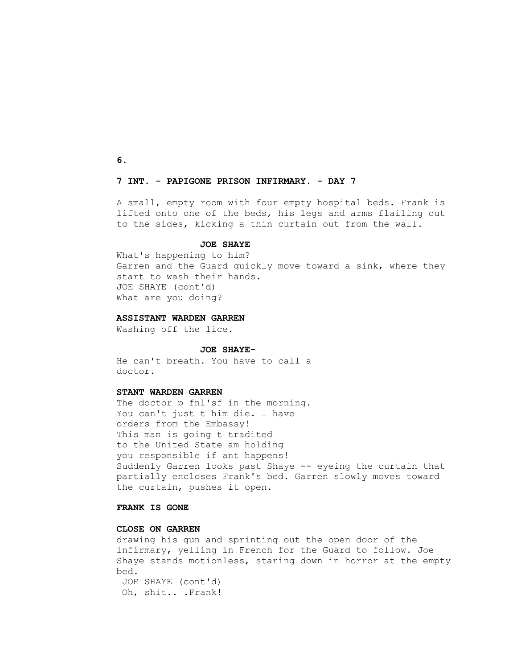**6.**

# **7 INT. - PAPIGONE PRISON INFIRMARY. - DAY 7**

 A small, empty room with four empty hospital beds. Frank is lifted onto one of the beds, his legs and arms flailing out to the sides, kicking a thin curtain out from the wall.

#### **JOE SHAYE**

 What's happening to him? Garren and the Guard quickly move toward a sink, where they start to wash their hands. JOE SHAYE (cont'd) What are you doing?

#### **ASSISTANT WARDEN GARREN**

Washing off the lice.

#### **JOE SHAYE-**

 He can't breath. You have to call a doctor.

### **STANT WARDEN GARREN**

The doctor p fnl'sf in the morning. You can't just t him die. I have orders from the Embassy! This man is going t tradited to the United State am holding you responsible if ant happens! Suddenly Garren looks past Shaye -- eyeing the curtain that partially encloses Frank's bed. Garren slowly moves toward the curtain, pushes it open.

# **FRANK IS GONE**

# **CLOSE ON GARREN**

 drawing his gun and sprinting out the open door of the infirmary, yelling in French for the Guard to follow. Joe Shaye stands motionless, staring down in horror at the empty bed. JOE SHAYE (cont'd) Oh, shit.. .Frank!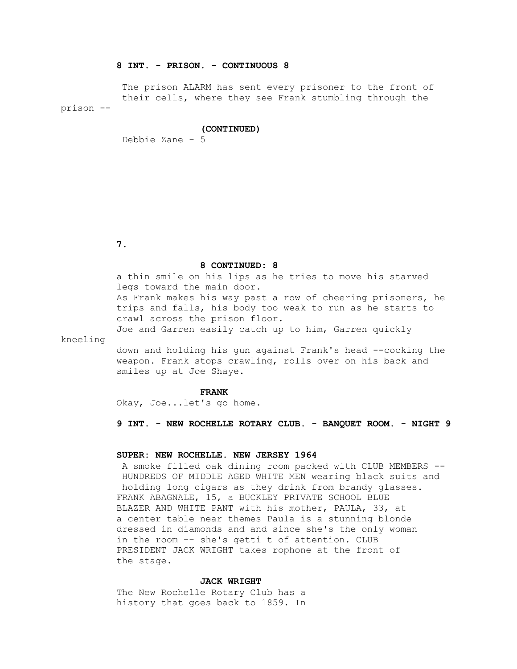# **8 INT. - PRISON. - CONTINUOUS 8**

 The prison ALARM has sent every prisoner to the front of their cells, where they see Frank stumbling through the prison --

#### **(CONTINUED)**

Debbie Zane - 5

 **7.**

# **8 CONTINUED: 8**

 a thin smile on his lips as he tries to move his starved legs toward the main door. As Frank makes his way past a row of cheering prisoners, he trips and falls, his body too weak to run as he starts to crawl across the prison floor. Joe and Garren easily catch up to him, Garren quickly

kneeling

 down and holding his gun against Frank's head --cocking the weapon. Frank stops crawling, rolls over on his back and smiles up at Joe Shaye.

#### **FRANK**

Okay, Joe...let's go home.

 **9 INT. - NEW ROCHELLE ROTARY CLUB. - BANQUET ROOM. - NIGHT 9**

# **SUPER: NEW ROCHELLE. NEW JERSEY 1964**

 A smoke filled oak dining room packed with CLUB MEMBERS -- HUNDREDS OF MIDDLE AGED WHITE MEN wearing black suits and holding long cigars as they drink from brandy glasses. FRANK ABAGNALE, 15, a BUCKLEY PRIVATE SCHOOL BLUE BLAZER AND WHITE PANT with his mother, PAULA, 33, at a center table near themes Paula is a stunning blonde dressed in diamonds and and since she's the only woman in the room -- she's getti t of attention. CLUB PRESIDENT JACK WRIGHT takes rophone at the front of the stage.

## **JACK WRIGHT**

 The New Rochelle Rotary Club has a history that goes back to 1859. In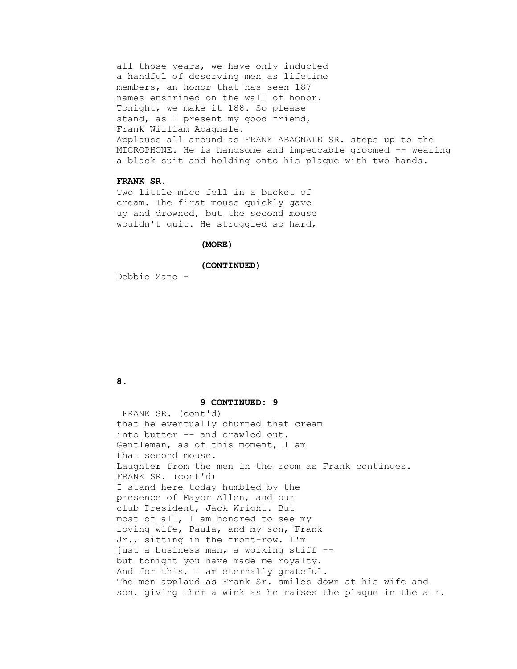all those years, we have only inducted a handful of deserving men as lifetime members, an honor that has seen 187 names enshrined on the wall of honor. Tonight, we make it 188. So please stand, as I present my good friend, Frank William Abagnale. Applause all around as FRANK ABAGNALE SR. steps up to the MICROPHONE. He is handsome and impeccable groomed -- wearing a black suit and holding onto his plaque with two hands.

# **FRANK SR.**

 Two little mice fell in a bucket of cream. The first mouse quickly gave up and drowned, but the second mouse wouldn't quit. He struggled so hard,

### **(MORE)**

#### **(CONTINUED)**

Debbie Zane -

# **8.**

#### **9 CONTINUED: 9**

 FRANK SR. (cont'd) that he eventually churned that cream into butter -- and crawled out. Gentleman, as of this moment, I am that second mouse. Laughter from the men in the room as Frank continues. FRANK SR. (cont'd) I stand here today humbled by the presence of Mayor Allen, and our club President, Jack Wright. But most of all, I am honored to see my loving wife, Paula, and my son, Frank Jr., sitting in the front-row. I'm just a business man, a working stiff - but tonight you have made me royalty. And for this, I am eternally grateful. The men applaud as Frank Sr. smiles down at his wife and son, giving them a wink as he raises the plaque in the air.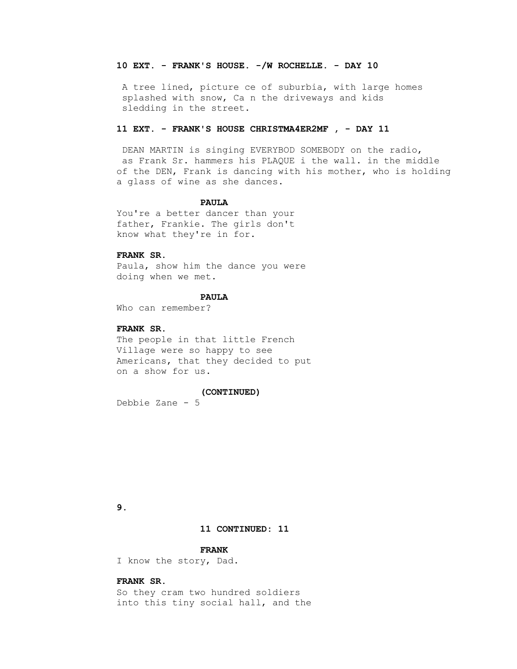## **10 EXT. - FRANK'S HOUSE. -/W ROCHELLE. - DAY 10**

 A tree lined, picture ce of suburbia, with large homes splashed with snow, Ca n the driveways and kids sledding in the street.

### **11 EXT. - FRANK'S HOUSE CHRISTMA4ER2MF , - DAY 11**

 DEAN MARTIN is singing EVERYBOD SOMEBODY on the radio, as Frank Sr. hammers his PLAQUE i the wall. in the middle of the DEN, Frank is dancing with his mother, who is holding a glass of wine as she dances.

### **PAULA**

 You're a better dancer than your father, Frankie. The girls don't know what they're in for.

# **FRANK SR.**

 Paula, show him the dance you were doing when we met.

# **PAULA**

Who can remember?

## **FRANK SR.**

 The people in that little French Village were so happy to see Americans, that they decided to put on a show for us.

#### **(CONTINUED)**

Debbie Zane - 5

# **9.**

# **11 CONTINUED: 11**

# **FRANK**

I know the story, Dad.

# **FRANK SR.**

 So they cram two hundred soldiers into this tiny social hall, and the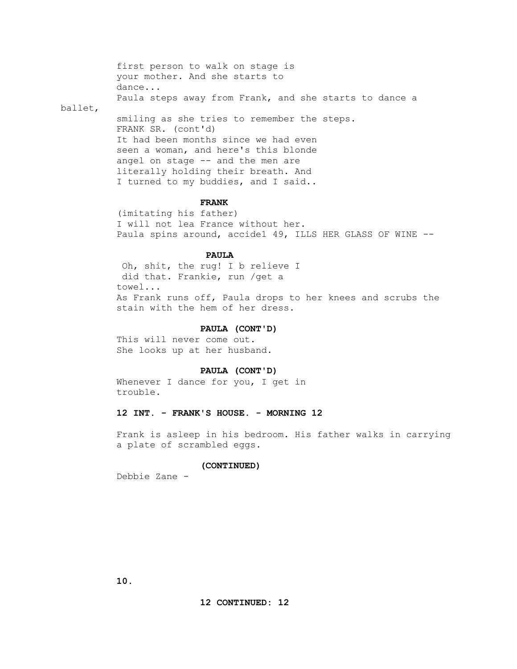first person to walk on stage is your mother. And she starts to dance... Paula steps away from Frank, and she starts to dance a ballet, smiling as she tries to remember the steps. FRANK SR. (cont'd) It had been months since we had even seen a woman, and here's this blonde angel on stage -- and the men are literally holding their breath. And

#### **FRANK**

I turned to my buddies, and I said..

 (imitating his father) I will not lea France without her. Paula spins around, accide1 49, ILLS HER GLASS OF WINE --

# **PAULA**

 Oh, shit, the rug! I b relieve I did that. Frankie, run /get a towel... As Frank runs off, Paula drops to her knees and scrubs the stain with the hem of her dress.

#### **PAULA (CONT'D)**

 This will never come out. She looks up at her husband.

## **PAULA (CONT'D)**

Whenever I dance for you, I get in trouble.

# **12 INT. - FRANK'S HOUSE. - MORNING 12**

 Frank is asleep in his bedroom. His father walks in carrying a plate of scrambled eggs.

#### **(CONTINUED)**

Debbie Zane -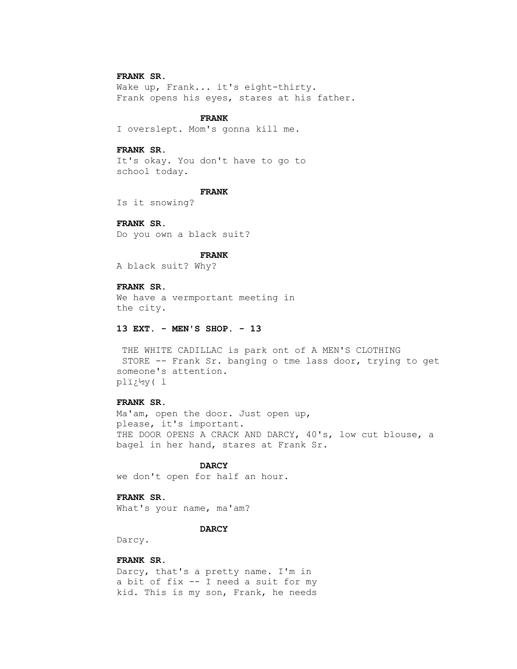# **FRANK SR.**

 Wake up, Frank... it's eight-thirty. Frank opens his eyes, stares at his father.

## **FRANK**

I overslept. Mom's gonna kill me.

# **FRANK SR.**

 It's okay. You don't have to go to school today.

#### **FRANK**

Is it snowing?

# **FRANK SR.**

Do you own a black suit?

### **FRANK**

A black suit? Why?

# **FRANK SR.**

 We have a vermportant meeting in the city.

## **13 EXT. - MEN'S SHOP. - 13**

 THE WHITE CADILLAC is park ont of A MEN'S CLOTHING STORE -- Frank Sr. banging o tme lass door, trying to get someone's attention. pl�y( l

#### **FRANK SR.**

 Ma'am, open the door. Just open up, please, it's important. THE DOOR OPENS A CRACK AND DARCY, 40's, low cut blouse, a bagel in her hand, stares at Frank Sr.

# **DARCY**

we don't open for half an hour.

# **FRANK SR.**

What's your name, ma'am?

# **DARCY**

Darcy.

# **FRANK SR.**

 Darcy, that's a pretty name. I'm in a bit of fix -- I need a suit for my kid. This is my son, Frank, he needs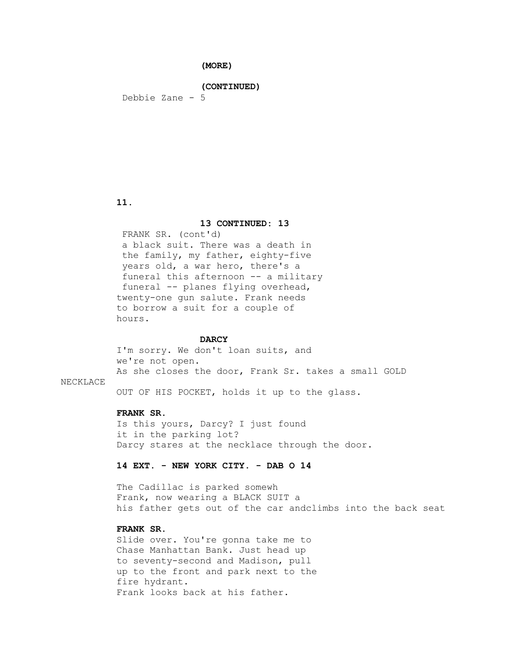**(MORE)**

 **(CONTINUED)**

Debbie Zane - 5

# **11.**

## **13 CONTINUED: 13**

 FRANK SR. (cont'd) a black suit. There was a death in the family, my father, eighty-five years old, a war hero, there's a funeral this afternoon -- a military funeral -- planes flying overhead, twenty-one gun salute. Frank needs to borrow a suit for a couple of hours.

# **DARCY**

 I'm sorry. We don't loan suits, and we're not open. As she closes the door, Frank Sr. takes a small GOLD

# NECKLACE

OUT OF HIS POCKET, holds it up to the glass.

# **FRANK SR.**

 Is this yours, Darcy? I just found it in the parking lot? Darcy stares at the necklace through the door.

# **14 EXT. - NEW YORK CITY. - DAB O 14**

 The Cadillac is parked somewh Frank, now wearing a BLACK SUIT a his father gets out of the car andclimbs into the back seat

# **FRANK SR.**

 Slide over. You're gonna take me to Chase Manhattan Bank. Just head up to seventy-second and Madison, pull up to the front and park next to the fire hydrant. Frank looks back at his father.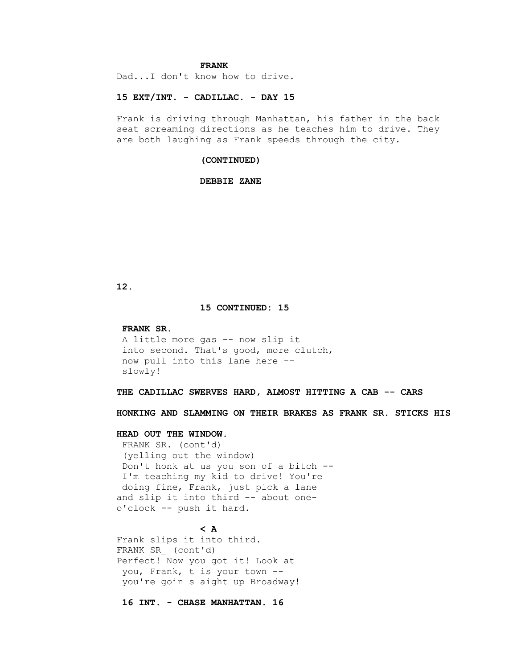## **FRANK**

Dad...I don't know how to drive.

# **15 EXT/INT. - CADILLAC. - DAY 15**

 Frank is driving through Manhattan, his father in the back seat screaming directions as he teaches him to drive. They are both laughing as Frank speeds through the city.

#### **(CONTINUED)**

### **DEBBIE ZANE**

# **12.**

#### **15 CONTINUED: 15**

#### **FRANK SR.**

```
 A little more gas -- now slip it
into second. That's good, more clutch,
now pull into this lane here --
slowly!
```
 **THE CADILLAC SWERVES HARD, ALMOST HITTING A CAB -- CARS**

 **HONKING AND SLAMMING ON THEIR BRAKES AS FRANK SR. STICKS HIS**

# **HEAD OUT THE WINDOW.**

 FRANK SR. (cont'd) (yelling out the window) Don't honk at us you son of a bitch -- I'm teaching my kid to drive! You're doing fine, Frank, just pick a lane and slip it into third -- about one o'clock -- push it hard.

# $\sim$  A

 Frank slips it into third. FRANK SR\_ (cont'd) Perfect! Now you got it! Look at you, Frank, t is your town - you're goin s aight up Broadway!

 **16 INT. - CHASE MANHATTAN. 16**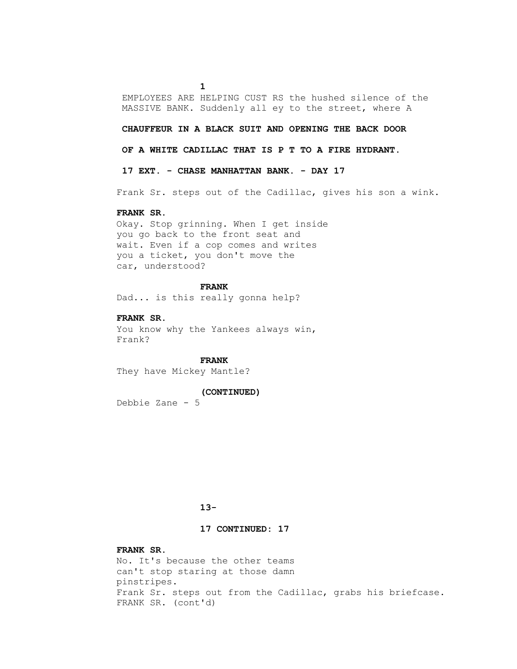EMPLOYEES ARE HELPING CUST RS the hushed silence of the MASSIVE BANK. Suddenly all ey to the street, where A

### **CHAUFFEUR IN A BLACK SUIT AND OPENING THE BACK DOOR**

 **OF A WHITE CADILLAC THAT IS P T TO A FIRE HYDRANT.**

 **17 EXT. - CHASE MANHATTAN BANK. - DAY 17**

Frank Sr. steps out of the Cadillac, gives his son a wink.

# **FRANK SR.**

**1** 

 Okay. Stop grinning. When I get inside you go back to the front seat and wait. Even if a cop comes and writes you a ticket, you don't move the car, understood?

#### **FRANK**

Dad... is this really gonna help?

 **FRANK SR.** You know why the Yankees always win, Frank?

 **FRANK** They have Mickey Mantle?

## **(CONTINUED)**

Debbie Zane - 5

# **13-**

# **17 CONTINUED: 17**

# **FRANK SR.**

 No. It's because the other teams can't stop staring at those damn pinstripes. Frank Sr. steps out from the Cadillac, grabs his briefcase. FRANK SR. (cont'd)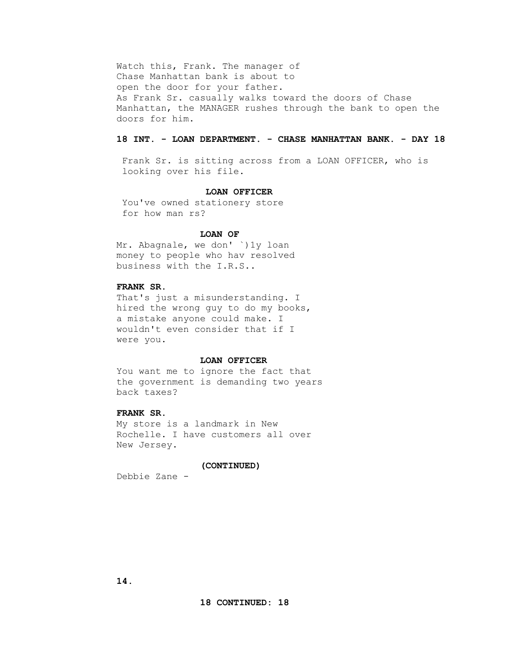Watch this, Frank. The manager of Chase Manhattan bank is about to open the door for your father. As Frank Sr. casually walks toward the doors of Chase Manhattan, the MANAGER rushes through the bank to open the doors for him.

# **18 INT. - LOAN DEPARTMENT. - CHASE MANHATTAN BANK. - DAY 18**

 Frank Sr. is sitting across from a LOAN OFFICER, who is looking over his file.

#### **LOAN OFFICER**

 You've owned stationery store for how man rs?

#### **LOAN OF**

 Mr. Abagnale, we don' `)1y loan money to people who hav resolved business with the I.R.S..

# **FRANK SR.**

 That's just a misunderstanding. I hired the wrong guy to do my books, a mistake anyone could make. I wouldn't even consider that if I were you.

#### **LOAN OFFICER**

 You want me to ignore the fact that the government is demanding two years back taxes?

# **FRANK SR.**

 My store is a landmark in New Rochelle. I have customers all over New Jersey.

#### **(CONTINUED)**

Debbie Zane -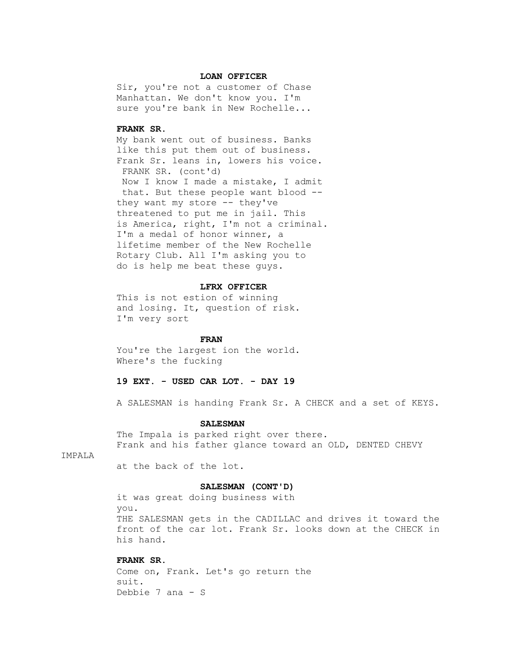#### **LOAN OFFICER**

 Sir, you're not a customer of Chase Manhattan. We don't know you. I'm sure you're bank in New Rochelle...

### **FRANK SR.**

 My bank went out of business. Banks like this put them out of business. Frank Sr. leans in, lowers his voice. FRANK SR. (cont'd) Now I know I made a mistake, I admit that. But these people want blood - they want my store -- they've threatened to put me in jail. This is America, right, I'm not a criminal. I'm a medal of honor winner, a lifetime member of the New Rochelle Rotary Club. All I'm asking you to do is help me beat these guys.

### **LFRX OFFICER**

 This is not estion of winning and losing. It, question of risk. I'm very sort

# **FRAN**

 You're the largest ion the world. Where's the fucking

# **19 EXT. - USED CAR LOT. - DAY 19**

A SALESMAN is handing Frank Sr. A CHECK and a set of KEYS.

#### **SALESMAN**

 The Impala is parked right over there. Frank and his father glance toward an OLD, DENTED CHEVY

# IMPALA

at the back of the lot.

## **SALESMAN (CONT'D)**

 it was great doing business with you. THE SALESMAN gets in the CADILLAC and drives it toward the front of the car lot. Frank Sr. looks down at the CHECK in his hand.

# **FRANK SR.**

 Come on, Frank. Let's go return the suit. Debbie 7 ana - S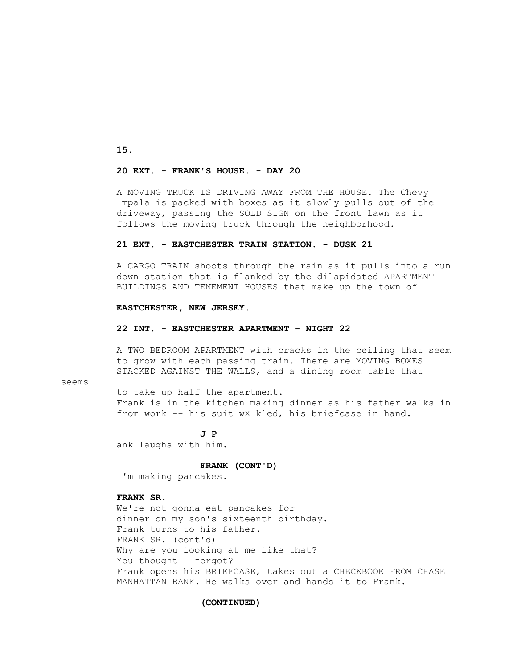**15.**

# **20 EXT. - FRANK'S HOUSE. - DAY 20**

 A MOVING TRUCK IS DRIVING AWAY FROM THE HOUSE. The Chevy Impala is packed with boxes as it slowly pulls out of the driveway, passing the SOLD SIGN on the front lawn as it follows the moving truck through the neighborhood.

## **21 EXT. - EASTCHESTER TRAIN STATION. - DUSK 21**

 A CARGO TRAIN shoots through the rain as it pulls into a run down station that is flanked by the dilapidated APARTMENT BUILDINGS AND TENEMENT HOUSES that make up the town of

## **EASTCHESTER, NEW JERSEY.**

### **22 INT. - EASTCHESTER APARTMENT - NIGHT 22**

 A TWO BEDROOM APARTMENT with cracks in the ceiling that seem to grow with each passing train. There are MOVING BOXES STACKED AGAINST THE WALLS, and a dining room table that

# seems

 to take up half the apartment. Frank is in the kitchen making dinner as his father walks in from work -- his suit wX kled, his briefcase in hand.

 **J P** ank laughs with him.

 **FRANK (CONT'D)**

I'm making pancakes.

# **FRANK SR.**

 We're not gonna eat pancakes for dinner on my son's sixteenth birthday. Frank turns to his father. FRANK SR. (cont'd) Why are you looking at me like that? You thought I forgot? Frank opens his BRIEFCASE, takes out a CHECKBOOK FROM CHASE MANHATTAN BANK. He walks over and hands it to Frank.

### **(CONTINUED)**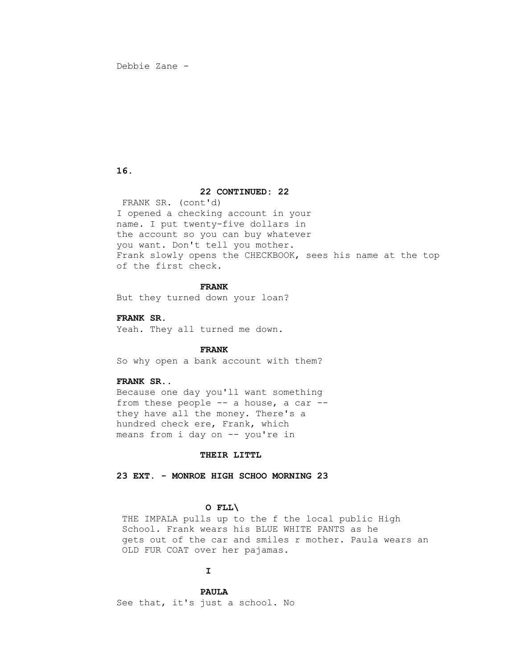Debbie Zane -

# **16.**

# **22 CONTINUED: 22**

 FRANK SR. (cont'd) I opened a checking account in your name. I put twenty-five dollars in the account so you can buy whatever you want. Don't tell you mother. Frank slowly opens the CHECKBOOK, sees his name at the top of the first check.

# **FRANK**

But they turned down your loan?

 **FRANK SR.** Yeah. They all turned me down.

#### **FRANK**

So why open a bank account with them?

# **FRANK SR..**

 Because one day you'll want something from these people -- a house, a car - they have all the money. There's a hundred check ere, Frank, which means from i day on -- you're in

# **THEIR LITTL**

 **23 EXT. - MONROE HIGH SCHOO MORNING 23**

# **O FLL\**

 THE IMPALA pulls up to the f the local public High School. Frank wears his BLUE WHITE PANTS as he gets out of the car and smiles r mother. Paula wears an OLD FUR COAT over her pajamas.

# **I**

 **PAULA** See that, it's just a school. No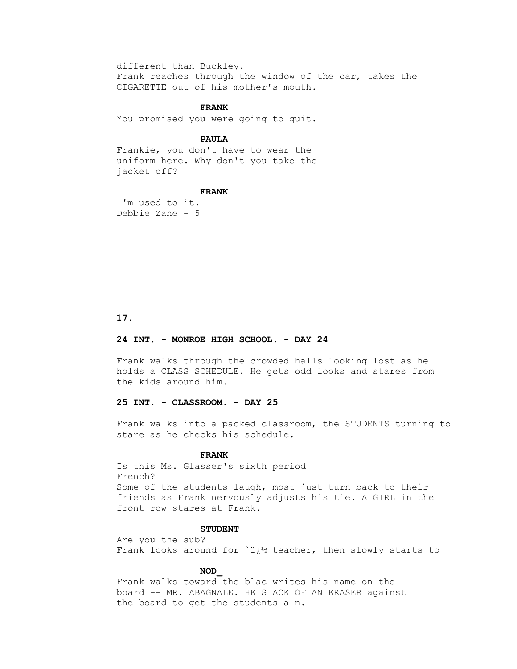different than Buckley. Frank reaches through the window of the car, takes the CIGARETTE out of his mother's mouth.

# **FRANK**

You promised you were going to quit.

# **PAULA**

 Frankie, you don't have to wear the uniform here. Why don't you take the jacket off?

#### **FRANK**

 I'm used to it. Debbie Zane - 5

 **17.**

# **24 INT. - MONROE HIGH SCHOOL. - DAY 24**

 Frank walks through the crowded halls looking lost as he holds a CLASS SCHEDULE. He gets odd looks and stares from the kids around him.

# **25 INT. - CLASSROOM. - DAY 25**

 Frank walks into a packed classroom, the STUDENTS turning to stare as he checks his schedule.

# **FRANK**

 Is this Ms. Glasser's sixth period French? Some of the students laugh, most just turn back to their friends as Frank nervously adjusts his tie. A GIRL in the front row stares at Frank.

# **STUDENT**

 Are you the sub? Frank looks around for  $i_{i}^{1}$  teacher, then slowly starts to

# **NOD\_**

 Frank walks toward the blac writes his name on the board -- MR. ABAGNALE. HE S ACK OF AN ERASER against the board to get the students a n.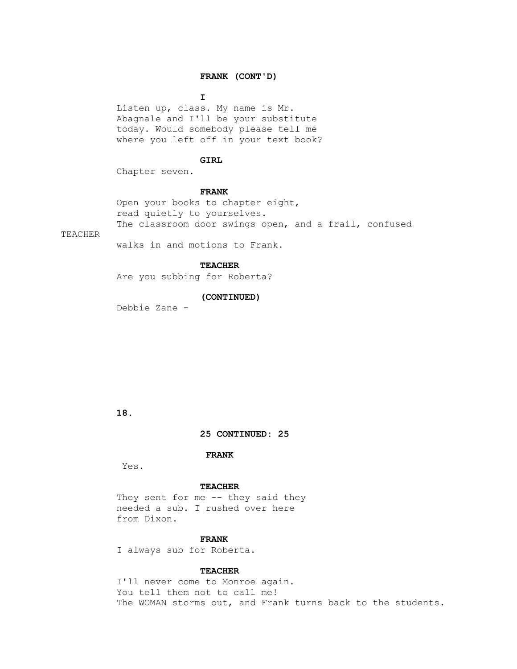# **FRANK (CONT'D)**

**I** 

 Listen up, class. My name is Mr. Abagnale and I'll be your substitute today. Would somebody please tell me where you left off in your text book?

# **GIRL**

Chapter seven.

#### **FRANK**

 Open your books to chapter eight, read quietly to yourselves. The classroom door swings open, and a frail, confused

TEACHER

walks in and motions to Frank.

## **TEACHER**

Are you subbing for Roberta?

## **(CONTINUED)**

Debbie Zane -

# **18.**

 **25 CONTINUED: 25**

# **FRANK**

Yes.

### **TEACHER**

They sent for me -- they said they needed a sub. I rushed over here from Dixon.

# **FRANK**

I always sub for Roberta.

### **TEACHER**

 I'll never come to Monroe again. You tell them not to call me! The WOMAN storms out, and Frank turns back to the students.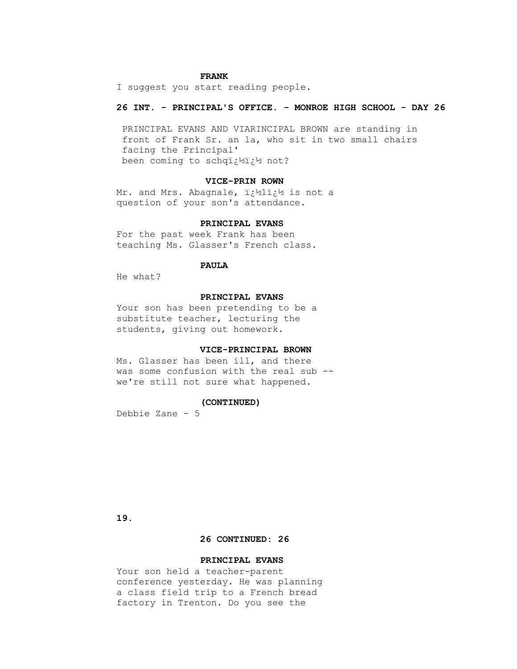### **FRANK**

I suggest you start reading people.

# **26 INT. - PRINCIPAL'S OFFICE. - MONROE HIGH SCHOOL - DAY 26**

 PRINCIPAL EVANS AND VIARINCIPAL BROWN are standing in front of Frank Sr. an la, who sit in two small chairs facing the Principal' been coming to schq�� not?

### **VICE-PRIN ROWN**

Mr. and Mrs. Abagnale, ii<sup>1</sup><sub>2</sub>li<sup>1</sup>/<sub>2</sub> is not a question of your son's attendance.

# **PRINCIPAL EVANS**

 For the past week Frank has been teaching Ms. Glasser's French class.

# **PAULA**

He what?

# **PRINCIPAL EVANS**

 Your son has been pretending to be a substitute teacher, lecturing the students, giving out homework.

#### **VICE-PRINCIPAL BROWN**

 Ms. Glasser has been ill, and there was some confusion with the real sub - we're still not sure what happened.

#### **(CONTINUED)**

Debbie Zane - 5

 **19.**

## **26 CONTINUED: 26**

## **PRINCIPAL EVANS**

 Your son held a teacher-parent conference yesterday. He was planning a class field trip to a French bread factory in Trenton. Do you see the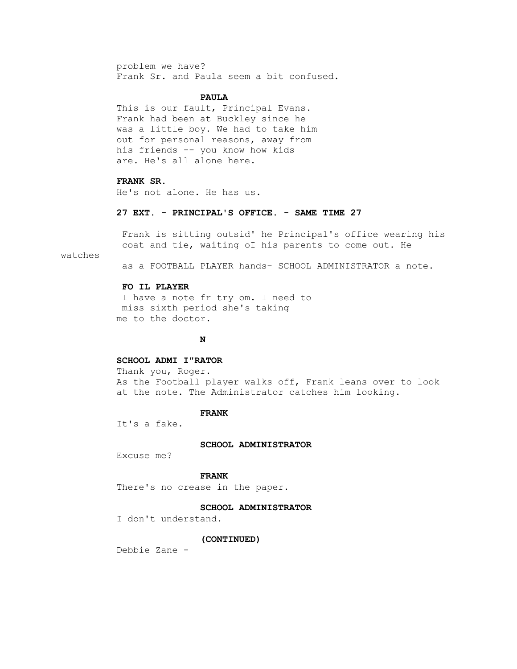problem we have? Frank Sr. and Paula seem a bit confused.

### **PAULA**

 This is our fault, Principal Evans. Frank had been at Buckley since he was a little boy. We had to take him out for personal reasons, away from his friends -- you know how kids are. He's all alone here.

# **FRANK SR.**

He's not alone. He has us.

## **27 EXT. - PRINCIPAL'S OFFICE. - SAME TIME 27**

 Frank is sitting outsid' he Principal's office wearing his coat and tie, waiting oI his parents to come out. He

watches

as a FOOTBALL PLAYER hands- SCHOOL ADMINISTRATOR a note.

# **FO IL PLAYER**

 I have a note fr try om. I need to miss sixth period she's taking me to the doctor.

# **N**

#### **SCHOOL ADMI I"RATOR**

 Thank you, Roger. As the Football player walks off, Frank leans over to look at the note. The Administrator catches him looking.

### **FRANK**

It's a fake.

#### **SCHOOL ADMINISTRATOR**

Excuse me?

### **FRANK**

There's no crease in the paper.

 **SCHOOL ADMINISTRATOR**

I don't understand.

#### **(CONTINUED)**

Debbie Zane -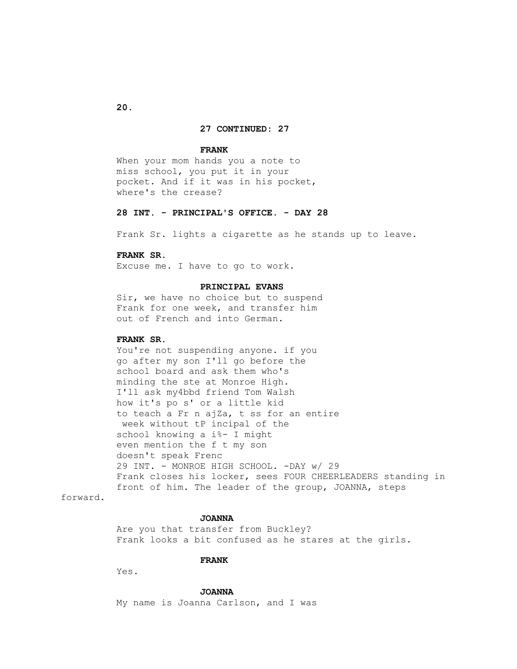#### **27 CONTINUED: 27**

#### **FRANK**

 When your mom hands you a note to miss school, you put it in your pocket. And if it was in his pocket, where's the crease?

## **28 INT. - PRINCIPAL'S OFFICE. - DAY 28**

Frank Sr. lights a cigarette as he stands up to leave.

# **FRANK SR.**

Excuse me. I have to go to work.

### **PRINCIPAL EVANS**

 Sir, we have no choice but to suspend Frank for one week, and transfer him out of French and into German.

# **FRANK SR.**

 You're not suspending anyone. if you go after my son I'll go before the school board and ask them who's minding the ste at Monroe High. I'll ask my4bbd friend Tom Walsh how it's po s' or a little kid to teach a Fr n ajZa, t ss for an entire week without tP incipal of the school knowing a i%- I might even mention the f t my son doesn't speak Frenc 29 INT. - MONROE HIGH SCHOOL. -DAY w/ 29 Frank closes his locker, sees FOUR CHEERLEADERS standing in front of him. The leader of the group, JOANNA, steps

forward.

## **JOANNA**

 Are you that transfer from Buckley? Frank looks a bit confused as he stares at the girls.

## **FRANK**

Yes.

 **JOANNA**

My name is Joanna Carlson, and I was

 **20.**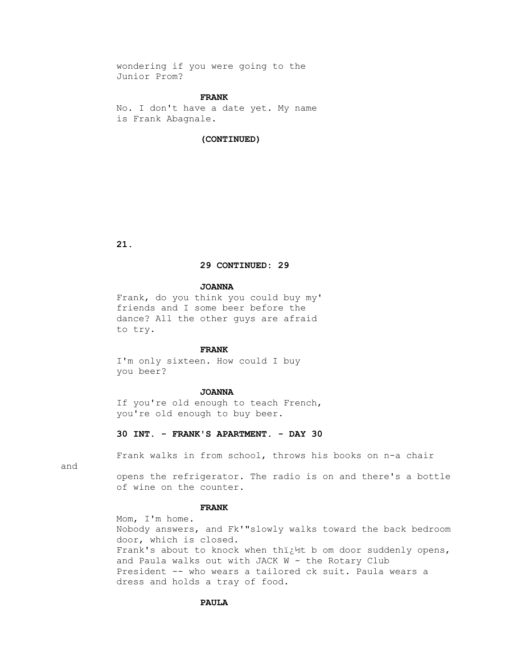wondering if you were going to the Junior Prom?

### **FRANK**

 No. I don't have a date yet. My name is Frank Abagnale.

# **(CONTINUED)**

 **21.**

## **29 CONTINUED: 29**

#### **JOANNA**

 Frank, do you think you could buy my' friends and I some beer before the dance? All the other guys are afraid to try.

#### **FRANK**

 I'm only sixteen. How could I buy you beer?

#### **JOANNA**

 If you're old enough to teach French, you're old enough to buy beer.

# **30 INT. - FRANK'S APARTMENT. - DAY 30**

Frank walks in from school, throws his books on n-a chair

and

 opens the refrigerator. The radio is on and there's a bottle of wine on the counter.

# **FRANK**

 Mom, I'm home. Nobody answers, and Fk'"slowly walks toward the back bedroom door, which is closed. Frank's about to knock when thi<sub>i</sub>t b om door suddenly opens, and Paula walks out with JACK W - the Rotary Club President -- who wears a tailored ck suit. Paula wears a dress and holds a tray of food.

## **PAULA**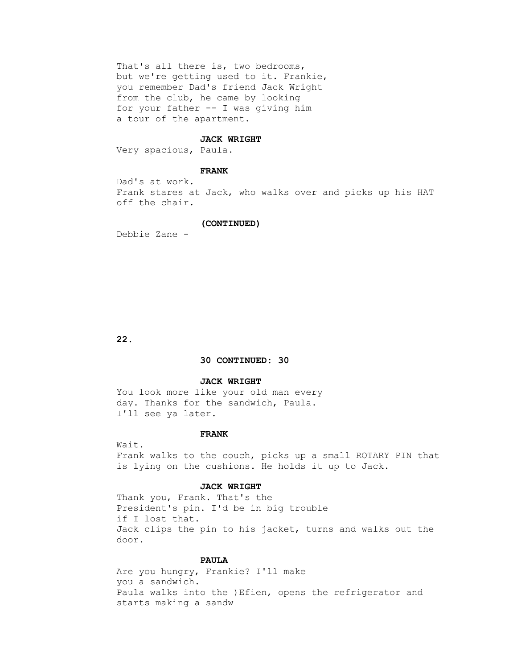That's all there is, two bedrooms, but we're getting used to it. Frankie, you remember Dad's friend Jack Wright from the club, he came by looking for your father -- I was giving him a tour of the apartment.

#### **JACK WRIGHT**

Very spacious, Paula.

#### **FRANK**

 Dad's at work. Frank stares at Jack, who walks over and picks up his HAT off the chair.

## **(CONTINUED)**

Debbie Zane -

 **22.**

### **30 CONTINUED: 30**

#### **JACK WRIGHT**

 You look more like your old man every day. Thanks for the sandwich, Paula. I'll see ya later.

## **FRANK**

 Wait. Frank walks to the couch, picks up a small ROTARY PIN that is lying on the cushions. He holds it up to Jack.

### **JACK WRIGHT**

 Thank you, Frank. That's the President's pin. I'd be in big trouble if I lost that. Jack clips the pin to his jacket, turns and walks out the door.

### **PAULA**

 Are you hungry, Frankie? I'll make you a sandwich. Paula walks into the )Efien, opens the refrigerator and starts making a sandw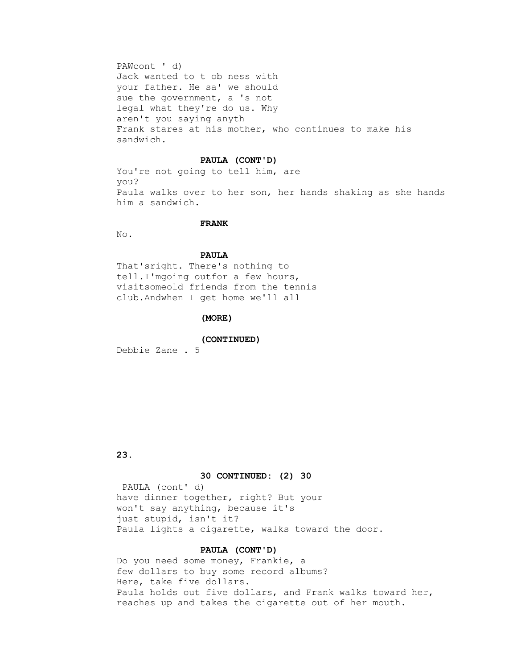PAWcont ' d) Jack wanted to t ob ness with your father. He sa' we should sue the government, a 's not legal what they're do us. Why aren't you saying anyth Frank stares at his mother, who continues to make his sandwich.

#### **PAULA (CONT'D)**

 You're not going to tell him, are you? Paula walks over to her son, her hands shaking as she hands him a sandwich.

# **FRANK**

No.

# **PAULA**

 That'sright. There's nothing to tell.I'mgoing outfor a few hours, visitsomeold friends from the tennis club.Andwhen I get home we'll all

#### **(MORE)**

 **(CONTINUED)**

Debbie Zane . 5

# **23.**

## **30 CONTINUED: (2) 30**

 PAULA (cont' d) have dinner together, right? But your won't say anything, because it's just stupid, isn't it? Paula lights a cigarette, walks toward the door.

# **PAULA (CONT'D)**

 Do you need some money, Frankie, a few dollars to buy some record albums? Here, take five dollars. Paula holds out five dollars, and Frank walks toward her, reaches up and takes the cigarette out of her mouth.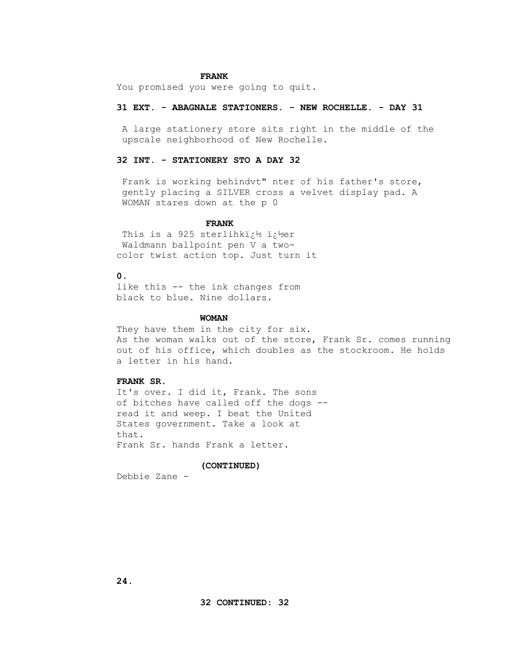### **FRANK**

You promised you were going to quit.

## **31 EXT. - ABAGNALE STATIONERS. - NEW ROCHELLE. - DAY 31**

 A large stationery store sits right in the middle of the upscale neighborhood of New Rochelle.

# **32 INT. - STATIONERY STO A DAY 32**

 Frank is working behindvt" nter of his father's store, gently placing a SILVER cross a velvet display pad. A WOMAN stares down at the p 0

## **FRANK**

This is a 925 sterlihki $i^1$  i $i^1$ er Waldmann ballpoint pen V a two color twist action top. Just turn it

# **0.**

 like this -- the ink changes from black to blue. Nine dollars.

### **WOMAN**

They have them in the city for six. As the woman walks out of the store, Frank Sr. comes running out of his office, which doubles as the stockroom. He holds a letter in his hand.

# **FRANK SR.**

 It's over. I did it, Frank. The sons of bitches have called off the dogs - read it and weep. I beat the United States government. Take a look at that. Frank Sr. hands Frank a letter.

#### **(CONTINUED)**

Debbie Zane -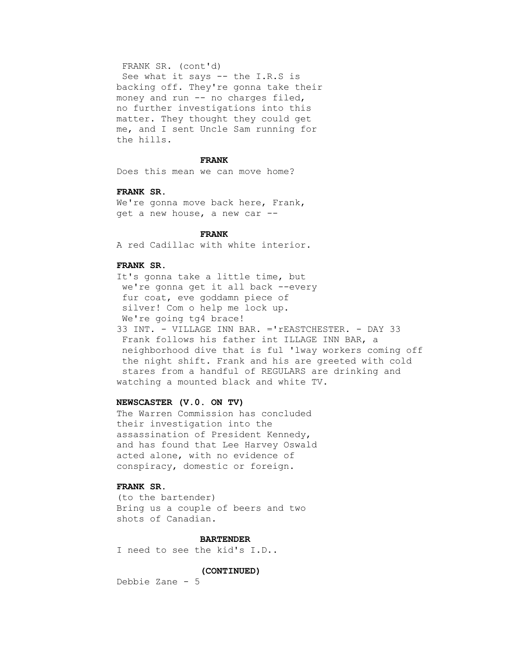# FRANK SR. (cont'd)

 See what it says -- the I.R.S is backing off. They're gonna take their money and run -- no charges filed, no further investigations into this matter. They thought they could get me, and I sent Uncle Sam running for the hills.

#### **FRANK**

Does this mean we can move home?

#### **FRANK SR.**

We're gonna move back here, Frank, get a new house, a new car --

### **FRANK**

A red Cadillac with white interior.

## **FRANK SR.**

 It's gonna take a little time, but we're gonna get it all back --every fur coat, eve goddamn piece of silver! Com o help me lock up. We're going tg4 brace! 33 INT. - VILLAGE INN BAR. ='rEASTCHESTER. - DAY 33 Frank follows his father int ILLAGE INN BAR, a neighborhood dive that is ful 'lway workers coming off the night shift. Frank and his are greeted with cold stares from a handful of REGULARS are drinking and watching a mounted black and white TV.

### **NEWSCASTER (V.0. ON TV)**

 The Warren Commission has concluded their investigation into the assassination of President Kennedy, and has found that Lee Harvey Oswald acted alone, with no evidence of conspiracy, domestic or foreign.

# **FRANK SR.**

 (to the bartender) Bring us a couple of beers and two shots of Canadian.

### **BARTENDER**

I need to see the kid's I.D..

# **(CONTINUED)**

Debbie Zane - 5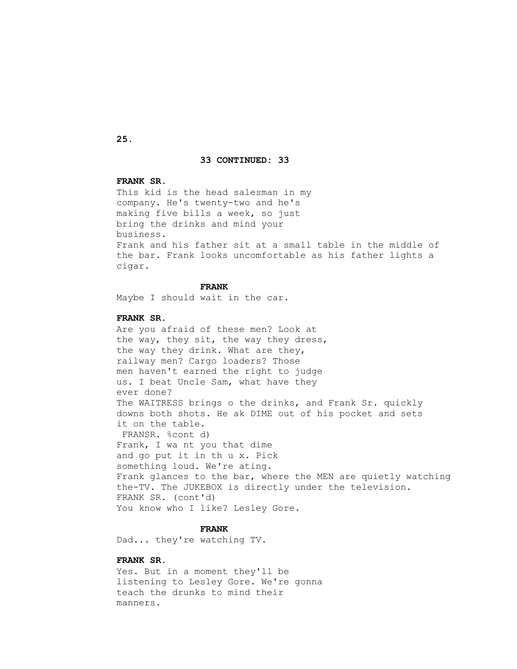#### **33 CONTINUED: 33**

# **FRANK SR.**

 This kid is the head salesman in my company. He's twenty-two and he's making five bills a week, so just bring the drinks and mind your business. Frank and his father sit at a small table in the middle of the bar. Frank looks uncomfortable as his father lights a cigar.

### **FRANK**

Maybe I should wait in the car.

#### **FRANK SR.**

 Are you afraid of these men? Look at the way, they sit, the way they dress, the way they drink. What are they, railway men? Cargo loaders? Those men haven't earned the right to judge us. I beat Uncle Sam, what have they ever done? The WAITRESS brings o the drinks, and Frank Sr. quickly downs both shots. He ak DIME out of his pocket and sets it on the table. FRANSR. %cont d) Frank, I wa nt you that dime and go put it in th u x. Pick something loud. We're ating. Frank glances to the bar, where the MEN are quietly watching the-TV. The JUKEBOX is directly under the television. FRANK SR. (cont'd) You know who I like? Lesley Gore.

# **FRANK**

Dad... they're watching TV.

# **FRANK SR.**

 Yes. But in a moment they'll be listening to Lesley Gore. We're gonna teach the drunks to mind their manners.

 **25.**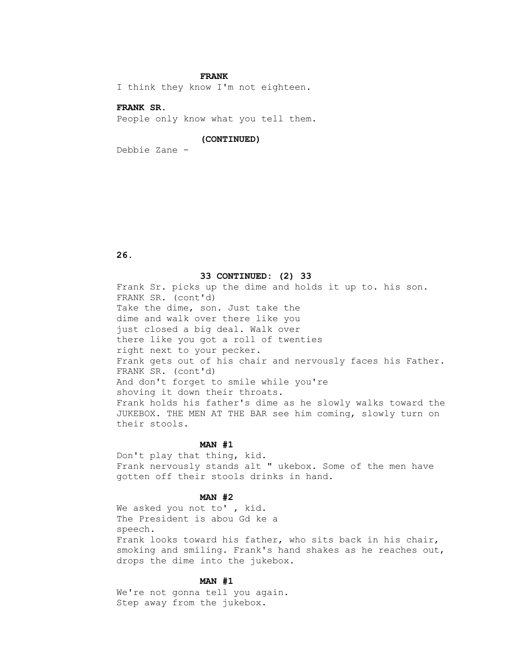### **FRANK**

I think they know I'm not eighteen.

# **FRANK SR.**

People only know what you tell them.

## **(CONTINUED)**

Debbie Zane -

# **26.**

#### **33 CONTINUED: (2) 33**

 Frank Sr. picks up the dime and holds it up to. his son. FRANK SR. (cont'd) Take the dime, son. Just take the dime and walk over there like you just closed a big deal. Walk over there like you got a roll of twenties right next to your pecker. Frank gets out of his chair and nervously faces his Father. FRANK SR. (cont'd) And don't forget to smile while you're shoving it down their throats. Frank holds his father's dime as he slowly walks toward the JUKEBOX. THE MEN AT THE BAR see him coming, slowly turn on their stools.

#### **MAN #1**

 Don't play that thing, kid. Frank nervously stands alt " ukebox. Some of the men have gotten off their stools drinks in hand.

### **MAN #2**

We asked you not to', kid. The President is abou Gd ke a speech. Frank looks toward his father, who sits back in his chair, smoking and smiling. Frank's hand shakes as he reaches out, drops the dime into the jukebox.

# **MAN #1**

 We're not gonna tell you again. Step away from the jukebox.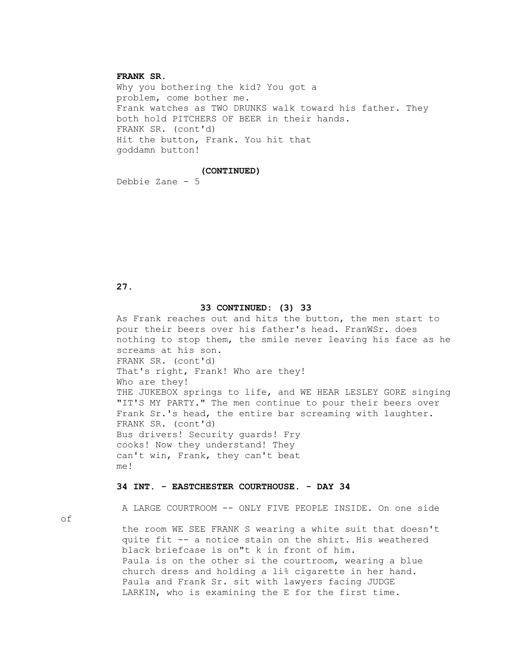# **FRANK SR.**

 Why you bothering the kid? You got a problem, come bother me. Frank watches as TWO DRUNKS walk toward his father. They both hold PITCHERS OF BEER in their hands. FRANK SR. (cont'd) Hit the button, Frank. You hit that goddamn button!

# **(CONTINUED)**

Debbie Zane - 5

### **27.**

### **33 CONTINUED: (3) 33**

 As Frank reaches out and hits the button, the men start to pour their beers over his father's head. FranWSr. does nothing to stop them, the smile never leaving his face as he screams at his son. FRANK SR. (cont'd) That's right, Frank! Who are they! Who are they! THE JUKEBOX springs to life, and WE HEAR LESLEY GORE singing "IT'S MY PARTY." The men continue to pour their beers over Frank Sr.'s head, the entire bar screaming with laughter. FRANK SR. (cont'd) Bus drivers! Security guards! Fry cooks! Now they understand! They can't win, Frank, they can't beat me!

### **34 INT. - EASTCHESTER COURTHOUSE. - DAY 34**

A LARGE COURTROOM -- ONLY FIVE PEOPLE INSIDE. On one side

of

 the room WE SEE FRANK S wearing a white suit that doesn't quite fit -- a notice stain on the shirt. His weathered black briefcase is on"t k in front of him. Paula is on the other si the courtroom, wearing a blue church dress and holding a li% cigarette in her hand. Paula and Frank Sr. sit with lawyers facing JUDGE LARKIN, who is examining the E for the first time.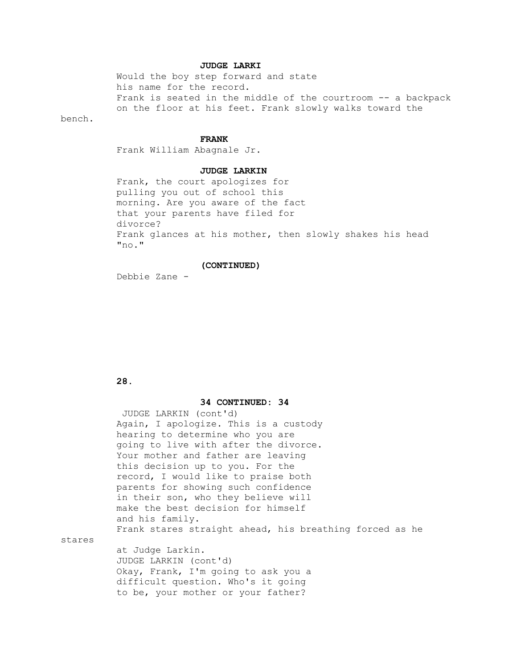# **JUDGE LARKI**

 Would the boy step forward and state his name for the record. Frank is seated in the middle of the courtroom -- a backpack on the floor at his feet. Frank slowly walks toward the

bench.

#### **FRANK**

Frank William Abagnale Jr.

### **JUDGE LARKIN**

 Frank, the court apologizes for pulling you out of school this morning. Are you aware of the fact that your parents have filed for divorce? Frank glances at his mother, then slowly shakes his head "no."

# **(CONTINUED)**

Debbie Zane -

# **28.**

stares

#### **34 CONTINUED: 34**

 difficult question. Who's it going to be, your mother or your father?

 JUDGE LARKIN (cont'd) Again, I apologize. This is a custody hearing to determine who you are going to live with after the divorce. Your mother and father are leaving this decision up to you. For the record, I would like to praise both parents for showing such confidence in their son, who they believe will make the best decision for himself and his family. Frank stares straight ahead, his breathing forced as he at Judge Larkin. JUDGE LARKIN (cont'd) Okay, Frank, I'm going to ask you a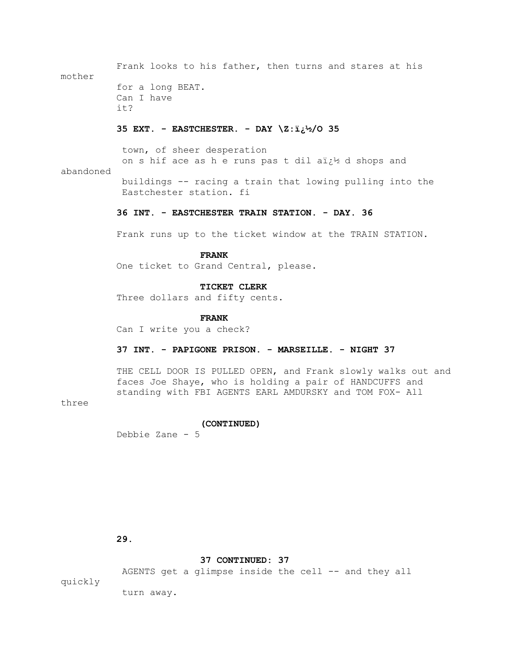Frank looks to his father, then turns and stares at his mother for a long BEAT. Can I have it?  **35 EXT. - EASTCHESTER. - DAY \Z:�/O 35** town, of sheer desperation on s hif ace as h e runs pas t dil aï $t^1$  d shops and abandoned buildings -- racing a train that lowing pulling into the Eastchester station. fi

# **36 INT. - EASTCHESTER TRAIN STATION. - DAY. 36**

Frank runs up to the ticket window at the TRAIN STATION.

# **FRANK**

One ticket to Grand Central, please.

## **TICKET CLERK**

Three dollars and fifty cents.

#### **FRANK**

Can I write you a check?

# **37 INT. - PAPIGONE PRISON. - MARSEILLE. - NIGHT 37**

THE CELL DOOR IS PULLED OPEN, and Frank slowly walks out and faces Joe Shaye, who is holding a pair of HANDCUFFS and standing with FBI AGENTS EARL AMDURSKY and TOM FOX- All

three

#### **(CONTINUED)**

Debbie Zane - 5

 **29.**

### **37 CONTINUED: 37**

AGENTS get a glimpse inside the cell -- and they all quickly

turn away.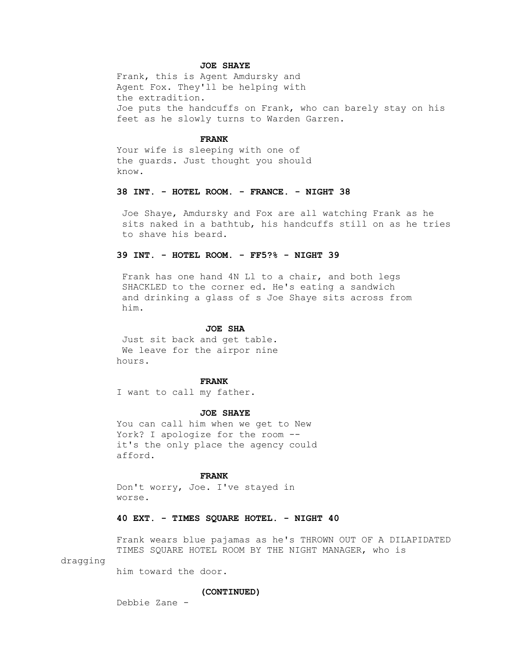# **JOE SHAYE**

 Frank, this is Agent Amdursky and Agent Fox. They'll be helping with the extradition. Joe puts the handcuffs on Frank, who can barely stay on his feet as he slowly turns to Warden Garren.

#### **FRANK**

 Your wife is sleeping with one of the guards. Just thought you should know.

### **38 INT. - HOTEL ROOM. - FRANCE. - NIGHT 38**

 Joe Shaye, Amdursky and Fox are all watching Frank as he sits naked in a bathtub, his handcuffs still on as he tries to shave his beard.

# **39 INT. - HOTEL ROOM. - FF5?% - NIGHT 39**

 Frank has one hand 4N Ll to a chair, and both legs SHACKLED to the corner ed. He's eating a sandwich and drinking a glass of s Joe Shaye sits across from him.

### **JOE SHA**

 Just sit back and get table. We leave for the airpor nine hours.

#### **FRANK**

I want to call my father.

#### **JOE SHAYE**

 You can call him when we get to New York? I apologize for the room - it's the only place the agency could afford.

#### **FRANK**

 Don't worry, Joe. I've stayed in worse.

# **40 EXT. - TIMES SQUARE HOTEL. - NIGHT 40**

 Frank wears blue pajamas as he's THROWN OUT OF A DILAPIDATED TIMES SQUARE HOTEL ROOM BY THE NIGHT MANAGER, who is

## dragging

him toward the door.

#### **(CONTINUED)**

Debbie Zane -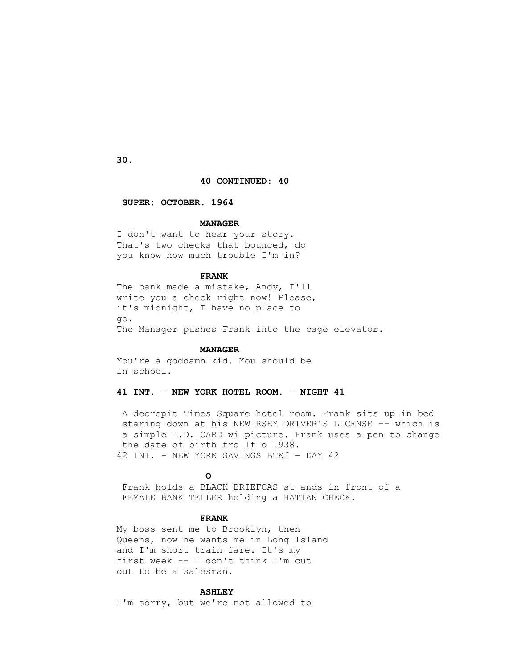**30.**

## **40 CONTINUED: 40**

#### **SUPER: OCTOBER. 1964**

### **MANAGER**

 I don't want to hear your story. That's two checks that bounced, do you know how much trouble I'm in?

## **FRANK**

 The bank made a mistake, Andy, I'll write you a check right now! Please, it's midnight, I have no place to go. The Manager pushes Frank into the cage elevator.

#### **MANAGER**

 You're a goddamn kid. You should be in school.

# **41 INT. - NEW YORK HOTEL ROOM. - NIGHT 41**

 A decrepit Times Square hotel room. Frank sits up in bed staring down at his NEW RSEY DRIVER'S LICENSE -- which is a simple I.D. CARD wi picture. Frank uses a pen to change the date of birth fro lf o 1938. 42 INT. - NEW YORK SAVINGS BTKf - DAY 42

# *CONTRACTE CONTRACTE CONTRACTE CONTRACTE CONTRACTE CONTRACTE CONTRACTE CONTRACTE CONTRACTE CONTRACTE CONTRACTE CONTRACTE CONTRACTE CONTRACTE CONTRACTE CONTRACTE CONTRACTE CONTRACTE CONTRACTE CONTRACTE CONTRACTE CONTRACTE*

 Frank holds a BLACK BRIEFCAS st ands in front of a FEMALE BANK TELLER holding a HATTAN CHECK.

# **FRANK**

 My boss sent me to Brooklyn, then Queens, now he wants me in Long Island and I'm short train fare. It's my first week -- I don't think I'm cut out to be a salesman.

## **ASHLEY**

I'm sorry, but we're not allowed to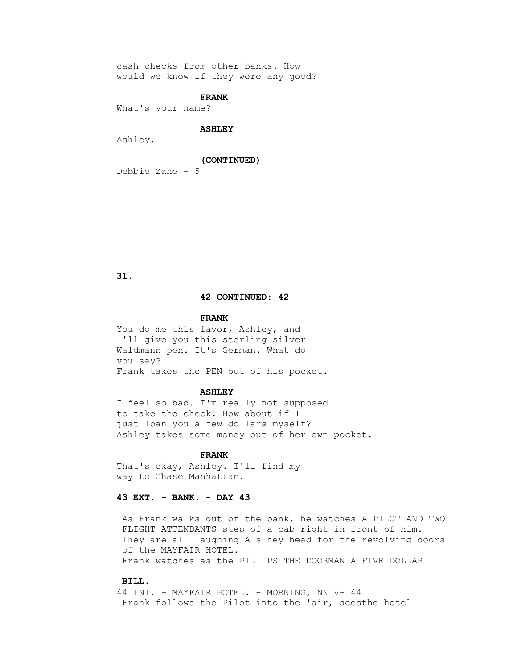cash checks from other banks. How would we know if they were any good?

## **FRANK**

What's your name?

#### **ASHLEY**

Ashley.

#### **(CONTINUED)**

Debbie Zane - 5

 **31.**

## **42 CONTINUED: 42**

#### **FRANK**

You do me this favor, Ashley, and I'll give you this sterling silver Waldmann pen. It's German. What do you say? Frank takes the PEN out of his pocket.

#### **ASHLEY**

 I feel so bad. I'm really not supposed to take the check. How about if I just loan you a few dollars myself? Ashley takes some money out of her own pocket.

## **FRANK**

 That's okay, Ashley. I'll find my way to Chase Manhattan.

## **43 EXT. - BANK. - DAY 43**

 As Frank walks out of the bank, he watches A PILOT AND TWO FLIGHT ATTENDANTS step of a cab right in front of him. They are all laughing A s hey head for the revolving doors of the MAYFAIR HOTEL. Frank watches as the PIL IPS THE DOORMAN A FIVE DOLLAR

#### **BILL.**

44 INT. - MAYFAIR HOTEL. - MORNING,  $N \vee - 44$ Frank follows the Pilot into the 'air, seesthe hotel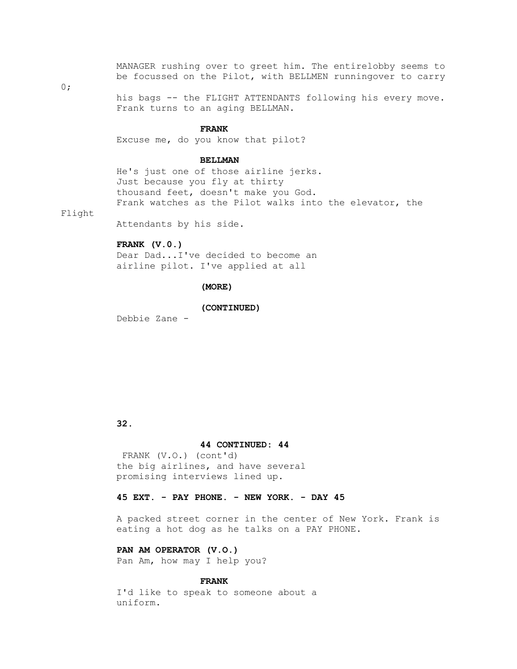MANAGER rushing over to greet him. The entirelobby seems to be focussed on the Pilot, with BELLMEN runningover to carry

0;

 his bags -- the FLIGHT ATTENDANTS following his every move. Frank turns to an aging BELLMAN.

#### **FRANK**

Excuse me, do you know that pilot?

#### **BELLMAN**

 He's just one of those airline jerks. Just because you fly at thirty thousand feet, doesn't make you God. Frank watches as the Pilot walks into the elevator, the

Flight

Attendants by his side.

#### **FRANK (V.0.)**

 Dear Dad...I've decided to become an airline pilot. I've applied at all

#### **(MORE)**

 **(CONTINUED)**

Debbie Zane -

## **32.**

#### **44 CONTINUED: 44**

 FRANK (V.O.) (cont'd) the big airlines, and have several promising interviews lined up.

## **45 EXT. - PAY PHONE. - NEW YORK. - DAY 45**

 A packed street corner in the center of New York. Frank is eating a hot dog as he talks on a PAY PHONE.

# **PAN AM OPERATOR (V.O.)**

Pan Am, how may I help you?

## **FRANK**

 I'd like to speak to someone about a uniform.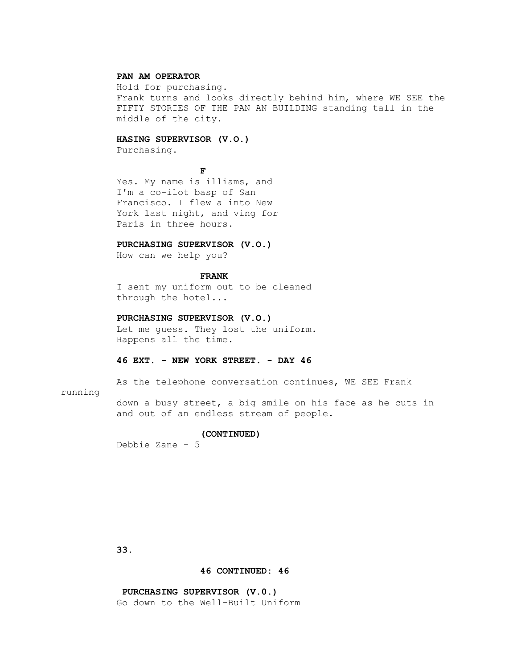## **PAN AM OPERATOR**

 Hold for purchasing. Frank turns and looks directly behind him, where WE SEE the FIFTY STORIES OF THE PAN AN BUILDING standing tall in the middle of the city.

## **HASING SUPERVISOR (V.O.)**

Purchasing.

**FF** 

 Yes. My name is illiams, and I'm a co-ilot basp of San Francisco. I flew a into New York last night, and ving for Paris in three hours.

## **PURCHASING SUPERVISOR (V.O.)**

How can we help you?

## **FRANK**

 I sent my uniform out to be cleaned through the hotel...

## **PURCHASING SUPERVISOR (V.O.)**

 Let me guess. They lost the uniform. Happens all the time.

## **46 EXT. - NEW YORK STREET. - DAY 46**

As the telephone conversation continues, WE SEE Frank

## running

 down a busy street, a big smile on his face as he cuts in and out of an endless stream of people.

#### **(CONTINUED)**

Debbie Zane - 5

 **33.**

#### **46 CONTINUED: 46**

## **PURCHASING SUPERVISOR (V.0.)** Go down to the Well-Built Uniform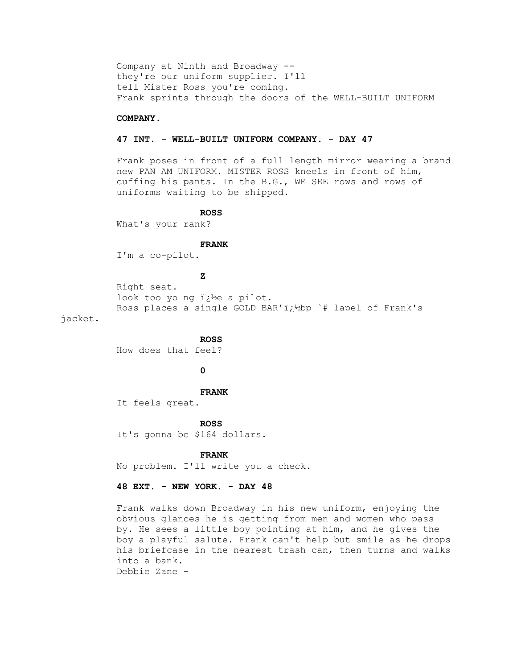Company at Ninth and Broadway - they're our uniform supplier. I'll tell Mister Ross you're coming. Frank sprints through the doors of the WELL-BUILT UNIFORM

#### **COMPANY.**

## **47 INT. - WELL-BUILT UNIFORM COMPANY. - DAY 47**

 Frank poses in front of a full length mirror wearing a brand new PAN AM UNIFORM. MISTER ROSS kneels in front of him, cuffing his pants. In the B.G., WE SEE rows and rows of uniforms waiting to be shipped.

#### **ROSS**

What's your rank?

## **FRANK**

I'm a co-pilot.

## **Z**

```
 Right seat.
look too yo ng i¿½e a pilot.
Ross places a single GOLD BAR'i¿12bp `# lapel of Frank's
```
jacket.

 **ROSS**

How does that feel?

 **0**

#### **FRANK**

It feels great.

#### **ROSS**

It's gonna be \$164 dollars.

## **FRANK**

No problem. I'll write you a check.

## **48 EXT. - NEW YORK. - DAY 48**

 Frank walks down Broadway in his new uniform, enjoying the obvious glances he is getting from men and women who pass by. He sees a little boy pointing at him, and he gives the boy a playful salute. Frank can't help but smile as he drops his briefcase in the nearest trash can, then turns and walks into a bank. Debbie Zane -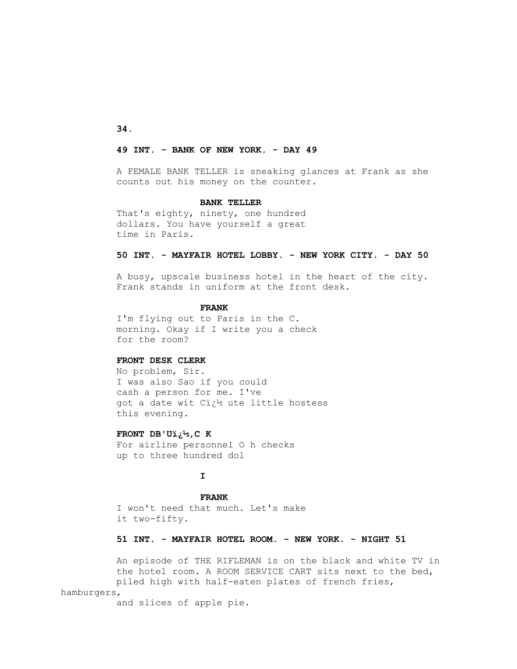**34.**

## **49 INT. - BANK OF NEW YORK. - DAY 49**

 A FEMALE BANK TELLER is sneaking glances at Frank as she counts out his money on the counter.

## **BANK TELLER**

 That's eighty, ninety, one hundred dollars. You have yourself a great time in Paris.

## **50 INT. - MAYFAIR HOTEL LOBBY. - NEW YORK CITY. - DAY 50**

 A busy, upscale business hotel in the heart of the city. Frank stands in uniform at the front desk.

#### **FRANK**

 I'm flying out to Paris in the C. morning. Okay if I write you a check for the room?

## **FRONT DESK CLERK**

 No problem, Sir. I was also Sao if you could cash a person for me. I've got a date wit Cit's ute little hostess this evening.

#### **FRONT DB'U�,C K**

 For airline personnel O h checks up to three hundred dol

## **I**

 **FRANK** I won't need that much. Let's make it two-fifty.

## **51 INT. - MAYFAIR HOTEL ROOM. - NEW YORK. - NIGHT 51**

 An episode of THE RIFLEMAN is on the black and white TV in the hotel room. A ROOM SERVICE CART sits next to the bed, piled high with half-eaten plates of french fries, hamburgers,

and slices of apple pie.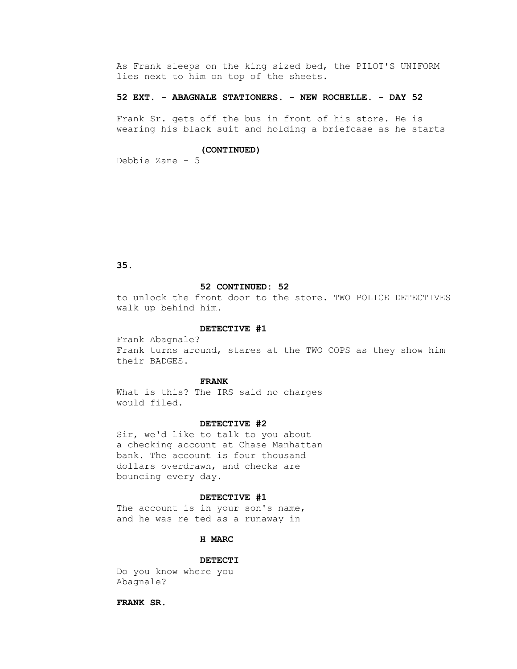As Frank sleeps on the king sized bed, the PILOT'S UNIFORM lies next to him on top of the sheets.

## **52 EXT. - ABAGNALE STATIONERS. - NEW ROCHELLE. - DAY 52**

 Frank Sr. gets off the bus in front of his store. He is wearing his black suit and holding a briefcase as he starts

## **(CONTINUED)**

Debbie Zane - 5

## **35.**

#### **52 CONTINUED: 52**

 to unlock the front door to the store. TWO POLICE DETECTIVES walk up behind him.

#### **DETECTIVE #1**

 Frank Abagnale? Frank turns around, stares at the TWO COPS as they show him their BADGES.

#### **FRANK**

 What is this? The IRS said no charges would filed.

#### **DETECTIVE #2**

 Sir, we'd like to talk to you about a checking account at Chase Manhattan bank. The account is four thousand dollars overdrawn, and checks are bouncing every day.

## **DETECTIVE #1**

The account is in your son's name, and he was re ted as a runaway in

## **H MARC**

#### **DETECTI**

 Do you know where you Abagnale?

 **FRANK SR.**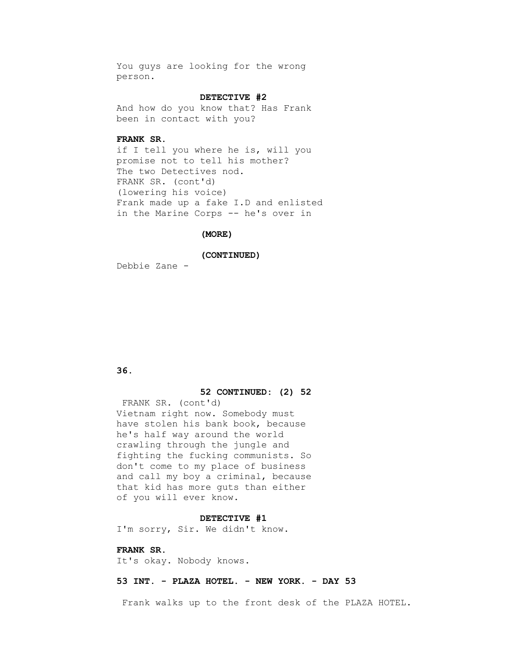You guys are looking for the wrong person.

## **DETECTIVE #2**

 And how do you know that? Has Frank been in contact with you?

## **FRANK SR.**

 if I tell you where he is, will you promise not to tell his mother? The two Detectives nod. FRANK SR. (cont'd) (lowering his voice) Frank made up a fake I.D and enlisted in the Marine Corps -- he's over in

#### **(MORE)**

 **(CONTINUED)**

Debbie Zane -

## **36.**

## **52 CONTINUED: (2) 52**

 FRANK SR. (cont'd) Vietnam right now. Somebody must have stolen his bank book, because he's half way around the world crawling through the jungle and fighting the fucking communists. So don't come to my place of business and call my boy a criminal, because that kid has more guts than either of you will ever know.

#### **DETECTIVE #1**

I'm sorry, Sir. We didn't know.

## **FRANK SR.**

It's okay. Nobody knows.

## **53 INT. - PLAZA HOTEL. - NEW YORK. - DAY 53**

Frank walks up to the front desk of the PLAZA HOTEL.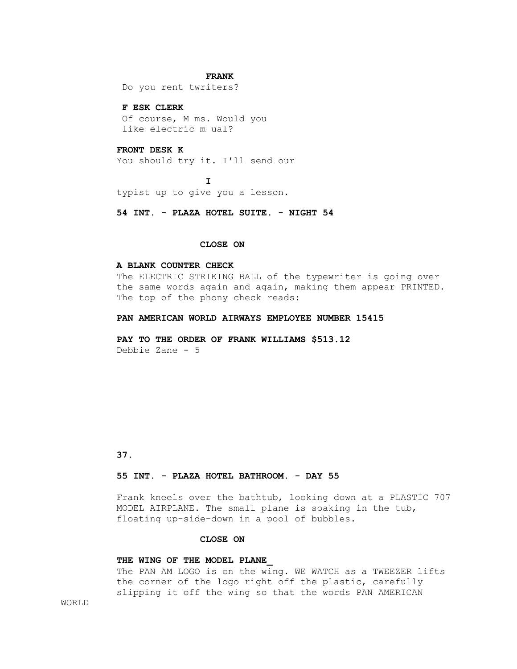#### **FRANK**

Do you rent twriters?

#### **F ESK CLERK**

 Of course, M ms. Would you like electric m ual?

## **FRONT DESK K**

You should try it. I'll send our

**I** typist up to give you a lesson.

 **54 INT. - PLAZA HOTEL SUITE. - NIGHT 54**

## **CLOSE ON**

#### **A BLANK COUNTER CHECK**

 The ELECTRIC STRIKING BALL of the typewriter is going over the same words again and again, making them appear PRINTED. The top of the phony check reads:

#### **PAN AMERICAN WORLD AIRWAYS EMPLOYEE NUMBER 15415**

 **PAY TO THE ORDER OF FRANK WILLIAMS \$513.12** Debbie Zane - 5

## **37.**

#### **55 INT. - PLAZA HOTEL BATHROOM. - DAY 55**

 Frank kneels over the bathtub, looking down at a PLASTIC 707 MODEL AIRPLANE. The small plane is soaking in the tub, floating up-side-down in a pool of bubbles.

## **CLOSE ON**

#### **THE WING OF THE MODEL PLANE\_**

 The PAN AM LOGO is on the wing. WE WATCH as a TWEEZER lifts the corner of the logo right off the plastic, carefully slipping it off the wing so that the words PAN AMERICAN

WORLD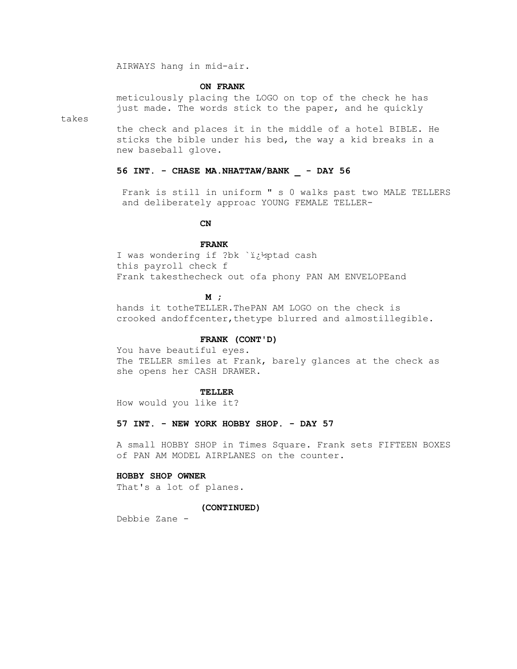AIRWAYS hang in mid-air.

#### **ON FRANK**

 meticulously placing the LOGO on top of the check he has just made. The words stick to the paper, and he quickly

takes

 the check and places it in the middle of a hotel BIBLE. He sticks the bible under his bed, the way a kid breaks in a new baseball glove.

#### **56 INT. - CHASE MA.NHATTAW/BANK \_ - DAY 56**

 Frank is still in uniform " s 0 walks past two MALE TELLERS and deliberately approac YOUNG FEMALE TELLER-

## *CN*

## **FRANK**

I was wondering if ?bk `i¿1/2ptad cash this payroll check f Frank takesthecheck out ofa phony PAN AM ENVELOPEand

## *M* ;

 hands it totheTELLER.ThePAN AM LOGO on the check is crooked andoffcenter,thetype blurred and almostillegible.

## **FRANK (CONT'D)**

 You have beautiful eyes. The TELLER smiles at Frank, barely glances at the check as she opens her CASH DRAWER.

#### **TELLER**

How would you like it?

## **57 INT. - NEW YORK HOBBY SHOP. - DAY 57**

 A small HOBBY SHOP in Times Square. Frank sets FIFTEEN BOXES of PAN AM MODEL AIRPLANES on the counter.

## **HOBBY SHOP OWNER**

That's a lot of planes.

#### **(CONTINUED)**

Debbie Zane -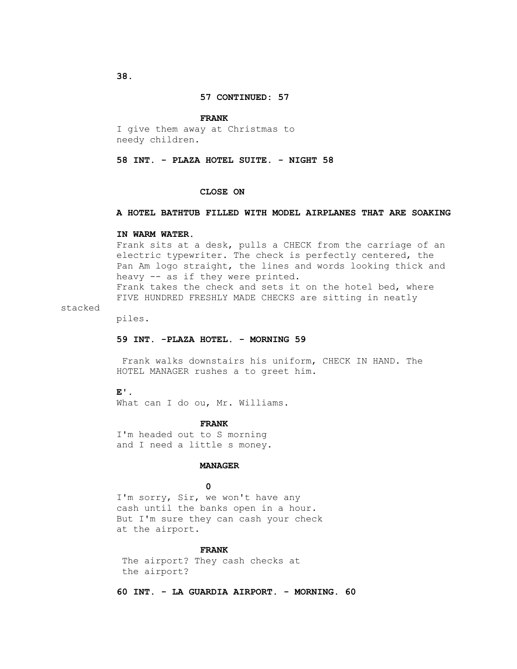#### **FRANK**

 I give them away at Christmas to needy children.

#### **58 INT. - PLAZA HOTEL SUITE. - NIGHT 58**

#### **CLOSE ON**

## **A HOTEL BATHTUB FILLED WITH MODEL AIRPLANES THAT ARE SOAKING**

#### **IN WARM WATER.**

 Frank sits at a desk, pulls a CHECK from the carriage of an electric typewriter. The check is perfectly centered, the Pan Am logo straight, the lines and words looking thick and heavy -- as if they were printed. Frank takes the check and sets it on the hotel bed, where FIVE HUNDRED FRESHLY MADE CHECKS are sitting in neatly

## stacked

piles.

## **59 INT. -PLAZA HOTEL. - MORNING 59**

 Frank walks downstairs his uniform, CHECK IN HAND. The HOTEL MANAGER rushes a to greet him.

#### **E'.**

What can I do ou, Mr. Williams.

#### **FRANK**

 I'm headed out to S morning and I need a little s money.

## **MANAGER**

## **0**

I'm sorry, Sir, we won't have any cash until the banks open in a hour. But I'm sure they can cash your check at the airport.

#### **FRANK**

 The airport? They cash checks at the airport?

 **60 INT. - LA GUARDIA AIRPORT. - MORNING. 60**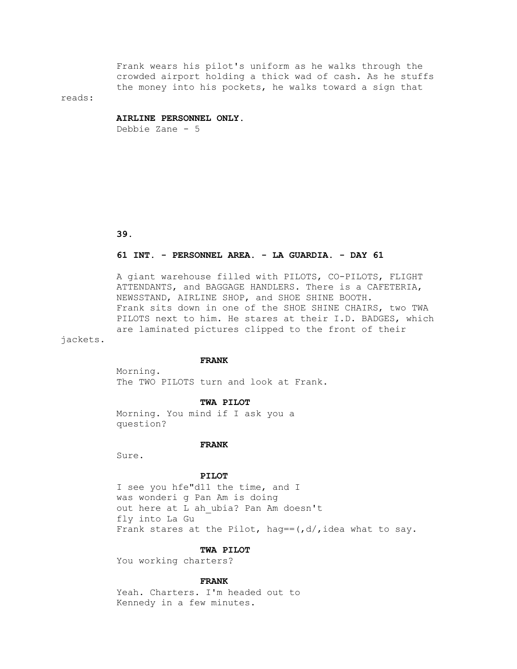Frank wears his pilot's uniform as he walks through the crowded airport holding a thick wad of cash. As he stuffs the money into his pockets, he walks toward a sign that

reads:

#### **AIRLINE PERSONNEL ONLY.**

Debbie Zane - 5

 **39.**

## **61 INT. - PERSONNEL AREA. - LA GUARDIA. - DAY 61**

 A giant warehouse filled with PILOTS, CO-PILOTS, FLIGHT ATTENDANTS, and BAGGAGE HANDLERS. There is a CAFETERIA, NEWSSTAND, AIRLINE SHOP, and SHOE SHINE BOOTH. Frank sits down in one of the SHOE SHINE CHAIRS, two TWA PILOTS next to him. He stares at their I.D. BADGES, which are laminated pictures clipped to the front of their

jackets.

## **FRANK**

The TWO PILOTS turn and look at Frank.

#### **TWA PILOT**

 Morning. You mind if I ask you a question?

 **FRANK**

Sure.

Morning.

## **PILOT**

 I see you hfe"d11 the time, and I was wonderi g Pan Am is doing out here at L ah ubia? Pan Am doesn't fly into La Gu Frank stares at the Pilot, hag ==  $(d/$ , idea what to say.

#### **TWA PILOT**

You working charters?

#### **FRANK**

 Yeah. Charters. I'm headed out to Kennedy in a few minutes.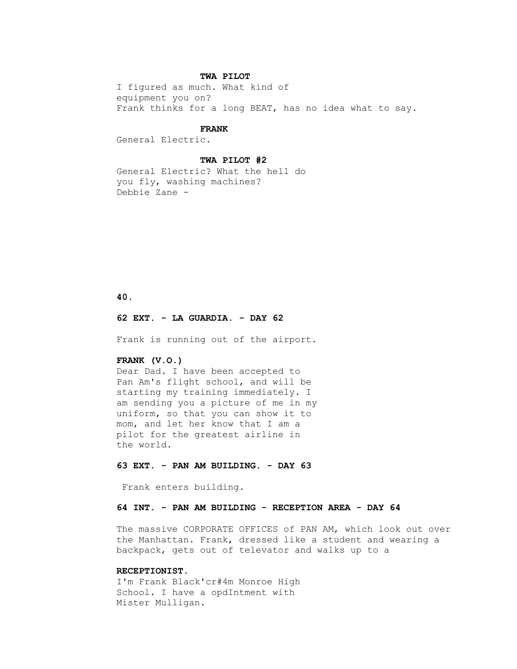## **TWA PILOT**

 I figured as much. What kind of equipment you on? Frank thinks for a long BEAT, has no idea what to say.

#### **FRANK**

General Electric.

#### **TWA PILOT #2**

 General Electric? What the hell do you fly, washing machines? Debbie Zane -

## **40.**

#### **62 EXT. - LA GUARDIA. - DAY 62**

Frank is running out of the airport.

## **FRANK (V.O.)**

 Dear Dad. I have been accepted to Pan Am's flight school, and will be starting my training immediately. I am sending you a picture of me in my uniform, so that you can show it to mom, and let her know that I am a pilot for the greatest airline in the world.

## **63 EXT. - PAN AM BUILDING. - DAY 63**

Frank enters building.

## **64 INT. - PAN AM BUILDING - RECEPTION AREA - DAY 64**

 The massive CORPORATE OFFICES of PAN AM, which look out over the Manhattan. Frank, dressed like a student and wearing a backpack, gets out of televator and walks up to a

#### **RECEPTIONIST.**

 I'm Frank Black'cr#4m Monroe High School. I have a opdIntment with Mister Mulligan.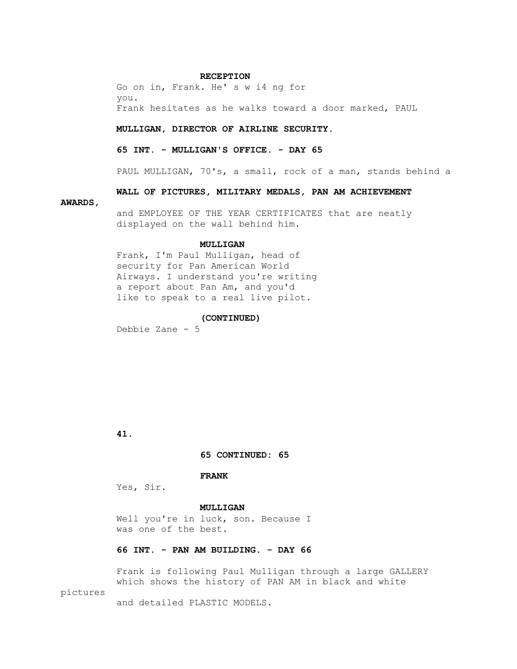#### **RECEPTION**

 Go on in, Frank. He' s w i4 ng for you. Frank hesitates as he walks toward a door marked, PAUL

#### **MULLIGAN, DIRECTOR OF AIRLINE SECURITY.**

#### **65 INT. - MULLIGAN'S OFFICE. - DAY 65**

PAUL MULLIGAN, 70's, a small, rock of a man, stands behind a

## **WALL OF PICTURES, MILITARY MEDALS, PAN AM ACHIEVEMENT**

#### **AWARDS,**

 and EMPLOYEE OF THE YEAR CERTIFICATES that are neatly displayed on the wall behind him.

#### **MULLIGAN**

 Frank, I'm Paul Mulligan, head of security for Pan American World Airways. I understand you're writing a report about Pan Am, and you'd like to speak to a real live pilot.

## **(CONTINUED)**

Debbie Zane - 5

## **41.**

 **65 CONTINUED: 65**

## **FRANK**

Yes, Sir.

## **MULLIGAN**

Well you're in luck, son. Because I was one of the best.

## **66 INT. - PAN AM BUILDING. - DAY 66**

 Frank is following Paul Mulligan through a large GALLERY which shows the history of PAN AM in black and white

## pictures

and detailed PLASTIC MODELS.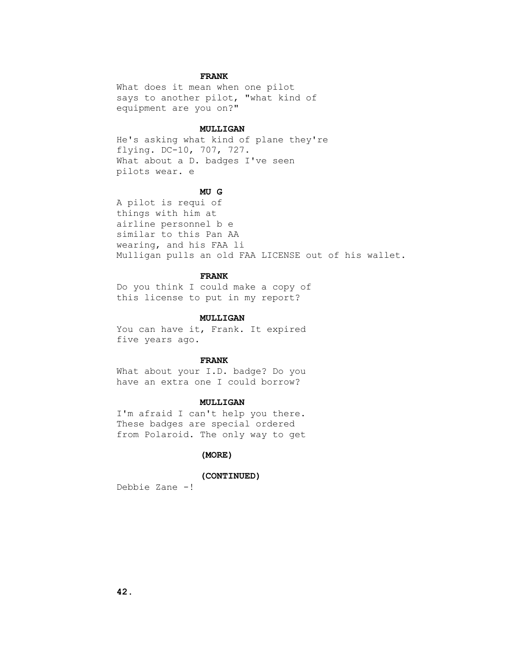## **FRANK**

 What does it mean when one pilot says to another pilot, "what kind of equipment are you on?"

#### **MULLIGAN**

 He's asking what kind of plane they're flying. DC-10, 707, 727. What about a D. badges I've seen pilots wear. e

#### **MU G**

 A pilot is requi of things with him at airline personnel b e similar to this Pan AA wearing, and his FAA li Mulligan pulls an old FAA LICENSE out of his wallet.

## **FRANK**

 Do you think I could make a copy of this license to put in my report?

#### **MULLIGAN**

You can have it, Frank. It expired five years ago.

## **FRANK**

 What about your I.D. badge? Do you have an extra one I could borrow?

## **MULLIGAN**

 I'm afraid I can't help you there. These badges are special ordered from Polaroid. The only way to get

## **(MORE)**

## **(CONTINUED)**

Debbie Zane -!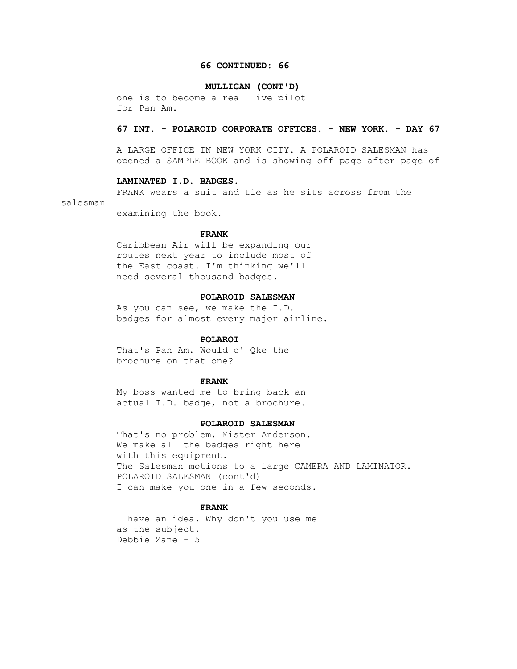#### **66 CONTINUED: 66**

#### **MULLIGAN (CONT'D)**

 one is to become a real live pilot for Pan Am.

#### **67 INT. - POLAROID CORPORATE OFFICES. - NEW YORK. - DAY 67**

 A LARGE OFFICE IN NEW YORK CITY. A POLAROID SALESMAN has opened a SAMPLE BOOK and is showing off page after page of

## **LAMINATED I.D. BADGES.**

FRANK wears a suit and tie as he sits across from the

#### salesman

examining the book.

#### **FRANK**

 Caribbean Air will be expanding our routes next year to include most of the East coast. I'm thinking we'll need several thousand badges.

## **POLAROID SALESMAN**

 As you can see, we make the I.D. badges for almost every major airline.

## **POLAROI**

 That's Pan Am. Would o' Qke the brochure on that one?

#### **FRANK**

 My boss wanted me to bring back an actual I.D. badge, not a brochure.

## **POLAROID SALESMAN**

 That's no problem, Mister Anderson. We make all the badges right here with this equipment. The Salesman motions to a large CAMERA AND LAMINATOR. POLAROID SALESMAN (cont'd) I can make you one in a few seconds.

## **FRANK**

 I have an idea. Why don't you use me as the subject. Debbie Zane - 5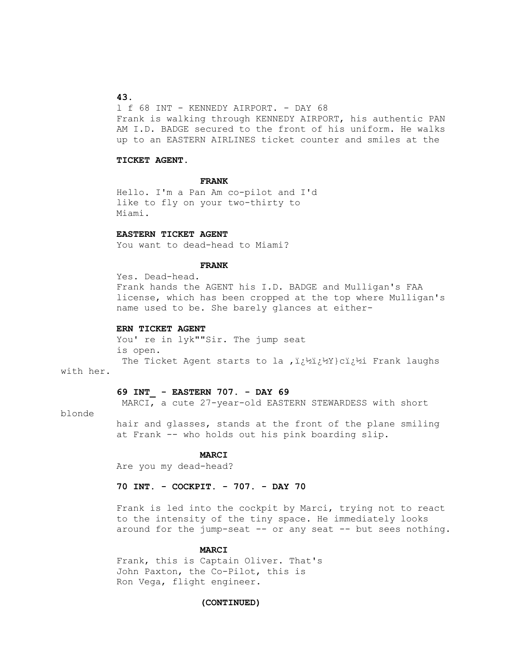## **43.**

 l f 68 INT - KENNEDY AIRPORT. - DAY 68 Frank is walking through KENNEDY AIRPORT, his authentic PAN AM I.D. BADGE secured to the front of his uniform. He walks up to an EASTERN AIRLINES ticket counter and smiles at the

#### **TICKET AGENT.**

## **FRANK**

 Hello. I'm a Pan Am co-pilot and I'd like to fly on your two-thirty to Miami.

#### **EASTERN TICKET AGENT**

You want to dead-head to Miami?

## **FRANK**

 Yes. Dead-head. Frank hands the AGENT his I.D. BADGE and Mulligan's FAA license, which has been cropped at the top where Mulligan's name used to be. She barely glances at either-

## **ERN TICKET AGENT**

You' re in lyk""Sir. The jump seat is open. The Ticket Agent starts to la  $\mu$   $i \rightarrow \nu$   $i \rightarrow \nu$  Frank laughs

## with her.

## **69 INT\_ - EASTERN 707. - DAY 69**

MARCI, a cute 27-year-old EASTERN STEWARDESS with short

## blonde

 hair and glasses, stands at the front of the plane smiling at Frank -- who holds out his pink boarding slip.

## **MARCI**

Are you my dead-head?

## **70 INT. - COCKPIT. - 707. - DAY 70**

 Frank is led into the cockpit by Marci, trying not to react to the intensity of the tiny space. He immediately looks around for the jump-seat -- or any seat -- but sees nothing.

#### **MARCI**

 Frank, this is Captain Oliver. That's John Paxton, the Co-Pilot, this is Ron Vega, flight engineer.

#### **(CONTINUED)**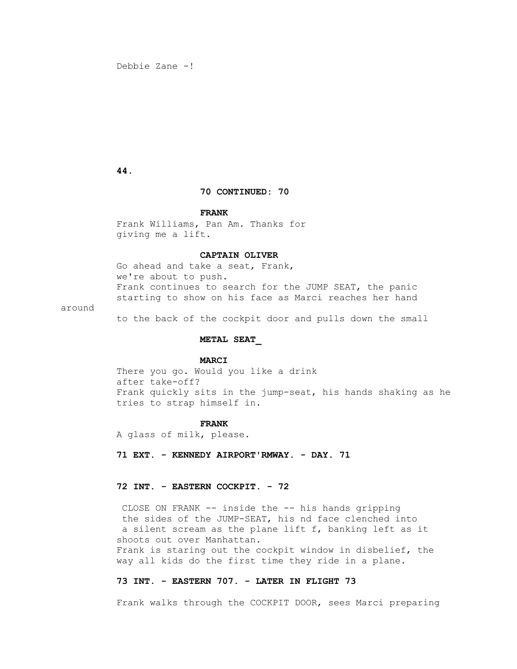Debbie Zane -!

 **44.**

## **70 CONTINUED: 70**

## **FRANK**

 Frank Williams, Pan Am. Thanks for giving me a lift.

## **CAPTAIN OLIVER**

 Go ahead and take a seat, Frank, we're about to push. Frank continues to search for the JUMP SEAT, the panic starting to show on his face as Marci reaches her hand

around

to the back of the cockpit door and pulls down the small

## **METAL SEAT\_**

## **MARCI**

 There you go. Would you like a drink after take-off? Frank quickly sits in the jump-seat, his hands shaking as he tries to strap himself in.

#### **FRANK**

A glass of milk, please.

 **71 EXT. - KENNEDY AIRPORT'RMWAY. - DAY. 71**

## **72 INT. - EASTERN COCKPIT. - 72**

 CLOSE ON FRANK -- inside the -- his hands gripping the sides of the JUMP-SEAT, his nd face clenched into a silent scream as the plane lift f, banking left as it shoots out over Manhattan. Frank is staring out the cockpit window in disbelief, the way all kids do the first time they ride in a plane.

## **73 INT. - EASTERN 707. - LATER IN FLIGHT 73**

Frank walks through the COCKPIT DOOR, sees Marci preparing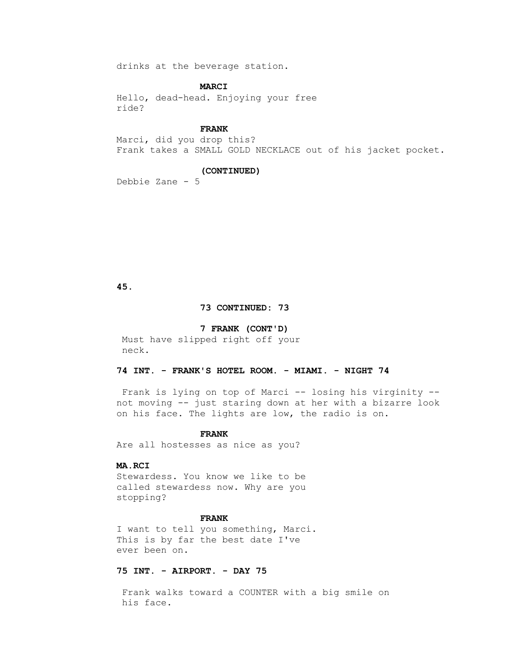drinks at the beverage station.

## **MARCI**

 Hello, dead-head. Enjoying your free ride?

## **FRANK**

 Marci, did you drop this? Frank takes a SMALL GOLD NECKLACE out of his jacket pocket.

## **(CONTINUED)**

Debbie Zane - 5

 **45.**

## **73 CONTINUED: 73**

## **7 FRANK (CONT'D)**

 Must have slipped right off your neck.

## **74 INT. - FRANK'S HOTEL ROOM. - MIAMI. - NIGHT 74**

 Frank is lying on top of Marci -- losing his virginity - not moving -- just staring down at her with a bizarre look on his face. The lights are low, the radio is on.

#### **FRANK**

Are all hostesses as nice as you?

## **MA.RCI**

 Stewardess. You know we like to be called stewardess now. Why are you stopping?

## **FRANK**

 I want to tell you something, Marci. This is by far the best date I've ever been on.

## **75 INT. - AIRPORT. - DAY 75**

 Frank walks toward a COUNTER with a big smile on his face.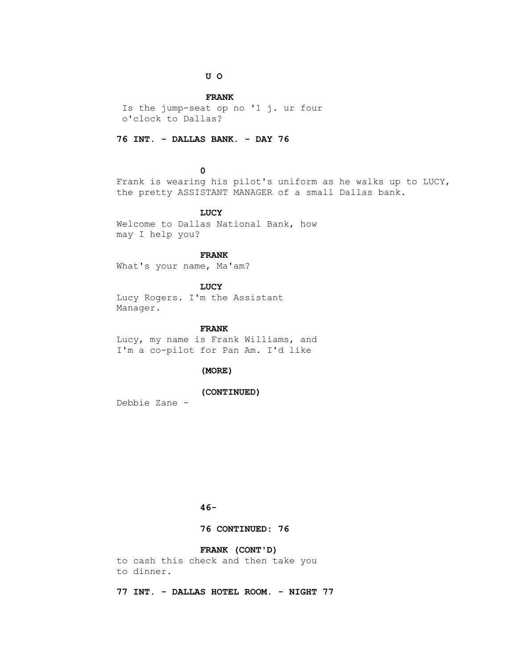## **U O**

## **FRANK**

 Is the jump-seat op no '1 j. ur four o'clock to Dallas?

## **76 INT. - DALLAS BANK. - DAY 76**

## **0**

 Frank is wearing his pilot's uniform as he walks up to LUCY, the pretty ASSISTANT MANAGER of a small Dallas bank.

## **LUCY**

 Welcome to Dallas National Bank, how may I help you?

## **FRANK**

What's your name, Ma'am?

## **LUCY**

 Lucy Rogers. I'm the Assistant Manager.

## **FRANK**

 Lucy, my name is Frank Williams, and I'm a co-pilot for Pan Am. I'd like

## **(MORE)**

## **(CONTINUED)**

Debbie Zane -

## **46-**

## **76 CONTINUED: 76**

## **FRANK (CONT'D)**

 to cash this check and then take you to dinner.

 **77 INT. - DALLAS HOTEL ROOM. - NIGHT 77**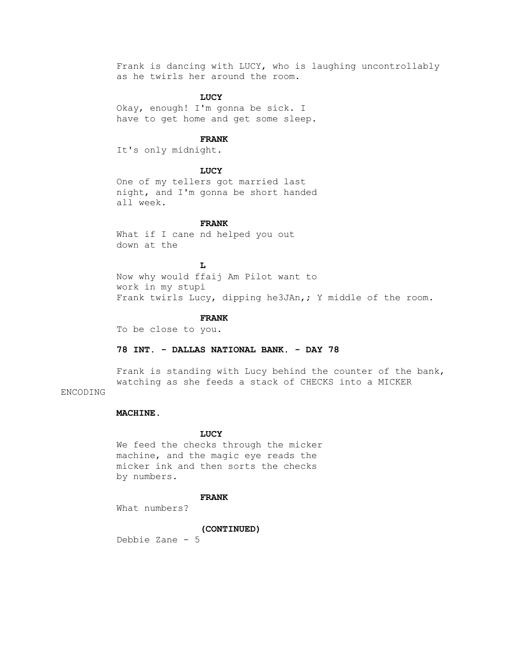Frank is dancing with LUCY, who is laughing uncontrollably as he twirls her around the room.

## **LUCY**

 Okay, enough! I'm gonna be sick. I have to get home and get some sleep.

## **FRANK**

It's only midnight.

## **LUCY**

 One of my tellers got married last night, and I'm gonna be short handed all week.

#### **FRANK**

What if I cane nd helped you out down at the

 **L** Now why would ffaij Am Pilot want to work in my stupi Frank twirls Lucy, dipping he3JAn,; Y middle of the room.

#### **FRANK**

To be close to you.

## **78 INT. - DALLAS NATIONAL BANK. - DAY 78**

 Frank is standing with Lucy behind the counter of the bank, watching as she feeds a stack of CHECKS into a MICKER

## ENCODING

## **MACHINE.**

#### **LUCY**

 We feed the checks through the micker machine, and the magic eye reads the micker ink and then sorts the checks by numbers.

#### **FRANK**

What numbers?

## **(CONTINUED)**

Debbie Zane - 5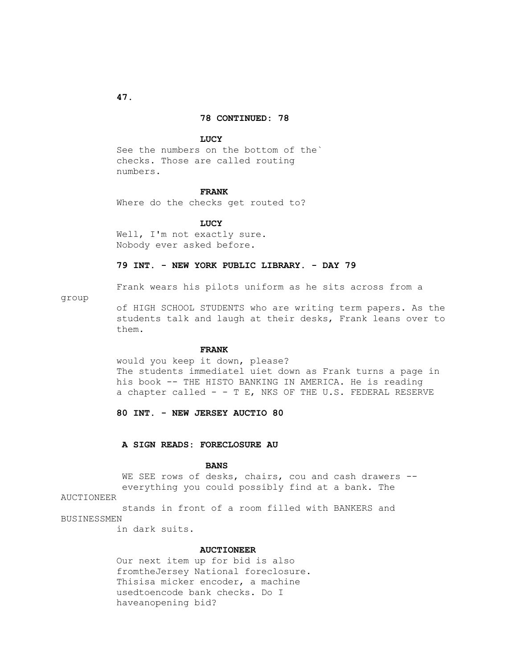#### **78 CONTINUED: 78**

#### **LUCY**

 See the numbers on the bottom of the` checks. Those are called routing numbers.

#### **FRANK**

Where do the checks get routed to?

 **LUCY**

Well, I'm not exactly sure. Nobody ever asked before.

## **79 INT. - NEW YORK PUBLIC LIBRARY. - DAY 79**

Frank wears his pilots uniform as he sits across from a

group

 of HIGH SCHOOL STUDENTS who are writing term papers. As the students talk and laugh at their desks, Frank leans over to them.

#### **FRANK**

 would you keep it down, please? The students immediatel uiet down as Frank turns a page in his book -- THE HISTO BANKING IN AMERICA. He is reading a chapter called  $-$  - T E, NKS OF THE U.S. FEDERAL RESERVE

 **80 INT. - NEW JERSEY AUCTIO 80** 

## **A SIGN READS: FORECLOSURE AU**

#### **BANS**

WE SEE rows of desks, chairs, cou and cash drawers -everything you could possibly find at a bank. The

## AUCTIONEER

 stands in front of a room filled with BANKERS and BUSINESSMEN

in dark suits.

#### **AUCTIONEER**

 Our next item up for bid is also fromtheJersey National foreclosure. Thisisa micker encoder, a machine usedtoencode bank checks. Do I haveanopening bid?

 **47.**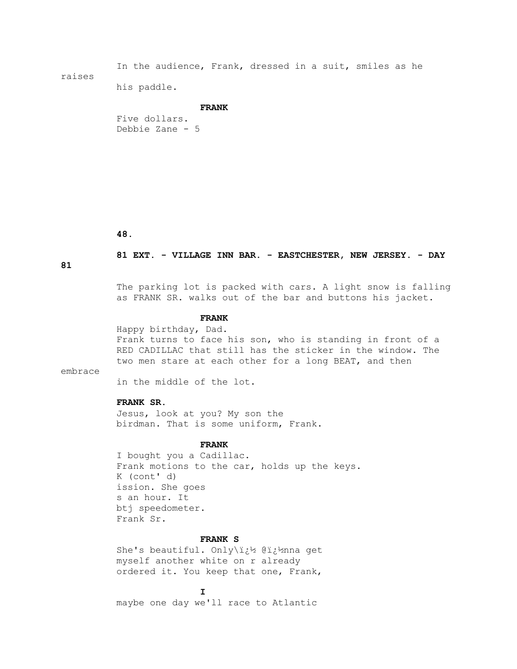In the audience, Frank, dressed in a suit, smiles as he raises

his paddle.

#### **FRANK**

 Five dollars. Debbie Zane - 5

 **48.**

## **81 EXT. - VILLAGE INN BAR. - EASTCHESTER, NEW JERSEY. - DAY**

**81**

 The parking lot is packed with cars. A light snow is falling as FRANK SR. walks out of the bar and buttons his jacket.

#### **FRANK**

 Happy birthday, Dad. Frank turns to face his son, who is standing in front of a RED CADILLAC that still has the sticker in the window. The two men stare at each other for a long BEAT, and then

embrace

in the middle of the lot.

## **FRANK SR.**

 Jesus, look at you? My son the birdman. That is some uniform, Frank.

#### **FRANK**

 I bought you a Cadillac. Frank motions to the car, holds up the keys. K (cont' d) ission. She goes s an hour. It btj speedometer. Frank Sr.

#### **FRANK S**

She's beautiful. Only\i¿1% @i¿1%nna get myself another white on r already ordered it. You keep that one, Frank,

**I** 

maybe one day we'll race to Atlantic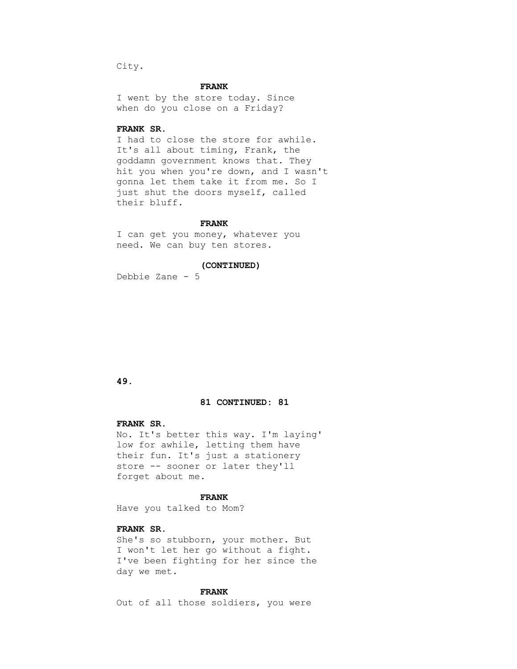City.

## **FRANK**

 I went by the store today. Since when do you close on a Friday?

## **FRANK SR.**

 I had to close the store for awhile. It's all about timing, Frank, the goddamn government knows that. They hit you when you're down, and I wasn't gonna let them take it from me. So I just shut the doors myself, called their bluff.

## **FRANK**

 I can get you money, whatever you need. We can buy ten stores.

 **(CONTINUED)**

Debbie Zane - 5

## **49.**

## **81 CONTINUED: 81**

## **FRANK SR.**

 No. It's better this way. I'm laying' low for awhile, letting them have their fun. It's just a stationery store -- sooner or later they'll forget about me.

#### **FRANK**

Have you talked to Mom?

## **FRANK SR.**

 She's so stubborn, your mother. But I won't let her go without a fight. I've been fighting for her since the day we met.

## **FRANK**

Out of all those soldiers, you were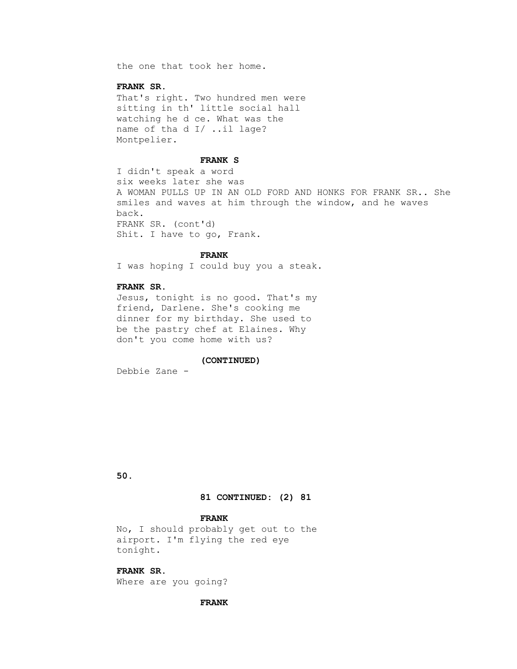the one that took her home.

## **FRANK SR.**

 That's right. Two hundred men were sitting in th' little social hall watching he d ce. What was the name of tha d I/ ..il lage? Montpelier.

#### **FRANK S**

 I didn't speak a word six weeks later she was A WOMAN PULLS UP IN AN OLD FORD AND HONKS FOR FRANK SR.. She smiles and waves at him through the window, and he waves back. FRANK SR. (cont'd) Shit. I have to go, Frank.

## **FRANK**

I was hoping I could buy you a steak.

## **FRANK SR.**

 Jesus, tonight is no good. That's my friend, Darlene. She's cooking me dinner for my birthday. She used to be the pastry chef at Elaines. Why don't you come home with us?

#### **(CONTINUED)**

Debbie Zane -

 **50.**

## **81 CONTINUED: (2) 81**

#### **FRANK**

 No, I should probably get out to the airport. I'm flying the red eye tonight.

## **FRANK SR.**

Where are you going?

## **FRANK**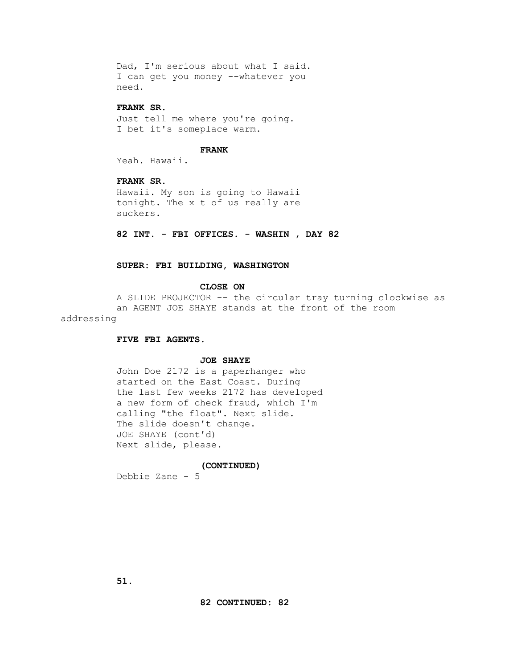Dad, I'm serious about what I said. I can get you money --whatever you need.

## **FRANK SR.**

 Just tell me where you're going. I bet it's someplace warm.

## **FRANK**

Yeah. Hawaii.

## **FRANK SR.**

 Hawaii. My son is going to Hawaii tonight. The x t of us really are suckers.

 **82 INT. - FBI OFFICES. - WASHIN , DAY 82**

## **SUPER: FBI BUILDING, WASHINGTON**

#### **CLOSE ON**

 A SLIDE PROJECTOR -- the circular tray turning clockwise as an AGENT JOE SHAYE stands at the front of the room addressing

## **FIVE FBI AGENTS.**

## **JOE SHAYE**

 John Doe 2172 is a paperhanger who started on the East Coast. During the last few weeks 2172 has developed a new form of check fraud, which I'm calling "the float". Next slide. The slide doesn't change. JOE SHAYE (cont'd) Next slide, please.

#### **(CONTINUED)**

Debbie Zane - 5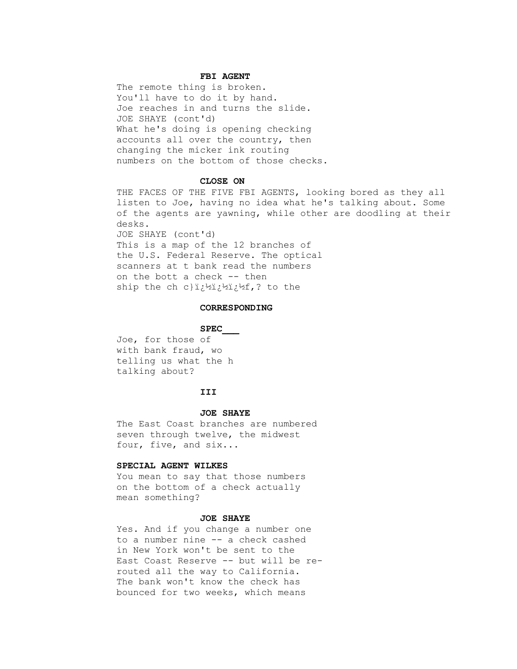## **FBI AGENT**

 The remote thing is broken. You'll have to do it by hand. Joe reaches in and turns the slide. JOE SHAYE (cont'd) What he's doing is opening checking accounts all over the country, then changing the micker ink routing numbers on the bottom of those checks.

#### **CLOSE ON**

 THE FACES OF THE FIVE FBI AGENTS, looking bored as they all listen to Joe, having no idea what he's talking about. Some of the agents are yawning, while other are doodling at their desks. JOE SHAYE (cont'd) This is a map of the 12 branches of the U.S. Federal Reserve. The optical scanners at t bank read the numbers on the bott a check -- then ship the ch c}i¿½i¿½í,? to the

#### **CORRESPONDING**

#### **SPEC\_\_\_**

 Joe, for those of with bank fraud, wo telling us what the h talking about?

## **III**

#### **JOE SHAYE**

 The East Coast branches are numbered seven through twelve, the midwest four, five, and six...

## **SPECIAL AGENT WILKES**

 You mean to say that those numbers on the bottom of a check actually mean something?

#### **JOE SHAYE**

 Yes. And if you change a number one to a number nine -- a check cashed in New York won't be sent to the East Coast Reserve -- but will be re routed all the way to California. The bank won't know the check has bounced for two weeks, which means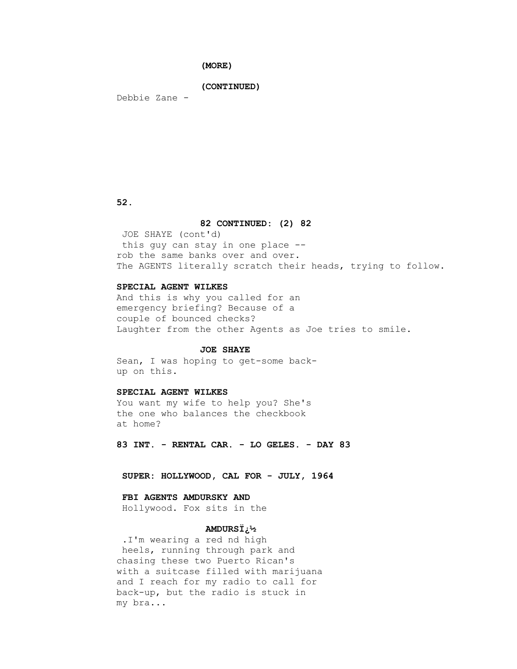## **(MORE)**

#### **(CONTINUED)**

Debbie Zane -

 **52.**

## **82 CONTINUED: (2) 82**

 JOE SHAYE (cont'd) this guy can stay in one place - rob the same banks over and over. The AGENTS literally scratch their heads, trying to follow.

## **SPECIAL AGENT WILKES**

 And this is why you called for an emergency briefing? Because of a couple of bounced checks? Laughter from the other Agents as Joe tries to smile.

#### **JOE SHAYE**

 Sean, I was hoping to get-some back up on this.

## **SPECIAL AGENT WILKES**

 You want my wife to help you? She's the one who balances the checkbook at home?

 **83 INT. - RENTAL CAR. - LO GELES. - DAY 83**

 **SUPER: HOLLYWOOD, CAL FOR - JULY, 1964**

## **FBI AGENTS AMDURSKY AND**

Hollywood. Fox sits in the

## **AMDURSÏ¿½**

 .I'm wearing a red nd high heels, running through park and chasing these two Puerto Rican's with a suitcase filled with marijuana and I reach for my radio to call for back-up, but the radio is stuck in my bra...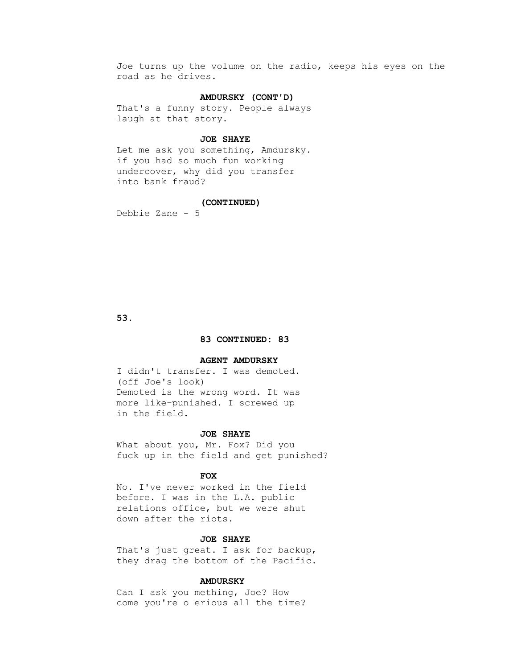Joe turns up the volume on the radio, keeps his eyes on the road as he drives.

## **AMDURSKY (CONT'D)**

 That's a funny story. People always laugh at that story.

## **JOE SHAYE**

 Let me ask you something, Amdursky. if you had so much fun working undercover, why did you transfer into bank fraud?

#### **(CONTINUED)**

Debbie Zane - 5

 **53.**

## **83 CONTINUED: 83**

#### **AGENT AMDURSKY**

 I didn't transfer. I was demoted. (off Joe's look) Demoted is the wrong word. It was more like-punished. I screwed up in the field.

#### **JOE SHAYE**

 What about you, Mr. Fox? Did you fuck up in the field and get punished?

## *FOX*

 No. I've never worked in the field before. I was in the L.A. public relations office, but we were shut down after the riots.

## **JOE SHAYE**

 That's just great. I ask for backup, they drag the bottom of the Pacific.

## **AMDURSKY**

 Can I ask you mething, Joe? How come you're o erious all the time?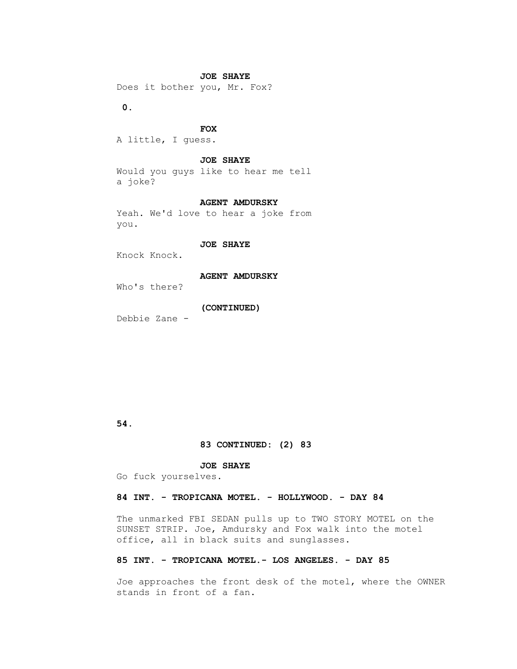## **JOE SHAYE**

Does it bother you, Mr. Fox?

 **0.**

## *FOX*

A little, I guess.

#### **JOE SHAYE**

 Would you guys like to hear me tell a joke?

## **AGENT AMDURSKY**

 Yeah. We'd love to hear a joke from you.

## **JOE SHAYE**

Knock Knock.

#### **AGENT AMDURSKY**

Who's there?

## **(CONTINUED)**

Debbie Zane -

## **54.**

## **83 CONTINUED: (2) 83**

## **JOE SHAYE**

Go fuck yourselves.

## **84 INT. - TROPICANA MOTEL. - HOLLYWOOD. - DAY 84**

 The unmarked FBI SEDAN pulls up to TWO STORY MOTEL on the SUNSET STRIP. Joe, Amdursky and Fox walk into the motel office, all in black suits and sunglasses.

## **85 INT. - TROPICANA MOTEL.- LOS ANGELES. - DAY 85**

 Joe approaches the front desk of the motel, where the OWNER stands in front of a fan.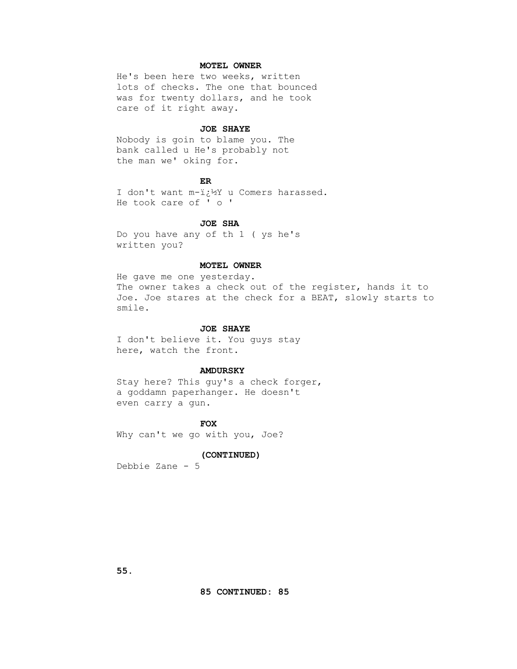## **MOTEL OWNER**

 He's been here two weeks, written lots of checks. The one that bounced was for twenty dollars, and he took care of it right away.

#### **JOE SHAYE**

 Nobody is goin to blame you. The bank called u He's probably not the man we' oking for.

## **ER**

I don't want m-ï¿1/2Y u Comers harassed. He took care of ' o '

## **JOE SHA**

 Do you have any of th 1 ( ys he's written you?

## **MOTEL OWNER**

 He gave me one yesterday. The owner takes a check out of the register, hands it to Joe. Joe stares at the check for a BEAT, slowly starts to smile.

## **JOE SHAYE**

 I don't believe it. You guys stay here, watch the front.

#### **AMDURSKY**

 Stay here? This guy's a check forger, a goddamn paperhanger. He doesn't even carry a gun.

*FOX* Why can't we go with you, Joe?

## **(CONTINUED)**

Debbie Zane - 5

 **55.**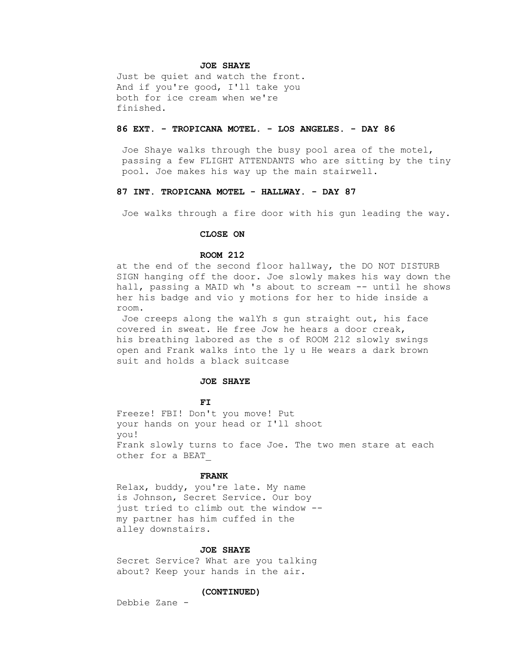#### **JOE SHAYE**

 Just be quiet and watch the front. And if you're good, I'll take you both for ice cream when we're finished.

## **86 EXT. - TROPICANA MOTEL. - LOS ANGELES. - DAY 86**

 Joe Shaye walks through the busy pool area of the motel, passing a few FLIGHT ATTENDANTS who are sitting by the tiny pool. Joe makes his way up the main stairwell.

## **87 INT. TROPICANA MOTEL - HALLWAY. - DAY 87**

Joe walks through a fire door with his gun leading the way.

#### **CLOSE ON**

## **ROOM 212**

 at the end of the second floor hallway, the DO NOT DISTURB SIGN hanging off the door. Joe slowly makes his way down the hall, passing a MAID wh 's about to scream -- until he shows her his badge and vio y motions for her to hide inside a room.

 Joe creeps along the walYh s gun straight out, his face covered in sweat. He free Jow he hears a door creak, his breathing labored as the s of ROOM 212 slowly swings open and Frank walks into the ly u He wears a dark brown suit and holds a black suitcase

## **JOE SHAYE**

**FI** 

 Freeze! FBI! Don't you move! Put your hands on your head or I'll shoot you! Frank slowly turns to face Joe. The two men stare at each other for a BEAT\_

#### **FRANK**

 Relax, buddy, you're late. My name is Johnson, Secret Service. Our boy just tried to climb out the window - my partner has him cuffed in the alley downstairs.

#### **JOE SHAYE**

 Secret Service? What are you talking about? Keep your hands in the air.

#### **(CONTINUED)**

Debbie Zane -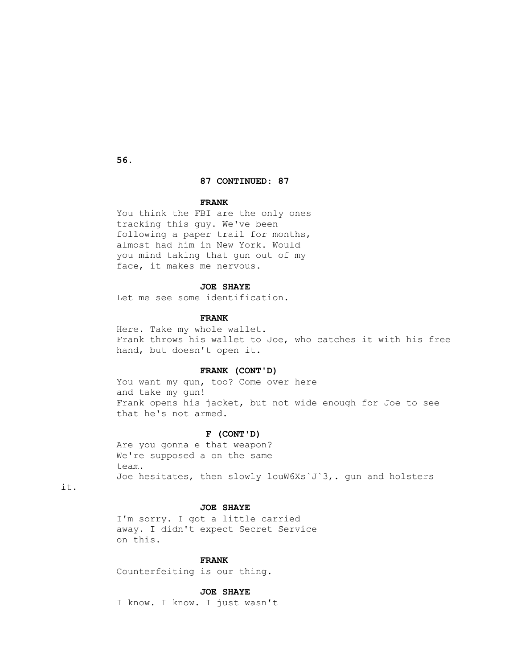**56.**

## **87 CONTINUED: 87**

## **FRANK**

 You think the FBI are the only ones tracking this guy. We've been following a paper trail for months, almost had him in New York. Would you mind taking that gun out of my face, it makes me nervous.

## **JOE SHAYE**

Let me see some identification.

#### **FRANK**

 Here. Take my whole wallet. Frank throws his wallet to Joe, who catches it with his free hand, but doesn't open it.

## **FRANK (CONT'D)**

You want my gun, too? Come over here and take my gun! Frank opens his jacket, but not wide enough for Joe to see that he's not armed.

#### **F (CONT'D)**

 Are you gonna e that weapon? We're supposed a on the same team. Joe hesitates, then slowly louW6Xs`J`3,. gun and holsters

it.

## **JOE SHAYE**

 I'm sorry. I got a little carried away. I didn't expect Secret Service on this.

#### **FRANK**

Counterfeiting is our thing.

## **JOE SHAYE**

I know. I know. I just wasn't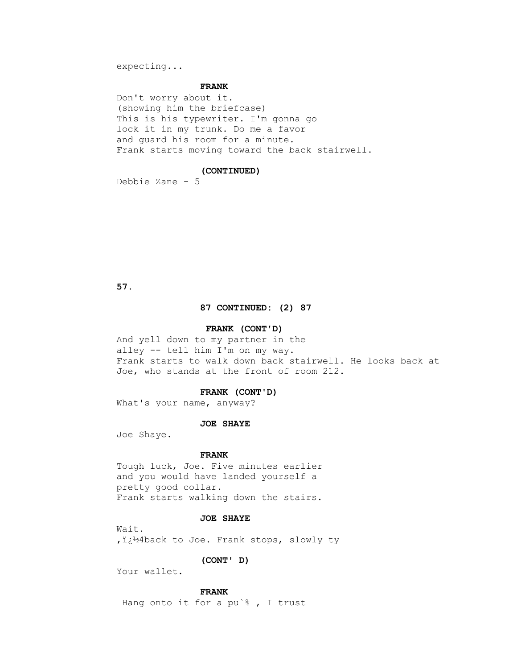expecting...

#### **FRANK**

 Don't worry about it. (showing him the briefcase) This is his typewriter. I'm gonna go lock it in my trunk. Do me a favor and guard his room for a minute. Frank starts moving toward the back stairwell.

#### **(CONTINUED)**

Debbie Zane - 5

 **57.**

## **87 CONTINUED: (2) 87**

## **FRANK (CONT'D)**

 And yell down to my partner in the alley -- tell him I'm on my way. Frank starts to walk down back stairwell. He looks back at Joe, who stands at the front of room 212.

#### **FRANK (CONT'D)**

What's your name, anyway?

#### **JOE SHAYE**

Joe Shaye.

#### **FRANK**

 Tough luck, Joe. Five minutes earlier and you would have landed yourself a pretty good collar. Frank starts walking down the stairs.

## **JOE SHAYE**

 Wait. , i:14back to Joe. Frank stops, slowly ty

## **(CONT' D)**

Your wallet.

## **FRANK**

Hang onto it for a pu`% , I trust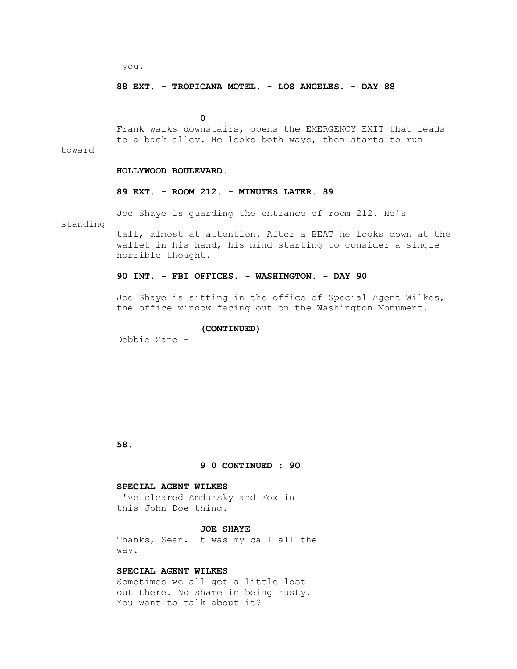you.

#### **88 EXT. - TROPICANA MOTEL. - LOS ANGELES. - DAY 88**

 **0**

 Frank walks downstairs, opens the EMERGENCY EXIT that leads to a back alley. He looks both ways, then starts to run

toward

## **HOLLYWOOD BOULEVARD.**

## **89 EXT. - ROOM 212. - MINUTES LATER. 89**

Joe Shaye is guarding the entrance of room 212. He's

standing

 tall, almost at attention. After a BEAT he looks down at the wallet in his hand, his mind starting to consider a single horrible thought.

## **90 INT. - FBI OFFICES. - WASHINGTON. - DAY 90**

 Joe Shaye is sitting in the office of Special Agent Wilkes, the office window facing out on the Washington Monument.

## **(CONTINUED)**

Debbie Zane -

 **58.**

## **9 0 CONTINUED : 90**

#### **SPECIAL AGENT WILKES**

 I've cleared Amdursky and Fox in this John Doe thing.

## **JOE SHAYE**

 Thanks, Sean. It was my call all the way.

## **SPECIAL AGENT WILKES**

 Sometimes we all get a little lost out there. No shame in being rusty. You want to talk about it?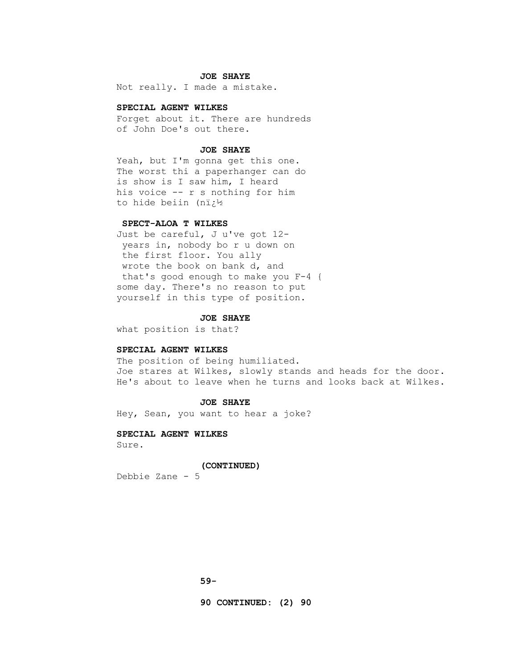#### **JOE SHAYE**

Not really. I made a mistake.

#### **SPECIAL AGENT WILKES**

 Forget about it. There are hundreds of John Doe's out there.

#### **JOE SHAYE**

 Yeah, but I'm gonna get this one. The worst thi a paperhanger can do is show is I saw him, I heard his voice -- r s nothing for him to hide beiin (n�

## **SPECT-ALOA T WILKES**

 Just be careful, J u've got 12 years in, nobody bo r u down on the first floor. You ally wrote the book on bank d, and that's good enough to make you F-4 { some day. There's no reason to put yourself in this type of position.

#### **JOE SHAYE**

what position is that?

#### **SPECIAL AGENT WILKES**

 The position of being humiliated. Joe stares at Wilkes, slowly stands and heads for the door. He's about to leave when he turns and looks back at Wilkes.

## **JOE SHAYE**

Hey, Sean, you want to hear a joke?

## **SPECIAL AGENT WILKES** Sure.

#### **(CONTINUED)**

Debbie Zane - 5

 **90 CONTINUED: (2) 90**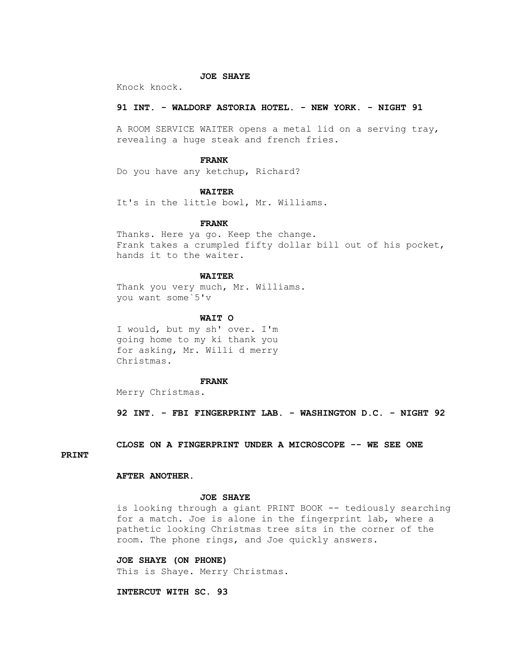## **JOE SHAYE**

Knock knock.

## **91 INT. - WALDORF ASTORIA HOTEL. - NEW YORK. - NIGHT 91**

 A ROOM SERVICE WAITER opens a metal lid on a serving tray, revealing a huge steak and french fries.

#### **FRANK**

Do you have any ketchup, Richard?

## **WAITER**

It's in the little bowl, Mr. Williams.

## **FRANK**

 Thanks. Here ya go. Keep the change. Frank takes a crumpled fifty dollar bill out of his pocket, hands it to the waiter.

## **WAITER**

Thank you very much, Mr. Williams. you want some`5'v

#### **WAIT O**

 I would, but my sh' over. I'm going home to my ki thank you for asking, Mr. Willi d merry Christmas.

#### **FRANK**

Merry Christmas.

 **92 INT. - FBI FINGERPRINT LAB. - WASHINGTON D.C. - NIGHT 92** 

## **CLOSE ON A FINGERPRINT UNDER A MICROSCOPE -- WE SEE ONE**

## **PRINT**

## **AFTER ANOTHER.**

## **JOE SHAYE**

 is looking through a giant PRINT BOOK -- tediously searching for a match. Joe is alone in the fingerprint lab, where a pathetic looking Christmas tree sits in the corner of the room. The phone rings, and Joe quickly answers.

## **JOE SHAYE (ON PHONE)**

This is Shaye. Merry Christmas.

## **INTERCUT WITH SC. 93**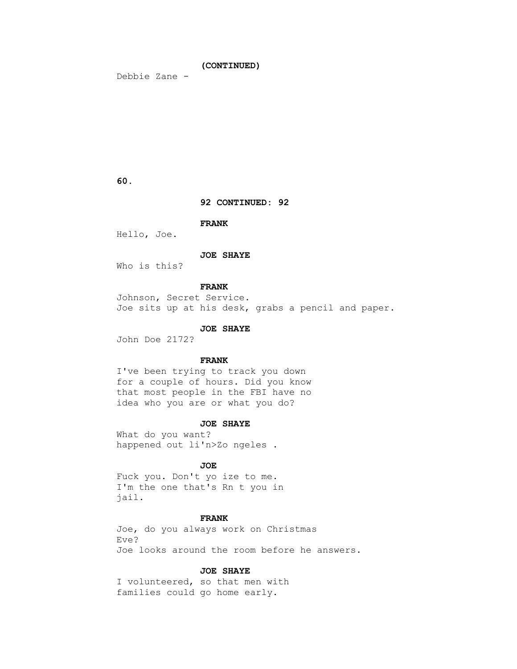# **(CONTINUED)**

Debbie Zane -

# **60.**

### **92 CONTINUED: 92**

 **FRANK**

Hello, Joe.

# **JOE SHAYE**

Who is this?

# **FRANK**

 Johnson, Secret Service. Joe sits up at his desk, grabs a pencil and paper.

### **JOE SHAYE**

John Doe 2172?

# **FRANK**

 I've been trying to track you down for a couple of hours. Did you know that most people in the FBI have no idea who you are or what you do?

#### **JOE SHAYE**

 What do you want? happened out li'n>Zo ngeles .

# *JOE*

 Fuck you. Don't yo ize to me. I'm the one that's Rn t you in jail.

# **FRANK**

 Joe, do you always work on Christmas Eve? Joe looks around the room before he answers.

### **JOE SHAYE**

 I volunteered, so that men with families could go home early.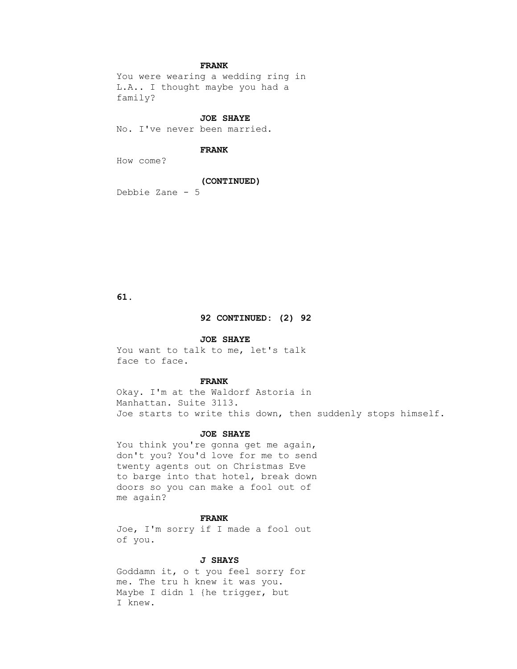# **FRANK**

 You were wearing a wedding ring in L.A.. I thought maybe you had a family?

### **JOE SHAYE**

No. I've never been married.

# **FRANK**

How come?

### **(CONTINUED)**

Debbie Zane - 5

# **61.**

# **92 CONTINUED: (2) 92**

### **JOE SHAYE**

 You want to talk to me, let's talk face to face.

# **FRANK**

 Okay. I'm at the Waldorf Astoria in Manhattan. Suite 3113. Joe starts to write this down, then suddenly stops himself.

### **JOE SHAYE**

You think you're gonna get me again, don't you? You'd love for me to send twenty agents out on Christmas Eve to barge into that hotel, break down doors so you can make a fool out of me again?

### **FRANK**

 Joe, I'm sorry if I made a fool out of you.

# **J SHAYS**

 Goddamn it, o t you feel sorry for me. The tru h knew it was you. Maybe I didn 1 {he trigger, but I knew.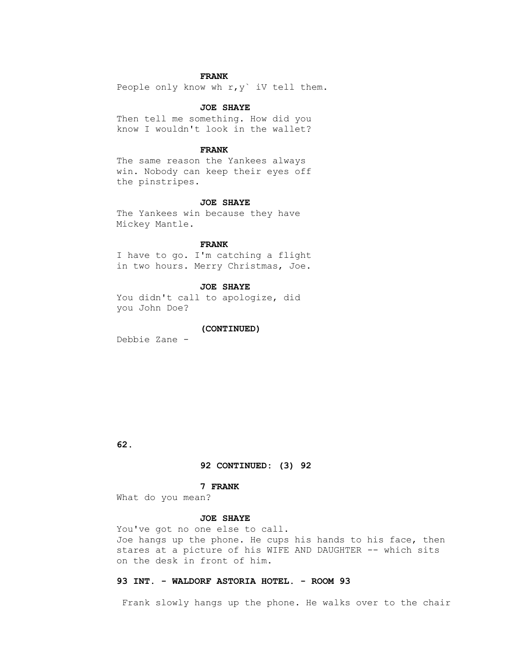# **FRANK**

People only know wh  $r, y$  iV tell them.

### **JOE SHAYE**

 Then tell me something. How did you know I wouldn't look in the wallet?

### **FRANK**

 The same reason the Yankees always win. Nobody can keep their eyes off the pinstripes.

#### **JOE SHAYE**

 The Yankees win because they have Mickey Mantle.

### **FRANK**

 I have to go. I'm catching a flight in two hours. Merry Christmas, Joe.

# **JOE SHAYE**

 You didn't call to apologize, did you John Doe?

### **(CONTINUED)**

Debbie Zane -

 **62.**

# **92 CONTINUED: (3) 92**

#### **7 FRANK**

What do you mean?

### **JOE SHAYE**

 You've got no one else to call. Joe hangs up the phone. He cups his hands to his face, then stares at a picture of his WIFE AND DAUGHTER -- which sits on the desk in front of him.

# **93 INT. - WALDORF ASTORIA HOTEL. - ROOM 93**

Frank slowly hangs up the phone. He walks over to the chair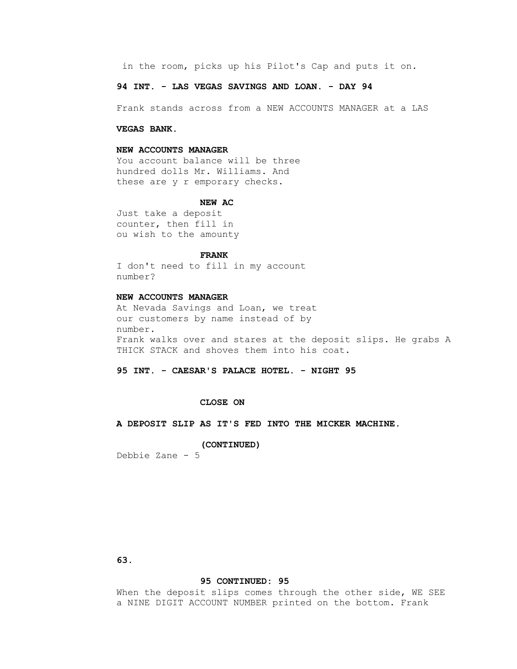in the room, picks up his Pilot's Cap and puts it on.

# **94 INT. - LAS VEGAS SAVINGS AND LOAN. - DAY 94**

Frank stands across from a NEW ACCOUNTS MANAGER at a LAS

#### **VEGAS BANK.**

#### **NEW ACCOUNTS MANAGER**

 You account balance will be three hundred dolls Mr. Williams. And these are y r emporary checks.

#### **NEW AC**

 Just take a deposit counter, then fill in ou wish to the amounty

# **FRANK**

 I don't need to fill in my account number?

# **NEW ACCOUNTS MANAGER**

 At Nevada Savings and Loan, we treat our customers by name instead of by number. Frank walks over and stares at the deposit slips. He grabs A THICK STACK and shoves them into his coat.

# **95 INT. - CAESAR'S PALACE HOTEL. - NIGHT 95**

### **CLOSE ON**

 **A DEPOSIT SLIP AS IT'S FED INTO THE MICKER MACHINE.**

#### **(CONTINUED)**

Debbie Zane - 5

 **63.**

# **95 CONTINUED: 95**

When the deposit slips comes through the other side, WE SEE a NINE DIGIT ACCOUNT NUMBER printed on the bottom. Frank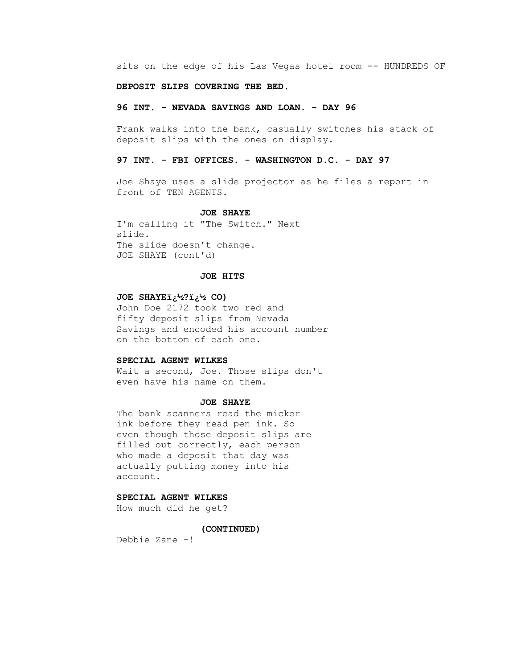sits on the edge of his Las Vegas hotel room -- HUNDREDS OF

# **DEPOSIT SLIPS COVERING THE BED.**

### **96 INT. - NEVADA SAVINGS AND LOAN. - DAY 96**

 Frank walks into the bank, casually switches his stack of deposit slips with the ones on display.

# **97 INT. - FBI OFFICES. - WASHINGTON D.C. - DAY 97**

 Joe Shaye uses a slide projector as he files a report in front of TEN AGENTS.

# **JOE SHAYE**

 I'm calling it "The Switch." Next slide. The slide doesn't change. JOE SHAYE (cont'd)

# **JOE HITS**

# **JOE SHAYEï** ب<sup>1</sup>29 نف<sup>1</sup>2.

 John Doe 2172 took two red and fifty deposit slips from Nevada Savings and encoded his account number on the bottom of each one.

### **SPECIAL AGENT WILKES**

Wait a second, Joe. Those slips don't even have his name on them.

# **JOE SHAYE**

 The bank scanners read the micker ink before they read pen ink. So even though those deposit slips are filled out correctly, each person who made a deposit that day was actually putting money into his account.

# **SPECIAL AGENT WILKES**

How much did he get?

# **(CONTINUED)**

Debbie Zane -!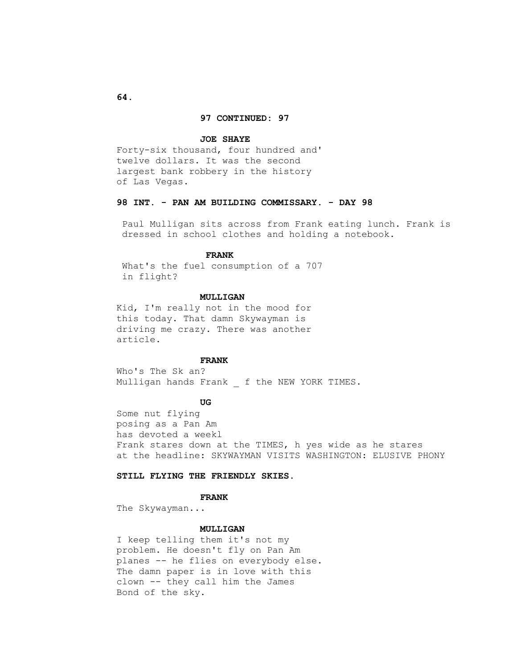### **97 CONTINUED: 97**

#### **JOE SHAYE**

 Forty-six thousand, four hundred and' twelve dollars. It was the second largest bank robbery in the history of Las Vegas.

# **98 INT. - PAN AM BUILDING COMMISSARY. - DAY 98**

 Paul Mulligan sits across from Frank eating lunch. Frank is dressed in school clothes and holding a notebook.

### **FRANK**

 What's the fuel consumption of a 707 in flight?

### **MULLIGAN**

 Kid, I'm really not in the mood for this today. That damn Skywayman is driving me crazy. There was another article.

### **FRANK**

 Who's The Sk an? Mulligan hands Frank f the NEW YORK TIMES.

# **UG**

 Some nut flying posing as a Pan Am has devoted a weekl Frank stares down at the TIMES, h yes wide as he stares at the headline: SKYWAYMAN VISITS WASHINGTON: ELUSIVE PHONY

# **STILL FLYING THE FRIENDLY SKIES.**

### **FRANK**

The Skywayman...

# **MULLIGAN**

 I keep telling them it's not my problem. He doesn't fly on Pan Am planes -- he flies on everybody else. The damn paper is in love with this clown -- they call him the James Bond of the sky.

 **64.**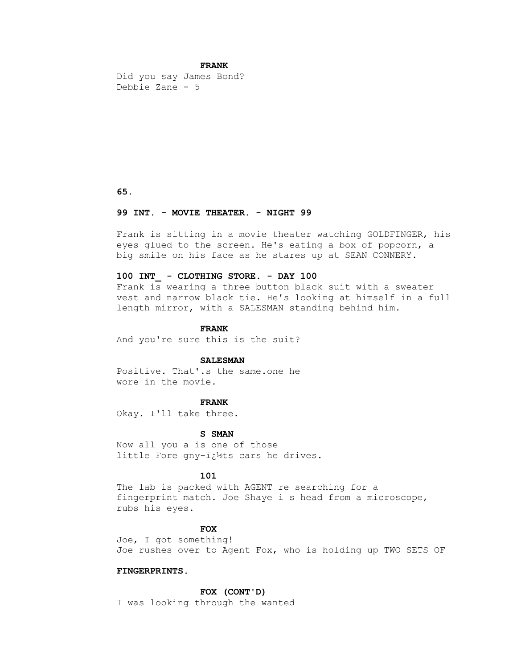### **FRANK**

 Did you say James Bond? Debbie Zane - 5

 **65.**

### **99 INT. - MOVIE THEATER. - NIGHT 99**

 Frank is sitting in a movie theater watching GOLDFINGER, his eyes glued to the screen. He's eating a box of popcorn, a big smile on his face as he stares up at SEAN CONNERY.

#### **100 INT\_ - CLOTHING STORE. - DAY 100**

 Frank is wearing a three button black suit with a sweater vest and narrow black tie. He's looking at himself in a full length mirror, with a SALESMAN standing behind him.

#### **FRANK**

And you're sure this is the suit?

# **SALESMAN**

 Positive. That'.s the same.one he wore in the movie.

# **FRANK**

Okay. I'll take three.

### **S SMAN**

 Now all you a is one of those little Fore gny-i¿1/2ts cars he drives.

# **101**

 The lab is packed with AGENT re searching for a fingerprint match. Joe Shaye i s head from a microscope, rubs his eyes.

# *FOX*

 Joe, I got something! Joe rushes over to Agent Fox, who is holding up TWO SETS OF

# **FINGERPRINTS.**

 **FOX (CONT'D)**

I was looking through the wanted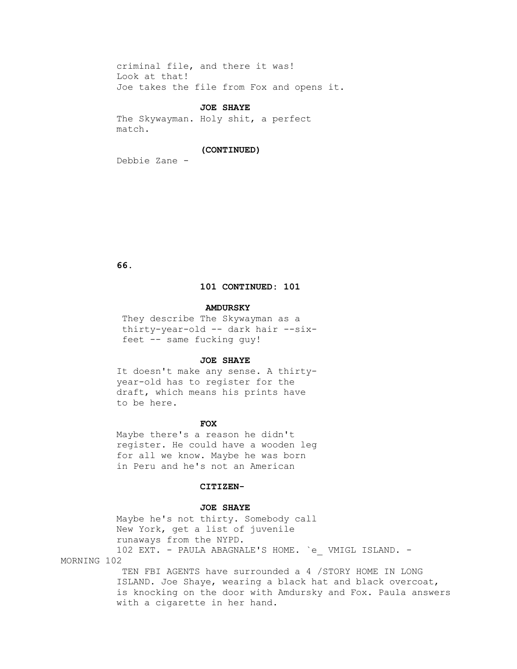criminal file, and there it was! Look at that! Joe takes the file from Fox and opens it.

#### **JOE SHAYE**

 The Skywayman. Holy shit, a perfect match.

### **(CONTINUED)**

Debbie Zane -

 **66.**

# **101 CONTINUED: 101**

### **AMDURSKY**

 They describe The Skywayman as a thirty-year-old -- dark hair --six feet -- same fucking guy!

# **JOE SHAYE**

 It doesn't make any sense. A thirty year-old has to register for the draft, which means his prints have to be here.

#### **FOX**

 Maybe there's a reason he didn't register. He could have a wooden leg for all we know. Maybe he was born in Peru and he's not an American

### **CITIZEN-**

# **JOE SHAYE**

 Maybe he's not thirty. Somebody call New York, get a list of juvenile runaways from the NYPD. 102 EXT. - PAULA ABAGNALE'S HOME. `e\_ VMIGL ISLAND. - MORNING 102

> TEN FBI AGENTS have surrounded a 4 /STORY HOME IN LONG ISLAND. Joe Shaye, wearing a black hat and black overcoat, is knocking on the door with Amdursky and Fox. Paula answers with a cigarette in her hand.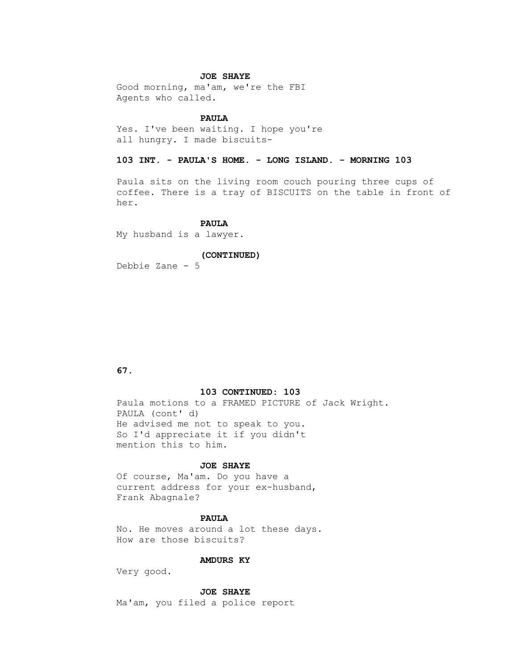### **JOE SHAYE**

 Good morning, ma'am, we're the FBI Agents who called.

### **PAULA**

 Yes. I've been waiting. I hope you're all hungry. I made biscuits-

# **103 INT. - PAULA'S HOME. - LONG ISLAND. - MORNING 103**

 Paula sits on the living room couch pouring three cups of coffee. There is a tray of BISCUITS on the table in front of her.

### **PAULA**

My husband is a lawyer.

### **(CONTINUED)**

Debbie Zane - 5

# **67.**

#### **103 CONTINUED: 103**

 Paula motions to a FRAMED PICTURE of Jack Wright. PAULA (cont' d) He advised me not to speak to you. So I'd appreciate it if you didn't mention this to him.

# **JOE SHAYE**

 Of course, Ma'am. Do you have a current address for your ex-husband, Frank Abagnale?

### **PAULA**

 No. He moves around a lot these days. How are those biscuits?

# **AMDURS KY**

Very good.

 **JOE SHAYE**

Ma'am, you filed a police report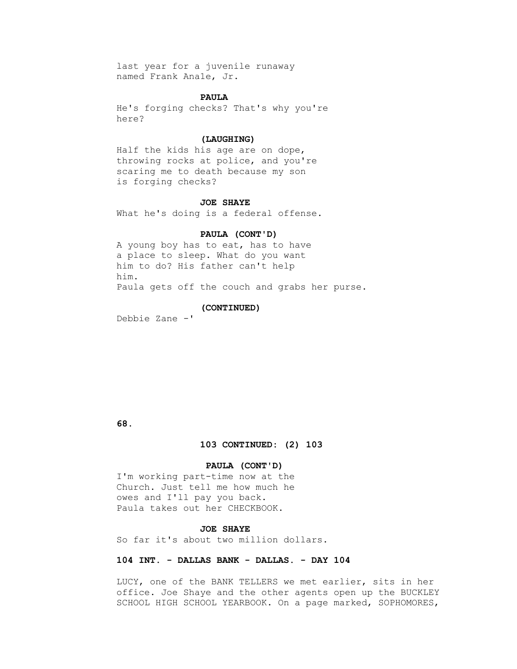last year for a juvenile runaway named Frank Ana1e, Jr.

### **PAULA**

 He's forging checks? That's why you're here?

### **(LAUGHING)**

 Half the kids his age are on dope, throwing rocks at police, and you're scaring me to death because my son is forging checks?

#### **JOE SHAYE**

What he's doing is a federal offense.

#### **PAULA (CONT'D)**

 A young boy has to eat, has to have a place to sleep. What do you want him to do? His father can't help him. Paula gets off the couch and grabs her purse.

### **(CONTINUED)**

Debbie Zane -'

 **68.**

#### **103 CONTINUED: (2) 103**

### **PAULA (CONT'D)**

 I'm working part-time now at the Church. Just tell me how much he owes and I'll pay you back. Paula takes out her CHECKBOOK.

### **JOE SHAYE**

So far it's about two million dollars.

### **104 INT. - DALLAS BANK - DALLAS. - DAY 104**

 LUCY, one of the BANK TELLERS we met earlier, sits in her office. Joe Shaye and the other agents open up the BUCKLEY SCHOOL HIGH SCHOOL YEARBOOK. On a page marked, SOPHOMORES,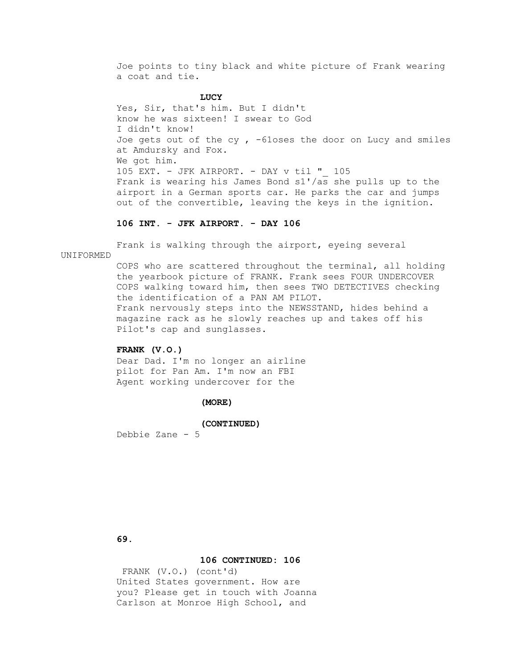Joe points to tiny black and white picture of Frank wearing a coat and tie.

# **LUCY**

 Yes, Sir, that's him. But I didn't know he was sixteen! I swear to God I didn't know! Joe gets out of the cy,  $-61$ oses the door on Lucy and smiles at Amdursky and Fox. We got him. 105 EXT. - JFK AIRPORT. - DAY v til "\_ 105 Frank is wearing his James Bond s1'/as she pulls up to the airport in a German sports car. He parks the car and jumps out of the convertible, leaving the keys in the ignition.

# **106 INT. - JFK AIRPORT. - DAY 106**

Frank is walking through the airport, eyeing several

### UNIFORMED

 COPS who are scattered throughout the terminal, all holding the yearbook picture of FRANK. Frank sees FOUR UNDERCOVER COPS walking toward him, then sees TWO DETECTIVES checking the identification of a PAN AM PILOT. Frank nervously steps into the NEWSSTAND, hides behind a magazine rack as he slowly reaches up and takes off his Pilot's cap and sunglasses.

### **FRANK (V.O.)**

 Dear Dad. I'm no longer an airline pilot for Pan Am. I'm now an FBI Agent working undercover for the

### **(MORE)**

#### **(CONTINUED)**

Debbie Zane - 5

 **69.**

#### **106 CONTINUED: 106**

 FRANK (V.O.) (cont'd) United States government. How are you? Please get in touch with Joanna Carlson at Monroe High School, and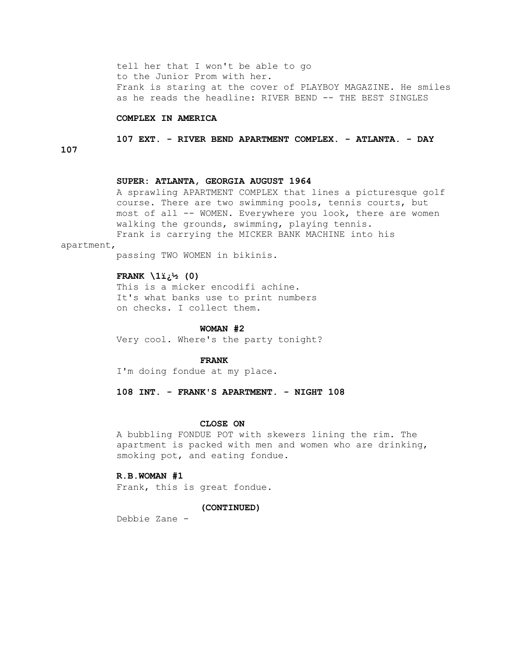tell her that I won't be able to go to the Junior Prom with her. Frank is staring at the cover of PLAYBOY MAGAZINE. He smiles as he reads the headline: RIVER BEND -- THE BEST SINGLES

# **COMPLEX IN AMERICA**

 **107 EXT. - RIVER BEND APARTMENT COMPLEX. - ATLANTA. - DAY** 

**107**

### **SUPER: ATLANTA, GEORGIA AUGUST 1964**

 A sprawling APARTMENT COMPLEX that lines a picturesque golf course. There are two swimming pools, tennis courts, but most of all -- WOMEN. Everywhere you look, there are women walking the grounds, swimming, playing tennis. Frank is carrying the MICKER BANK MACHINE into his

apartment,

passing TWO WOMEN in bikinis.

#### **FRANK**  $\{1\}^{1/2}$  (0)

 This is a micker encodifi achine. It's what banks use to print numbers on checks. I collect them.

#### **WOMAN #2**

Very cool. Where's the party tonight?

### **FRANK**

I'm doing fondue at my place.

 **108 INT. - FRANK'S APARTMENT. - NIGHT 108**

### **CLOSE ON**

 A bubbling FONDUE POT with skewers lining the rim. The apartment is packed with men and women who are drinking, smoking pot, and eating fondue.

# **R.B.WOMAN #1**

Frank, this is great fondue.

#### **(CONTINUED)**

Debbie Zane -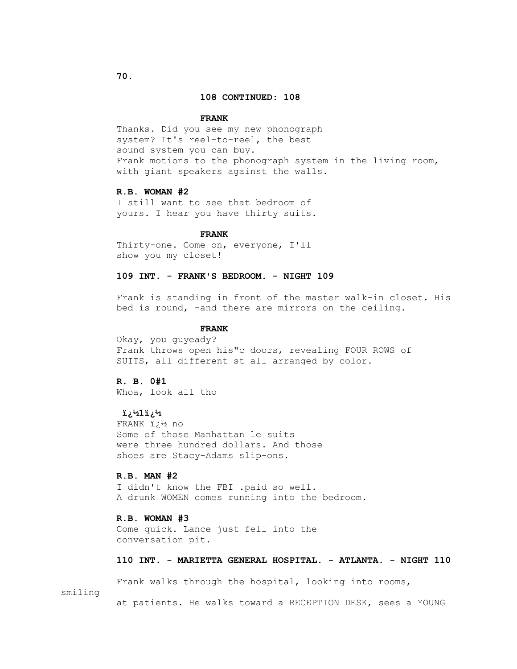### **108 CONTINUED: 108**

#### **FRANK**

 Thanks. Did you see my new phonograph system? It's reel-to-reel, the best sound system you can buy. Frank motions to the phonograph system in the living room, with giant speakers against the walls.

# **R.B. WOMAN #2**

 I still want to see that bedroom of yours. I hear you have thirty suits.

#### **FRANK**

 Thirty-one. Come on, everyone, I'll show you my closet!

### **109 INT. - FRANK'S BEDROOM. - NIGHT 109**

 Frank is standing in front of the master walk-in closet. His bed is round, -and there are mirrors on the ceiling.

#### **FRANK**

 Okay, you guyeady? Frank throws open his"c doors, revealing FOUR ROWS of SUITS, all different st all arranged by color.

# **R. B. 0#1**

Whoa, look all tho

# **1⁄2**نے 12×

 FRANK � no Some of those Manhattan le suits were three hundred dollars. And those shoes are Stacy-Adams slip-ons.

#### **R.B. MAN #2**

 I didn't know the FBI .paid so well. A drunk WOMEN comes running into the bedroom.

### **R.B. WOMAN #3**

 Come quick. Lance just fell into the conversation pit.

# **110 INT. - MARIETTA GENERAL HOSPITAL. - ATLANTA. - NIGHT 110**

 Frank walks through the hospital, looking into rooms, smiling at patients. He walks toward a RECEPTION DESK, sees a YOUNG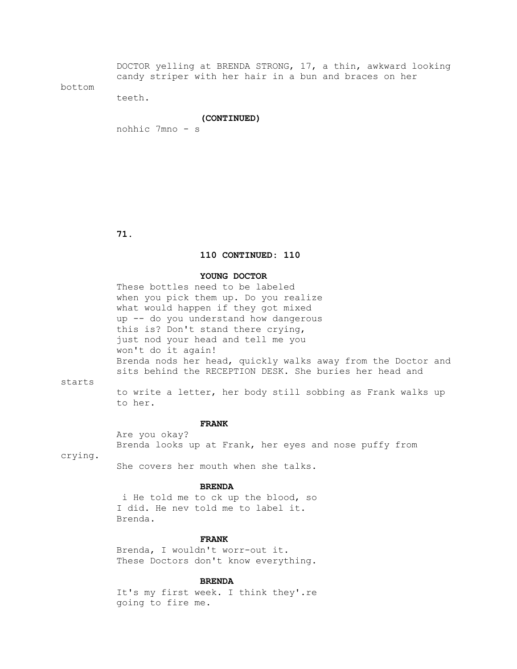DOCTOR yelling at BRENDA STRONG, 17, a thin, awkward looking candy striper with her hair in a bun and braces on her

### bottom

teeth.

#### **(CONTINUED)**

nohhic 7mno - s

 **71.**

# **110 CONTINUED: 110**

### **YOUNG DOCTOR**

 These bottles need to be labeled when you pick them up. Do you realize what would happen if they got mixed up -- do you understand how dangerous this is? Don't stand there crying, just nod your head and tell me you won't do it again! Brenda nods her head, quickly walks away from the Doctor and sits behind the RECEPTION DESK. She buries her head and

starts

 to write a letter, her body still sobbing as Frank walks up to her.

#### **FRANK**

 Are you okay? Brenda looks up at Frank, her eyes and nose puffy from

crying.

She covers her mouth when she talks.

### **BRENDA**

 i He told me to ck up the blood, so I did. He nev told me to label it. Brenda.

# **FRANK**

 Brenda, I wouldn't worr-out it. These Doctors don't know everything.

# **BRENDA**

 It's my first week. I think they'.re going to fire me.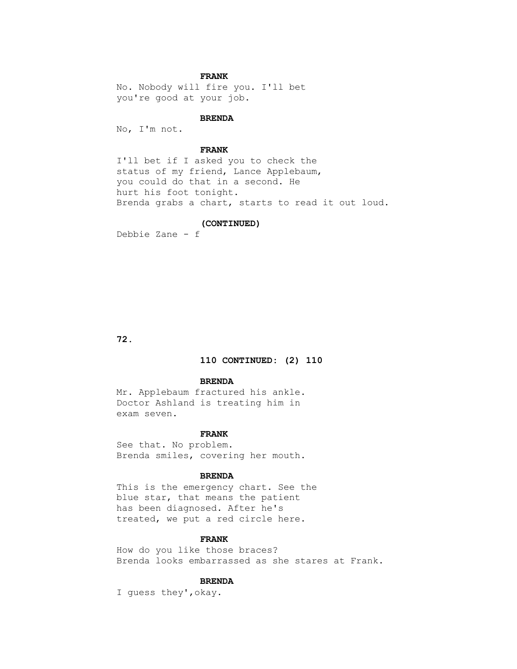# **FRANK**

 No. Nobody will fire you. I'll bet you're good at your job.

### **BRENDA**

No, I'm not.

# **FRANK**

 I'll bet if I asked you to check the status of my friend, Lance Applebaum, you could do that in a second. He hurt his foot tonight. Brenda grabs a chart, starts to read it out loud.

# **(CONTINUED)**

Debbie Zane - f

 **72.**

# **110 CONTINUED: (2) 110**

#### **BRENDA**

 Mr. Applebaum fractured his ankle. Doctor Ashland is treating him in exam seven.

### **FRANK**

 See that. No problem. Brenda smiles, covering her mouth.

#### **BRENDA**

 This is the emergency chart. See the blue star, that means the patient has been diagnosed. After he's treated, we put a red circle here.

### **FRANK**

 How do you like those braces? Brenda looks embarrassed as she stares at Frank.

### **BRENDA**

I guess they',okay.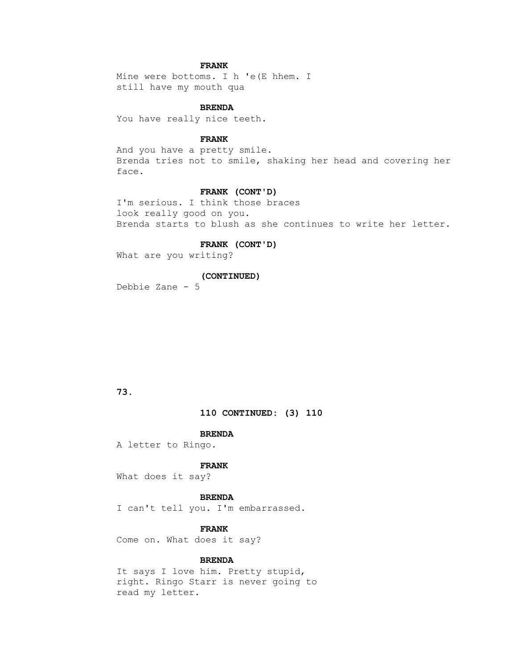# **FRANK**

 Mine were bottoms. I h 'e(E hhem. I still have my mouth qua

# **BRENDA**

You have really nice teeth.

# **FRANK**

 And you have a pretty smile. Brenda tries not to smile, shaking her head and covering her face.

### **FRANK (CONT'D)**

 I'm serious. I think those braces look really good on you. Brenda starts to blush as she continues to write her letter.

# **FRANK (CONT'D)**

What are you writing?

# **(CONTINUED)**

Debbie Zane - 5

# **73.**

 **110 CONTINUED: (3) 110**

# **BRENDA**

A letter to Ringo.

### **FRANK**

What does it say?

# **BRENDA**

I can't tell you. I'm embarrassed.

# **FRANK**

Come on. What does it say?

# **BRENDA**

 It says I love him. Pretty stupid, right. Ringo Starr is never going to read my letter.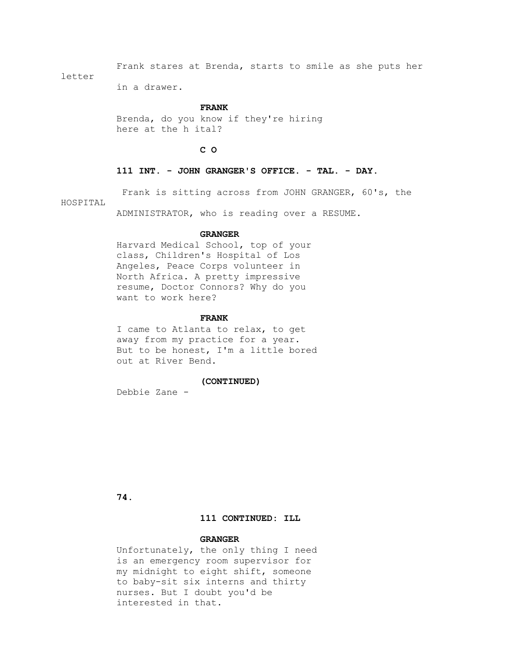Frank stares at Brenda, starts to smile as she puts her letter

in a drawer.

#### **FRANK**

 Brenda, do you know if they're hiring here at the h ital?

 **C O**

### **111 INT. - JOHN GRANGER'S OFFICE. - TAL. - DAY.**

Frank is sitting across from JOHN GRANGER, 60's, the

HOSPITAL

ADMINISTRATOR, who is reading over a RESUME.

#### **GRANGER**

 Harvard Medical School, top of your class, Children's Hospital of Los Angeles, Peace Corps volunteer in North Africa. A pretty impressive resume, Doctor Connors? Why do you want to work here?

#### **FRANK**

 I came to Atlanta to relax, to get away from my practice for a year. But to be honest, I'm a little bored out at River Bend.

### **(CONTINUED)**

Debbie Zane -

 **74.**

# **111 CONTINUED: ILL**

### **GRANGER**

 Unfortunately, the only thing I need is an emergency room supervisor for my midnight to eight shift, someone to baby-sit six interns and thirty nurses. But I doubt you'd be interested in that.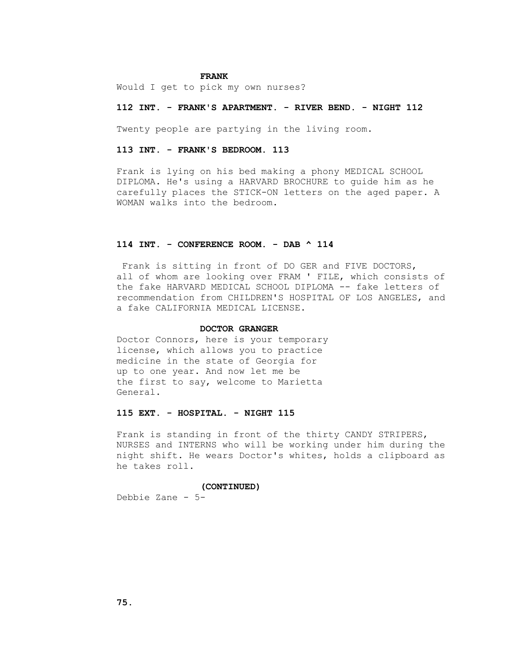#### **FRANK**

Would I get to pick my own nurses?

### **112 INT. - FRANK'S APARTMENT. - RIVER BEND. - NIGHT 112**

Twenty people are partying in the living room.

### **113 INT. - FRANK'S BEDROOM. 113**

 Frank is lying on his bed making a phony MEDICAL SCHOOL DIPLOMA. He's using a HARVARD BROCHURE to guide him as he carefully places the STICK-ON letters on the aged paper. A WOMAN walks into the bedroom.

# **114 INT. - CONFERENCE ROOM. - DAB ^ 114**

 Frank is sitting in front of DO GER and FIVE DOCTORS, all of whom are looking over FRAM ' FILE, which consists of the fake HARVARD MEDICAL SCHOOL DIPLOMA -- fake letters of recommendation from CHILDREN'S HOSPITAL OF LOS ANGELES, and a fake CALIFORNIA MEDICAL LICENSE.

# **DOCTOR GRANGER**

 Doctor Connors, here is your temporary license, which allows you to practice medicine in the state of Georgia for up to one year. And now let me be the first to say, welcome to Marietta General.

# **115 EXT. - HOSPITAL. - NIGHT 115**

 Frank is standing in front of the thirty CANDY STRIPERS, NURSES and INTERNS who will be working under him during the night shift. He wears Doctor's whites, holds a clipboard as he takes roll.

### **(CONTINUED)**

Debbie Zane - 5-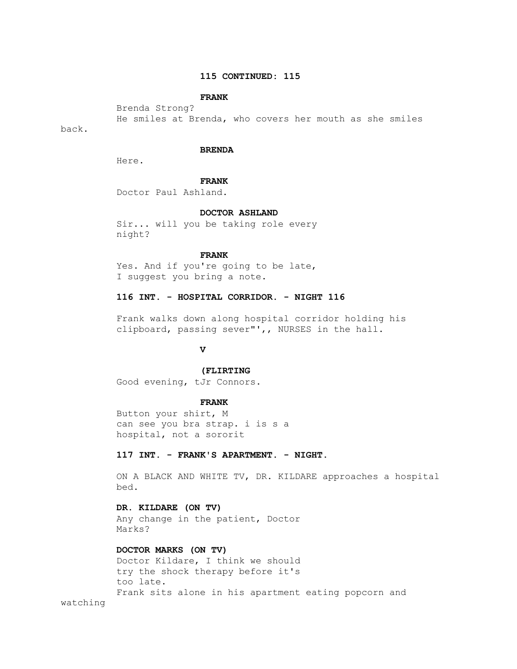# **115 CONTINUED: 115**

# **FRANK**

 Brenda Strong? He smiles at Brenda, who covers her mouth as she smiles

back.

### **BRENDA**

Here.

#### **FRANK**

Doctor Paul Ashland.

### **DOCTOR ASHLAND**

 Sir... will you be taking role every night?

# **FRANK**

 Yes. And if you're going to be late, I suggest you bring a note.

# **116 INT. - HOSPITAL CORRIDOR. - NIGHT 116**

 Frank walks down along hospital corridor holding his clipboard, passing sever"',, NURSES in the hall.

# **V**

# **(FLIRTING**

Good evening, tJr Connors.

#### **FRANK**

 Button your shirt, M can see you bra strap. i is s a hospital, not a sororit

# **117 INT. - FRANK'S APARTMENT. - NIGHT.**

 ON A BLACK AND WHITE TV, DR. KILDARE approaches a hospital bed.

# **DR. KILDARE (ON TV)**

 Any change in the patient, Doctor Marks?

# **DOCTOR MARKS (ON TV)**

 Doctor Kildare, I think we should try the shock therapy before it's too late. Frank sits alone in his apartment eating popcorn and

watching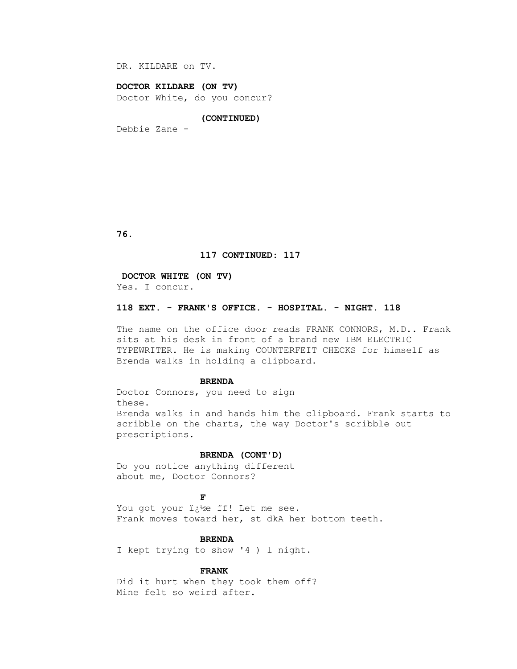DR. KILDARE on TV.

### **DOCTOR KILDARE (ON TV)**

Doctor White, do you concur?

### **(CONTINUED)**

Debbie Zane -

 **76.**

### **117 CONTINUED: 117**

#### **DOCTOR WHITE (ON TV)**

Yes. I concur.

# **118 EXT. - FRANK'S OFFICE. - HOSPITAL. - NIGHT. 118**

The name on the office door reads FRANK CONNORS, M.D.. Frank sits at his desk in front of a brand new IBM ELECTRIC TYPEWRITER. He is making COUNTERFEIT CHECKS for himself as Brenda walks in holding a clipboard.

#### **BRENDA**

 Doctor Connors, you need to sign these. Brenda walks in and hands him the clipboard. Frank starts to scribble on the charts, the way Doctor's scribble out prescriptions.

### **BRENDA (CONT'D)**

 Do you notice anything different about me, Doctor Connors?

# **FF**

You got your i<sub>c</sub>ke ff! Let me see. Frank moves toward her, st dkA her bottom teeth.

### **BRENDA**

I kept trying to show '4 ) l night.

#### **FRANK**

 Did it hurt when they took them off? Mine felt so weird after.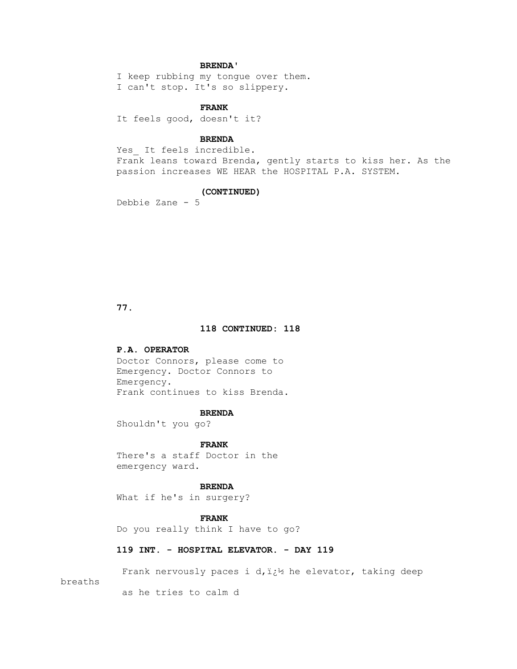# **BRENDA'**

 I keep rubbing my tongue over them. I can't stop. It's so slippery.

# **FRANK**

It feels good, doesn't it?

# **BRENDA**

Yes It feels incredible. Frank leans toward Brenda, gently starts to kiss her. As the passion increases WE HEAR the HOSPITAL P.A. SYSTEM.

#### **(CONTINUED)**

Debbie Zane - 5

 **77.**

### **118 CONTINUED: 118**

### **P.A. OPERATOR**

 Doctor Connors, please come to Emergency. Doctor Connors to Emergency. Frank continues to kiss Brenda.

### **BRENDA**

Shouldn't you go?

#### **FRANK**

 There's a staff Doctor in the emergency ward.

### **BRENDA**

What if he's in surgery?

# **FRANK**

Do you really think I have to go?

# **119 INT. - HOSPITAL ELEVATOR. - DAY 119**

Frank nervously paces i d,  $i_{i}$ he elevator, taking deep

breaths

as he tries to calm d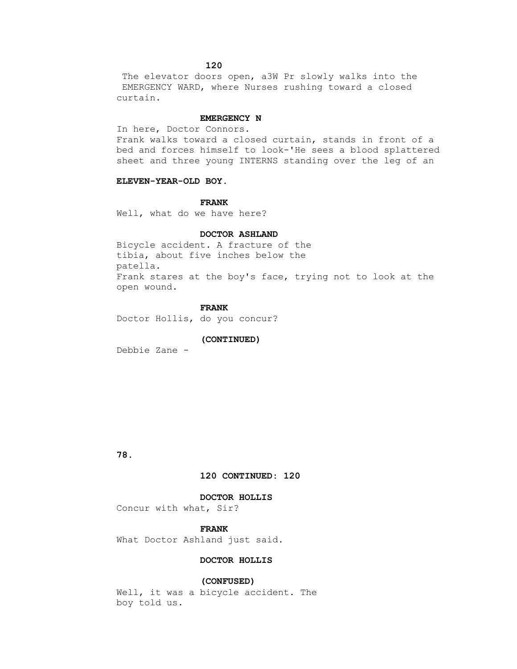The elevator doors open, a3W Pr slowly walks into the EMERGENCY WARD, where Nurses rushing toward a closed curtain.

#### **EMERGENCY N**

In here, Doctor Connors.

 Frank walks toward a closed curtain, stands in front of a bed and forces himself to look-'He sees a blood splattered sheet and three young INTERNS standing over the leg of an

# **ELEVEN-YEAR-OLD BOY.**

 **FRANK**

Well, what do we have here?

### **DOCTOR ASHLAND**

 Bicycle accident. A fracture of the tibia, about five inches below the patella. Frank stares at the boy's face, trying not to look at the open wound.

### **FRANK**

Doctor Hollis, do you concur?

### **(CONTINUED)**

Debbie Zane -

 **78.**

# **120 CONTINUED: 120**

### **DOCTOR HOLLIS**

Concur with what, Sir?

# **FRANK**

What Doctor Ashland just said.

# **DOCTOR HOLLIS**

### **(CONFUSED)**

 Well, it was a bicycle accident. The boy told us.

 **120**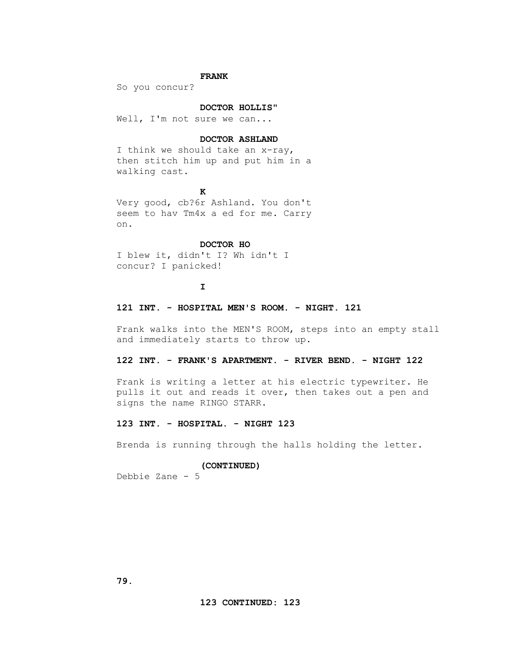# **FRANK**

So you concur?

### **DOCTOR HOLLIS"**

Well, I'm not sure we can...

# **DOCTOR ASHLAND**

I think we should take an x-ray, then stitch him up and put him in a walking cast.

# *K*

 Very good, cb?6r Ashland. You don't seem to hav Tm4x a ed for me. Carry on.

# **DOCTOR HO**

 I blew it, didn't I? Wh idn't I concur? I panicked!

**I** 

### **121 INT. - HOSPITAL MEN'S ROOM. - NIGHT. 121**

 Frank walks into the MEN'S ROOM, steps into an empty stall and immediately starts to throw up.

# **122 INT. - FRANK'S APARTMENT. - RIVER BEND. - NIGHT 122**

 Frank is writing a letter at his electric typewriter. He pulls it out and reads it over, then takes out a pen and signs the name RINGO STARR.

# **123 INT. - HOSPITAL. - NIGHT 123**

Brenda is running through the halls holding the letter.

#### **(CONTINUED)**

Debbie Zane - 5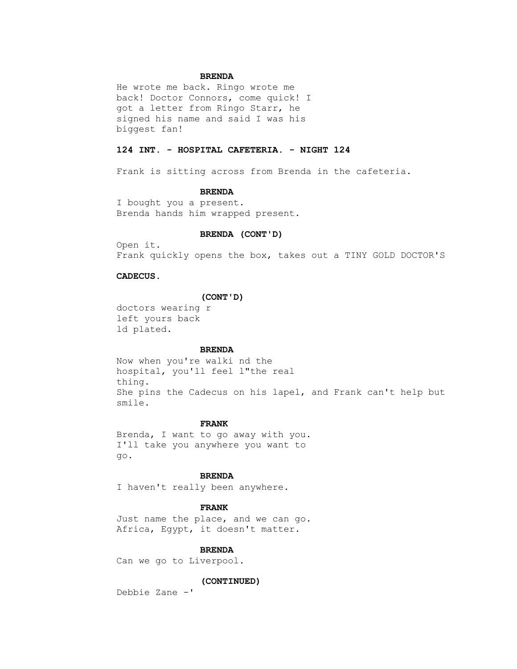## **BRENDA**

 He wrote me back. Ringo wrote me back! Doctor Connors, come quick! I got a letter from Ringo Starr, he signed his name and said I was his biggest fan!

# **124 INT. - HOSPITAL CAFETERIA. - NIGHT 124**

Frank is sitting across from Brenda in the cafeteria.

#### **BRENDA**

 I bought you a present. Brenda hands him wrapped present.

### **BRENDA (CONT'D)**

 Open it. Frank quickly opens the box, takes out a TINY GOLD DOCTOR'S

### **CADECUS.**

### **(CONT'D)**

 doctors wearing r left yours back ld plated.

#### **BRENDA**

 Now when you're walki nd the hospital, you'll feel l"the real thing. She pins the Cadecus on his lapel, and Frank can't help but smile.

# **FRANK**

 Brenda, I want to go away with you. I'll take you anywhere you want to go.

### **BRENDA**

I haven't really been anywhere.

# **FRANK**

 Just name the place, and we can go. Africa, Egypt, it doesn't matter.

### **BRENDA**

Can we go to Liverpool.

#### **(CONTINUED)**

Debbie Zane -'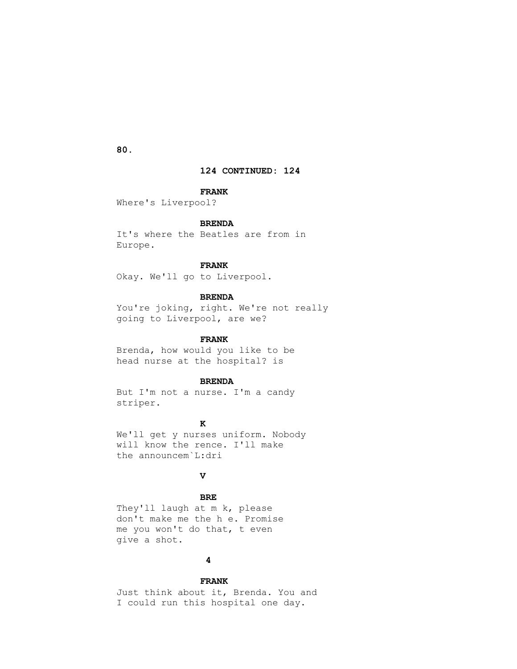**124 CONTINUED: 124**

#### **FRANK**

Where's Liverpool?

# **BRENDA**

 It's where the Beatles are from in Europe.

# **FRANK**

Okay. We'll go to Liverpool.

# **BRENDA**

You're joking, right. We're not really going to Liverpool, are we?

# **FRANK**

 Brenda, how would you like to be head nurse at the hospital? is

# **BRENDA**

 But I'm not a nurse. I'm a candy striper.

# *K*

 We'll get y nurses uniform. Nobody will know the rence. I'll make the announcem`L:dri

# **V**

 **BRE**

 They'll laugh at m k, please don't make me the h e. Promise me you won't do that, t even give a shot.

# **4**

 **FRANK** Just think about it, Brenda. You and I could run this hospital one day.

 **80.**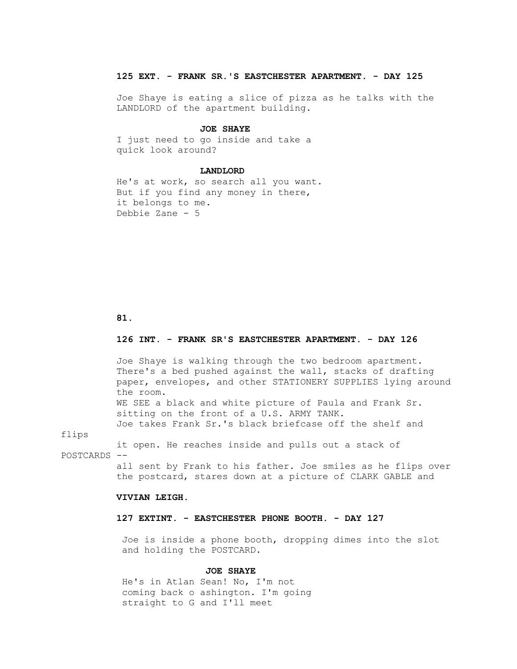# **125 EXT. - FRANK SR.'S EASTCHESTER APARTMENT. - DAY 125**

 Joe Shaye is eating a slice of pizza as he talks with the LANDLORD of the apartment building.

#### **JOE SHAYE**

 I just need to go inside and take a quick look around?

### **LANDLORD**

 He's at work, so search all you want. But if you find any money in there, it belongs to me. Debbie Zane - 5

#### **81.**

# **126 INT. - FRANK SR'S EASTCHESTER APARTMENT. - DAY 126**

 Joe Shaye is walking through the two bedroom apartment. There's a bed pushed against the wall, stacks of drafting paper, envelopes, and other STATIONERY SUPPLIES lying around the room. WE SEE a black and white picture of Paula and Frank Sr.

 sitting on the front of a U.S. ARMY TANK. Joe takes Frank Sr.'s black briefcase off the shelf and

flips

 it open. He reaches inside and pulls out a stack of POSTCARDS --

> all sent by Frank to his father. Joe smiles as he flips over the postcard, stares down at a picture of CLARK GABLE and

### **VIVIAN LEIGH.**

# **127 EXTINT. - EASTCHESTER PHONE BOOTH. - DAY 127**

 Joe is inside a phone booth, dropping dimes into the slot and holding the POSTCARD.

### **JOE SHAYE**

 He's in Atlan Sean! No, I'm not coming back o ashington. I'm going straight to G and I'll meet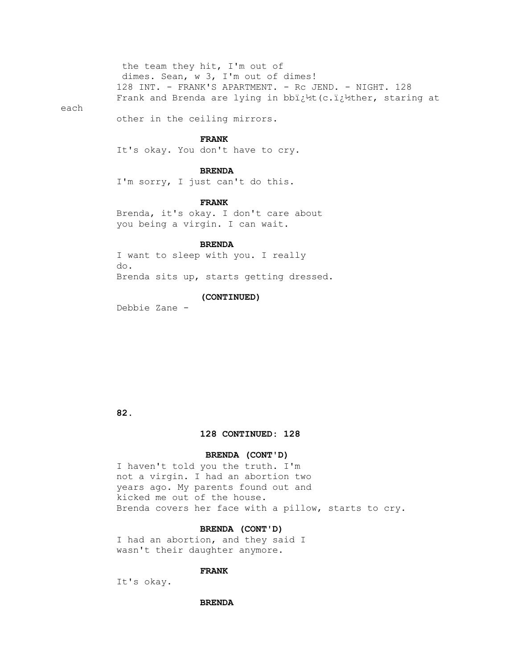the team they hit, I'm out of dimes. Sean, w 3, I'm out of dimes! 128 INT. - FRANK'S APARTMENT. - Rc JEND. - NIGHT. 128 Frank and Brenda are lying in bbi;<sup>1</sup>/2t (c.i;<sup>1</sup>/2ther, staring at

#### each

other in the ceiling mirrors.

### **FRANK**

It's okay. You don't have to cry.

# **BRENDA**

I'm sorry, I just can't do this.

### **FRANK**

 Brenda, it's okay. I don't care about you being a virgin. I can wait.

### **BRENDA**

 I want to sleep with you. I really do. Brenda sits up, starts getting dressed.

### **(CONTINUED)**

Debbie Zane -

# **82.**

### **128 CONTINUED: 128**

# **BRENDA (CONT'D)**

 I haven't told you the truth. I'm not a virgin. I had an abortion two years ago. My parents found out and kicked me out of the house. Brenda covers her face with a pillow, starts to cry.

# **BRENDA (CONT'D)**

 I had an abortion, and they said I wasn't their daughter anymore.

# **FRANK**

It's okay.

#### **BRENDA**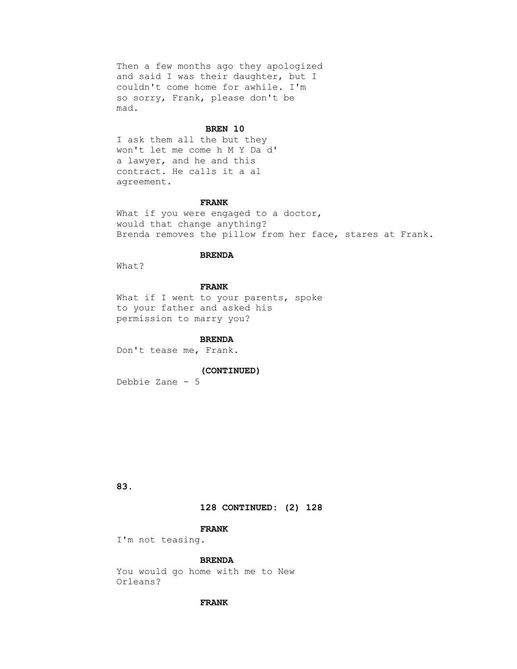Then a few months ago they apologized and said I was their daughter, but I couldn't come home for awhile. I'm so sorry, Frank, please don't be mad.

#### **BREN 10**

 I ask them all the but they won't let me come h M Y Da d' a lawyer, and he and this contract. He calls it a al agreement.

#### **FRANK**

What if you were engaged to a doctor, would that change anything? Brenda removes the pillow from her face, stares at Frank.

# **BRENDA**

What?

# **FRANK**

What if I went to your parents, spoke to your father and asked his permission to marry you?

#### **BRENDA**

Don't tease me, Frank.

### **(CONTINUED)**

Debbie Zane - 5

 **83.**

# **128 CONTINUED: (2) 128**

### **FRANK**

I'm not teasing.

# **BRENDA**

 You would go home with me to New Orleans?

### **FRANK**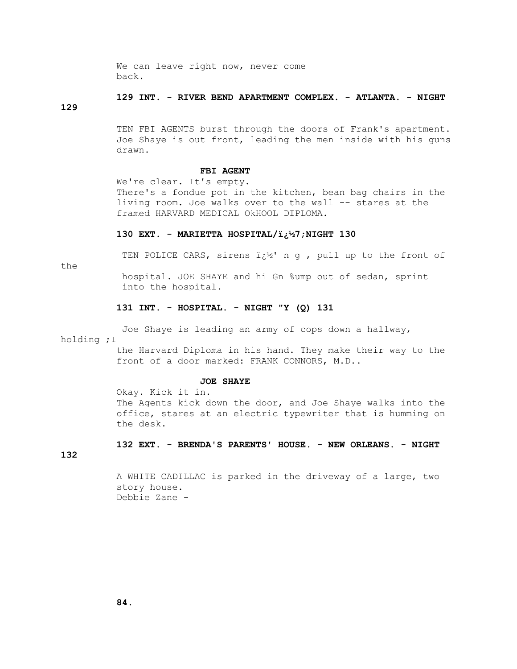We can leave right now, never come back.

# **129 INT. - RIVER BEND APARTMENT COMPLEX. - ATLANTA. - NIGHT**

# **129**

 TEN FBI AGENTS burst through the doors of Frank's apartment. Joe Shaye is out front, leading the men inside with his guns drawn.

### **FBI AGENT**

 We're clear. It's empty. There's a fondue pot in the kitchen, bean bag chairs in the living room. Joe walks over to the wall -- stares at the framed HARVARD MEDICAL OkHOOL DIPLOMA.

#### **130 EXT. - MARIETTA HOSPITAL/�7;NIGHT 130**

the

TEN POLICE CARS, sirens  $i \, i^{1/2}$  n g, pull up to the front of

 hospital. JOE SHAYE and hi Gn %ump out of sedan, sprint into the hospital.

# **131 INT. - HOSPITAL. - NIGHT "Y (Q) 131**

Joe Shaye is leading an army of cops down a hallway,

holding ;I

 the Harvard Diploma in his hand. They make their way to the front of a door marked: FRANK CONNORS, M.D..

### **JOE SHAYE**

 Okay. Kick it in. The Agents kick down the door, and Joe Shaye walks into the office, stares at an electric typewriter that is humming on the desk.

# **132 EXT. - BRENDA'S PARENTS' HOUSE. - NEW ORLEANS. - NIGHT**

**132**

 A WHITE CADILLAC is parked in the driveway of a large, two story house. Debbie Zane -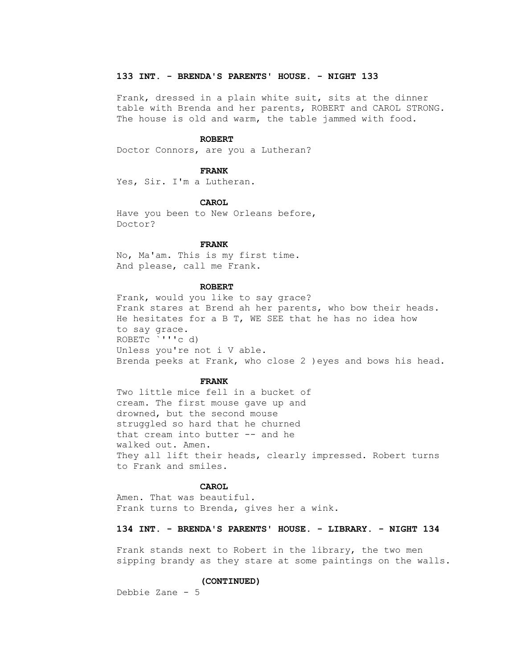### **133 INT. - BRENDA'S PARENTS' HOUSE. - NIGHT 133**

 Frank, dressed in a plain white suit, sits at the dinner table with Brenda and her parents, ROBERT and CAROL STRONG. The house is old and warm, the table jammed with food.

#### **ROBERT**

Doctor Connors, are you a Lutheran?

#### **FRANK**

Yes, Sir. I'm a Lutheran.

### **CAROL**

 Have you been to New Orleans before, Doctor?

### **FRANK**

 No, Ma'am. This is my first time. And please, call me Frank.

#### **ROBERT**

 Frank, would you like to say grace? Frank stares at Brend ah her parents, who bow their heads. He hesitates for a B T, WE SEE that he has no idea how to say grace. ROBETc `'''c d) Unless you're not i V able. Brenda peeks at Frank, who close 2 )eyes and bows his head.

#### **FRANK**

 Two little mice fell in a bucket of cream. The first mouse gave up and drowned, but the second mouse struggled so hard that he churned that cream into butter -- and he walked out. Amen. They all lift their heads, clearly impressed. Robert turns to Frank and smiles.

# **CAROL**

 Amen. That was beautiful. Frank turns to Brenda, gives her a wink.

# **134 INT. - BRENDA'S PARENTS' HOUSE. - LIBRARY. - NIGHT 134**

 Frank stands next to Robert in the library, the two men sipping brandy as they stare at some paintings on the walls.

### **(CONTINUED)**

Debbie Zane - 5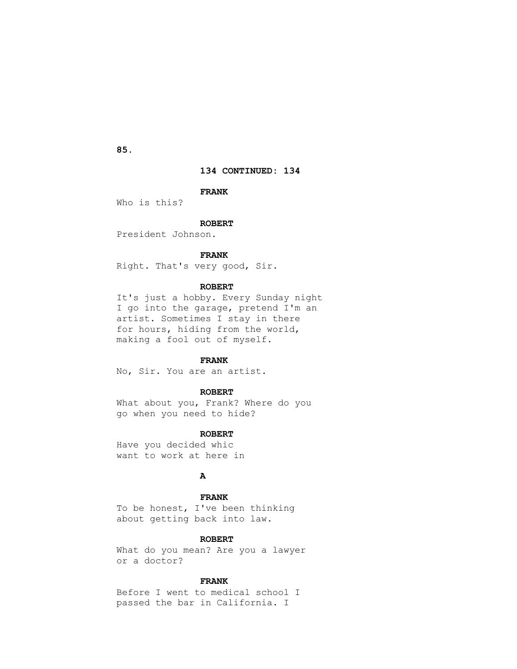**85.**

# **134 CONTINUED: 134**

### **FRANK**

Who is this?

# **ROBERT**

President Johnson.

### **FRANK**

Right. That's very good, Sir.

### **ROBERT**

 It's just a hobby. Every Sunday night I go into the garage, pretend I'm an artist. Sometimes I stay in there for hours, hiding from the world, making a fool out of myself.

# **FRANK**

No, Sir. You are an artist.

### **ROBERT**

 What about you, Frank? Where do you go when you need to hide?

### **ROBERT**

 Have you decided whic want to work at here in

# *A*

 **FRANK** To be honest, I've been thinking about getting back into law.

### **ROBERT**

 What do you mean? Are you a lawyer or a doctor?

# **FRANK**

 Before I went to medical school I passed the bar in California. I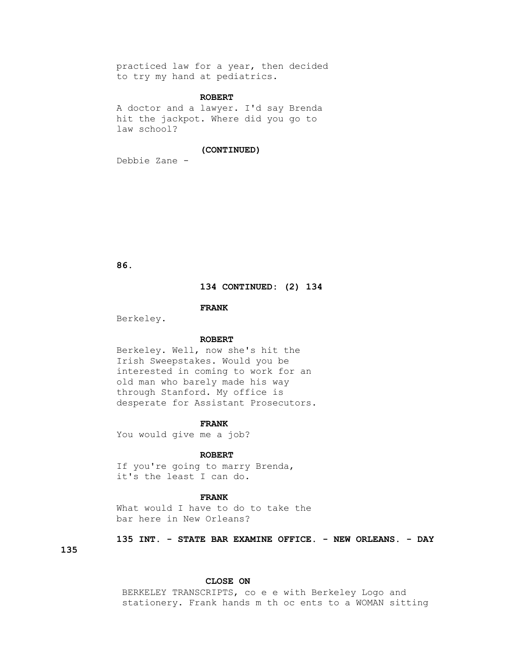practiced law for a year, then decided to try my hand at pediatrics.

# **ROBERT**

 A doctor and a lawyer. I'd say Brenda hit the jackpot. Where did you go to law school?

### **(CONTINUED)**

Debbie Zane -

 **86.**

### **134 CONTINUED: (2) 134**

### **FRANK**

Berkeley.

### **ROBERT**

 Berkeley. Well, now she's hit the Irish Sweepstakes. Would you be interested in coming to work for an old man who barely made his way through Stanford. My office is desperate for Assistant Prosecutors.

#### **FRANK**

You would give me a job?

### **ROBERT**

If you're going to marry Brenda, it's the least I can do.

### **FRANK**

What would I have to do to take the bar here in New Orleans?

 **135 INT. - STATE BAR EXAMINE OFFICE. - NEW ORLEANS. - DAY** 

# **135**

### **CLOSE ON**

 BERKELEY TRANSCRIPTS, co e e with Berkeley Logo and stationery. Frank hands m th oc ents to a WOMAN sitting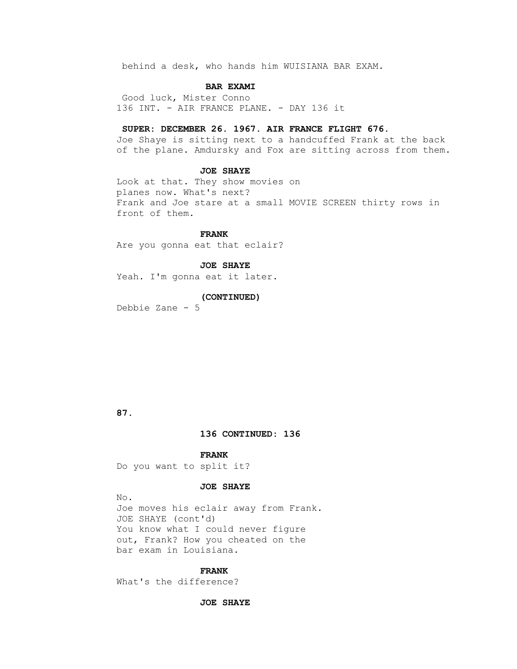behind a desk, who hands him WUISIANA BAR EXAM.

### **BAR EXAMI**

 Good luck, Mister Conno 136 INT. - AIR FRANCE PLANE. - DAY 136 it

### **SUPER: DECEMBER 26. 1967. AIR FRANCE FLIGHT 676.**

 Joe Shaye is sitting next to a handcuffed Frank at the back of the plane. Amdursky and Fox are sitting across from them.

### **JOE SHAYE**

 Look at that. They show movies on planes now. What's next? Frank and Joe stare at a small MOVIE SCREEN thirty rows in front of them.

 **FRANK** Are you gonna eat that eclair?

### **JOE SHAYE**

Yeah. I'm gonna eat it later.

# **(CONTINUED)**

Debbie Zane - 5

# **87.**

# **136 CONTINUED: 136**

 **FRANK** Do you want to split it?

### **JOE SHAYE**

 No. Joe moves his eclair away from Frank. JOE SHAYE (cont'd) You know what I could never figure out, Frank? How you cheated on the bar exam in Louisiana.

#### **FRANK**

What's the difference?

### **JOE SHAYE**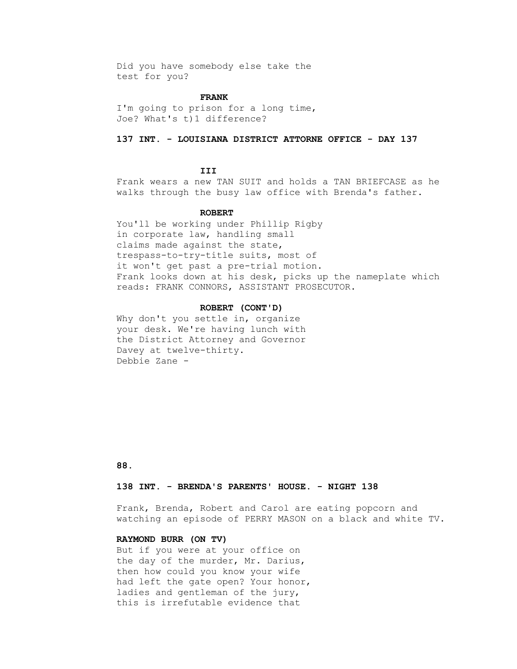Did you have somebody else take the test for you?

### **FRANK**

 I'm going to prison for a long time, Joe? What's t)1 difference?

# **137 INT. - LOUISIANA DISTRICT ATTORNE OFFICE - DAY 137**

# **III**

 Frank wears a new TAN SUIT and holds a TAN BRIEFCASE as he walks through the busy law office with Brenda's father.

### **ROBERT**

 You'll be working under Phillip Rigby in corporate law, handling small claims made against the state, trespass-to-try-title suits, most of it won't get past a pre-trial motion. Frank looks down at his desk, picks up the nameplate which reads: FRANK CONNORS, ASSISTANT PROSECUTOR.

### **ROBERT (CONT'D)**

Why don't you settle in, organize your desk. We're having lunch with the District Attorney and Governor Davey at twelve-thirty. Debbie Zane -

# **88.**

# **138 INT. - BRENDA'S PARENTS' HOUSE. - NIGHT 138**

 Frank, Brenda, Robert and Carol are eating popcorn and watching an episode of PERRY MASON on a black and white TV.

# **RAYMOND BURR (ON TV)**

 But if you were at your office on the day of the murder, Mr. Darius, then how could you know your wife had left the gate open? Your honor, ladies and gentleman of the jury, this is irrefutable evidence that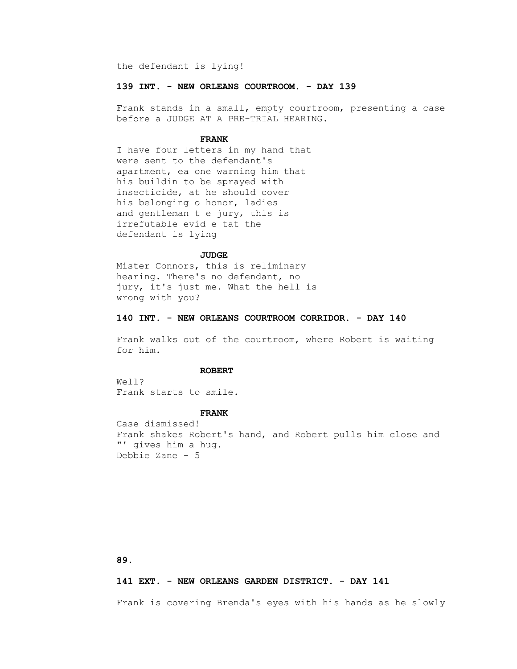the defendant is lying!

### **139 INT. - NEW ORLEANS COURTROOM. - DAY 139**

 Frank stands in a small, empty courtroom, presenting a case before a JUDGE AT A PRE-TRIAL HEARING.

### **FRANK**

 I have four letters in my hand that were sent to the defendant's apartment, ea one warning him that his buildin to be sprayed with insecticide, at he should cover his belonging o honor, ladies and gentleman t e jury, this is irrefutable evid e tat the defendant is lying

### **JUDGE**

 Mister Connors, this is reliminary hearing. There's no defendant, no jury, it's just me. What the hell is wrong with you?

# **140 INT. - NEW ORLEANS COURTROOM CORRIDOR. - DAY 140**

 Frank walks out of the courtroom, where Robert is waiting for him.

### **ROBERT**

 Well? Frank starts to smile.

#### **FRANK**

 Case dismissed! Frank shakes Robert's hand, and Robert pulls him close and "' gives him a hug. Debbie Zane - 5

### **89.**

### **141 EXT. - NEW ORLEANS GARDEN DISTRICT. - DAY 141**

Frank is covering Brenda's eyes with his hands as he slowly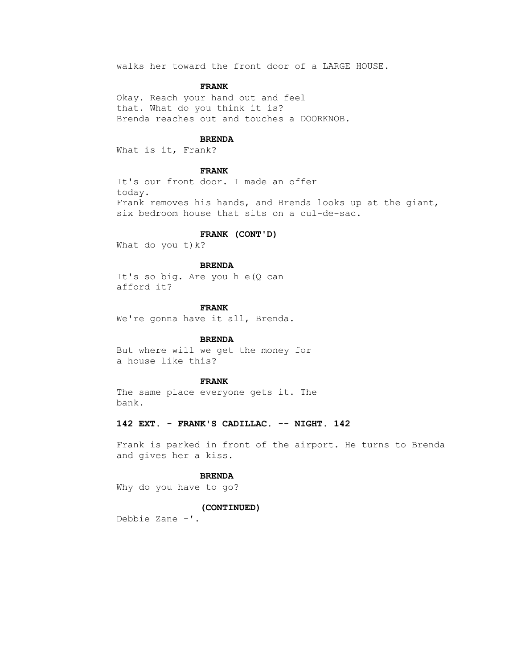walks her toward the front door of a LARGE HOUSE.

### **FRANK**

 Okay. Reach your hand out and feel that. What do you think it is? Brenda reaches out and touches a DOORKNOB.

# **BRENDA**

What is it, Frank?

# **FRANK**

 It's our front door. I made an offer today. Frank removes his hands, and Brenda looks up at the giant, six bedroom house that sits on a cul-de-sac.

#### **FRANK (CONT'D)**

What do you  $t$ )  $k$ ?

### **BRENDA**

It's so big. Are you h e(Q can afford it?

#### **FRANK**

We're gonna have it all, Brenda.

# **BRENDA**

 But where will we get the money for a house like this?

# **FRANK**

 The same place everyone gets it. The bank.

# **142 EXT. - FRANK'S CADILLAC. -- NIGHT. 142**

 Frank is parked in front of the airport. He turns to Brenda and gives her a kiss.

# **BRENDA**

Why do you have to go?

# **(CONTINUED)**

Debbie Zane -'.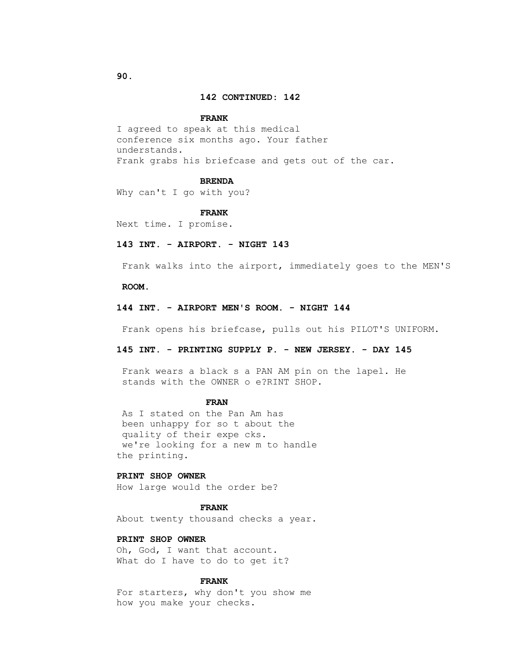# **142 CONTINUED: 142**

#### **FRANK**

 I agreed to speak at this medical conference six months ago. Your father understands. Frank grabs his briefcase and gets out of the car.

#### **BRENDA**

Why can't I go with you?

#### **FRANK**

Next time. I promise.

# **143 INT. - AIRPORT. - NIGHT 143**

Frank walks into the airport, immediately goes to the MEN'S

#### **ROOM.**

# **144 INT. - AIRPORT MEN'S ROOM. - NIGHT 144**

Frank opens his briefcase, pulls out his PILOT'S UNIFORM.

# **145 INT. - PRINTING SUPPLY P. - NEW JERSEY. - DAY 145**

 Frank wears a black s a PAN AM pin on the lapel. He stands with the OWNER o e?RINT SHOP.

# **FRAN**

 As I stated on the Pan Am has been unhappy for so t about the quality of their expe cks. we're looking for a new m to handle the printing.

# **PRINT SHOP OWNER**

How large would the order be?

# **FRANK**

About twenty thousand checks a year.

# **PRINT SHOP OWNER**

 Oh, God, I want that account. What do I have to do to get it?

# **FRANK**

 For starters, why don't you show me how you make your checks.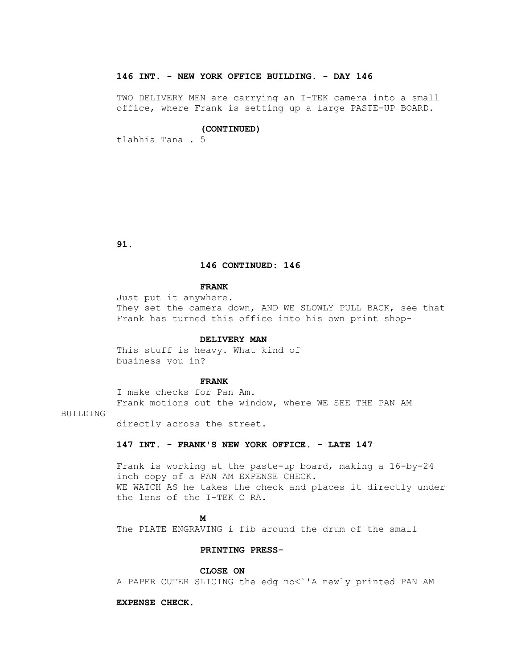# **146 INT. - NEW YORK OFFICE BUILDING. - DAY 146**

 TWO DELIVERY MEN are carrying an I-TEK camera into a small office, where Frank is setting up a large PASTE-UP BOARD.

#### **(CONTINUED)**

tlahhia Tana . 5

 **91.**

# **146 CONTINUED: 146**

# **FRANK**

 Just put it anywhere. They set the camera down, AND WE SLOWLY PULL BACK, see that Frank has turned this office into his own print shop-

#### **DELIVERY MAN**

 This stuff is heavy. What kind of business you in?

#### **FRANK**

 I make checks for Pan Am. Frank motions out the window, where WE SEE THE PAN AM

# BUILDING

directly across the street.

#### **147 INT. - FRANK'S NEW YORK OFFICE. - LATE 147**

 Frank is working at the paste-up board, making a 16-by-24 inch copy of a PAN AM EXPENSE CHECK. WE WATCH AS he takes the check and places it directly under the lens of the I-TEK C RA.

# **M**

The PLATE ENGRAVING i fib around the drum of the small

# **PRINTING PRESS-**

 **CLOSE ON**

A PAPER CUTER SLICING the edg no<`'A newly printed PAN AM

#### **EXPENSE CHECK.**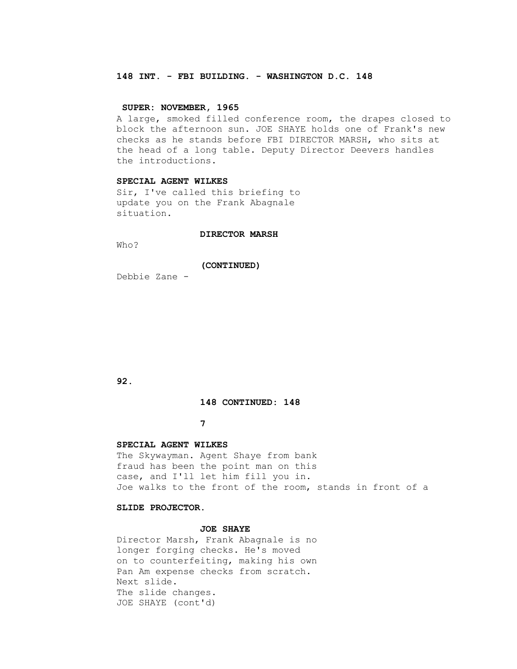# **148 INT. - FBI BUILDING. - WASHINGTON D.C. 148**

# **SUPER: NOVEMBER, 1965**

 A large, smoked filled conference room, the drapes closed to block the afternoon sun. JOE SHAYE holds one of Frank's new checks as he stands before FBI DIRECTOR MARSH, who sits at the head of a long table. Deputy Director Deevers handles the introductions.

# **SPECIAL AGENT WILKES**

 Sir, I've called this briefing to update you on the Frank Abagnale situation.

#### **DIRECTOR MARSH**

Who?

# **(CONTINUED)**

Debbie Zane -

 **92.**

# **148 CONTINUED: 148**

# **7**

# **SPECIAL AGENT WILKES**

 The Skywayman. Agent Shaye from bank fraud has been the point man on this case, and I'll let him fill you in. Joe walks to the front of the room, stands in front of a

# **SLIDE PROJECTOR.**

# **JOE SHAYE**

 Director Marsh, Frank Abagnale is no longer forging checks. He's moved on to counterfeiting, making his own Pan Am expense checks from scratch. Next slide. The slide changes. JOE SHAYE (cont'd)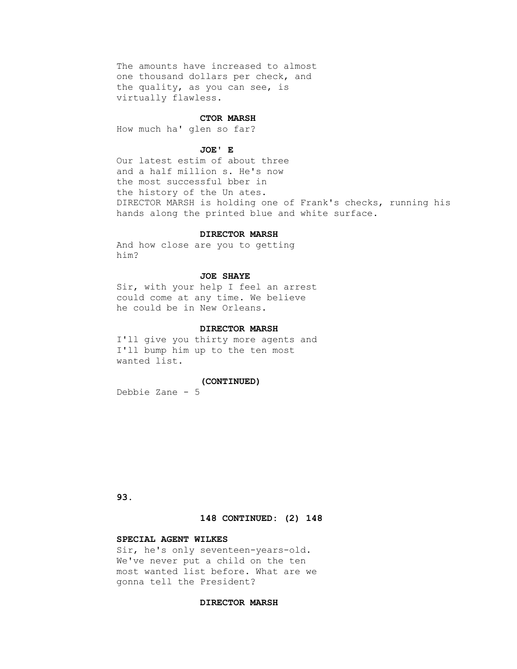The amounts have increased to almost one thousand dollars per check, and the quality, as you can see, is virtually flawless.

#### **CTOR MARSH**

How much ha' glen so far?

### **JOE' E**

 Our latest estim of about three and a half million s. He's now the most successful bber in the history of the Un ates. DIRECTOR MARSH is holding one of Frank's checks, running his hands along the printed blue and white surface.

#### **DIRECTOR MARSH**

 And how close are you to getting him?

# **JOE SHAYE**

 Sir, with your help I feel an arrest could come at any time. We believe he could be in New Orleans.

#### **DIRECTOR MARSH**

 I'll give you thirty more agents and I'll bump him up to the ten most wanted list.

# **(CONTINUED)**

Debbie Zane - 5

 **93.**

#### **148 CONTINUED: (2) 148**

# **SPECIAL AGENT WILKES**

 Sir, he's only seventeen-years-old. We've never put a child on the ten most wanted list before. What are we gonna tell the President?

#### **DIRECTOR MARSH**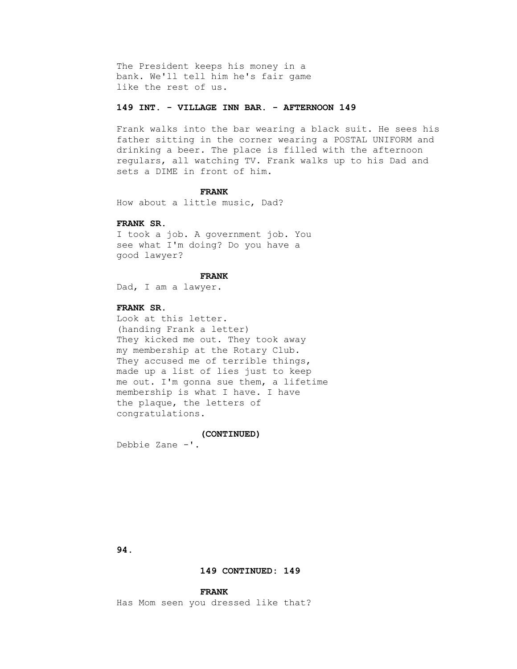The President keeps his money in a bank. We'll tell him he's fair game like the rest of us.

# **149 INT. - VILLAGE INN BAR. - AFTERNOON 149**

 Frank walks into the bar wearing a black suit. He sees his father sitting in the corner wearing a POSTAL UNIFORM and drinking a beer. The place is filled with the afternoon regulars, all watching TV. Frank walks up to his Dad and sets a DIME in front of him.

#### **FRANK**

How about a little music, Dad?

# **FRANK SR.**

 I took a job. A government job. You see what I'm doing? Do you have a good lawyer?

# **FRANK**

Dad, I am a lawyer.

# **FRANK SR.**

 Look at this letter. (handing Frank a letter) They kicked me out. They took away my membership at the Rotary Club. They accused me of terrible things, made up a list of lies just to keep me out. I'm gonna sue them, a lifetime membership is what I have. I have the plaque, the letters of congratulations.

 **(CONTINUED)** Debbie Zane -'.

 **94.**

# **149 CONTINUED: 149**

#### **FRANK**

Has Mom seen you dressed like that?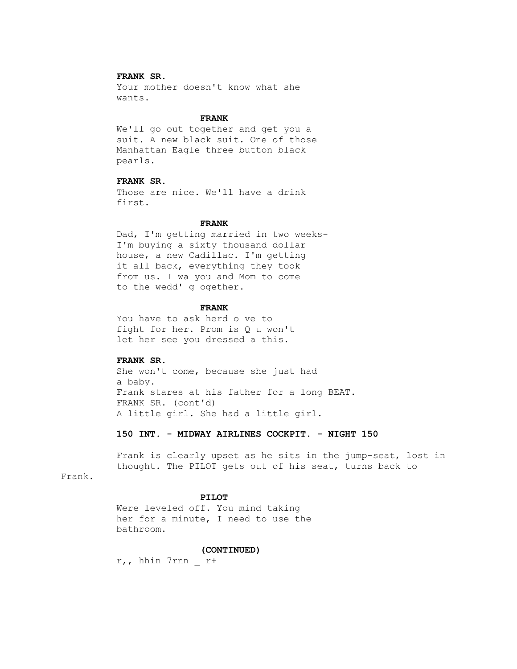# **FRANK SR.**

 Your mother doesn't know what she wants.

#### **FRANK**

 We'll go out together and get you a suit. A new black suit. One of those Manhattan Eagle three button black pearls.

# **FRANK SR.**

 Those are nice. We'll have a drink first.

# **FRANK**

 Dad, I'm getting married in two weeks- I'm buying a sixty thousand dollar house, a new Cadillac. I'm getting it all back, everything they took from us. I wa you and Mom to come to the wedd' g ogether.

#### **FRANK**

 You have to ask herd o ve to fight for her. Prom is Q u won't let her see you dressed a this.

# **FRANK SR.**

 She won't come, because she just had a baby. Frank stares at his father for a long BEAT. FRANK SR. (cont'd) A little girl. She had a little girl.

# **150 INT. - MIDWAY AIRLINES COCKPIT. - NIGHT 150**

 Frank is clearly upset as he sits in the jump-seat, lost in thought. The PILOT gets out of his seat, turns back to

# Frank.

#### **PILOT**

 Were leveled off. You mind taking her for a minute, I need to use the bathroom.

#### **(CONTINUED)**

r,, hhin 7rnn \_ r+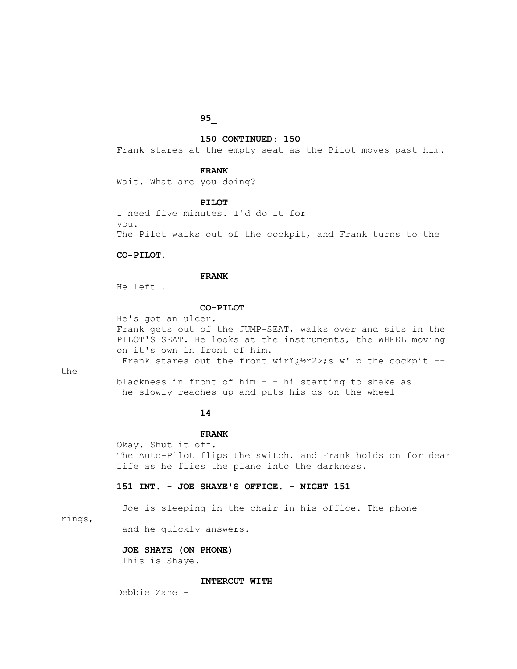# **95\_**

# **150 CONTINUED: 150**

Frank stares at the empty seat as the Pilot moves past him.

### **FRANK**

Wait. What are you doing?

#### **PILOT**

 I need five minutes. I'd do it for you. The Pilot walks out of the cockpit, and Frank turns to the

# **CO-PILOT.**

#### **FRANK**

He left .

# **CO-PILOT**

 He's got an ulcer. Frank gets out of the JUMP-SEAT, walks over and sits in the PILOT'S SEAT. He looks at the instruments, the WHEEL moving on it's own in front of him.

Frank stares out the front wiri $\frac{1}{2}$ 12>;s w' p the cockpit --

the

 blackness in front of him - - hi starting to shake as he slowly reaches up and puts his ds on the wheel --

# **14**

#### **FRANK**

 Okay. Shut it off. The Auto-Pilot flips the switch, and Frank holds on for dear life as he flies the plane into the darkness.

# **151 INT. - JOE SHAYE'S OFFICE. - NIGHT 151**

Joe is sleeping in the chair in his office. The phone

#### rings,

and he quickly answers.

# **JOE SHAYE (ON PHONE)**

This is Shaye.

# **INTERCUT WITH**

Debbie Zane -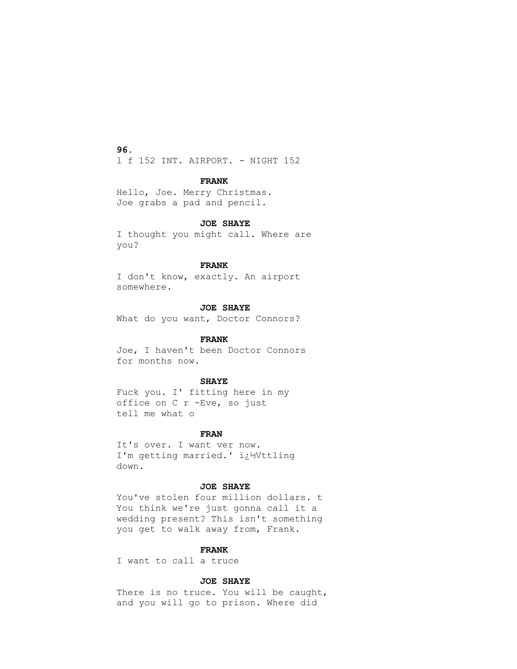**96.**

l f 152 INT. AIRPORT. - NIGHT 152

# **FRANK**

```
 Hello, Joe. Merry Christmas.
Joe grabs a pad and pencil.
```
# **JOE SHAYE**

```
 I thought you might call. Where are
you?
```
# **FRANK**

 I don't know, exactly. An airport somewhere.

# **JOE SHAYE**

What do you want, Doctor Connors?

# **FRANK**

 Joe, I haven't been Doctor Connors for months now.

# **SHAYE**

 Fuck you. I' fitting here in my office on C r -Eve, so just tell me what o

# **FRAN**

 It's over. I want ver now. I'm getting married.' i¿1/Vttling down.

# **JOE SHAYE**

You've stolen four million dollars. t You think we're just gonna call it a wedding present? This isn't something you get to walk away from, Frank.

# **FRANK**

I want to call a truce

# **JOE SHAYE**

 There is no truce. You will be caught, and you will go to prison. Where did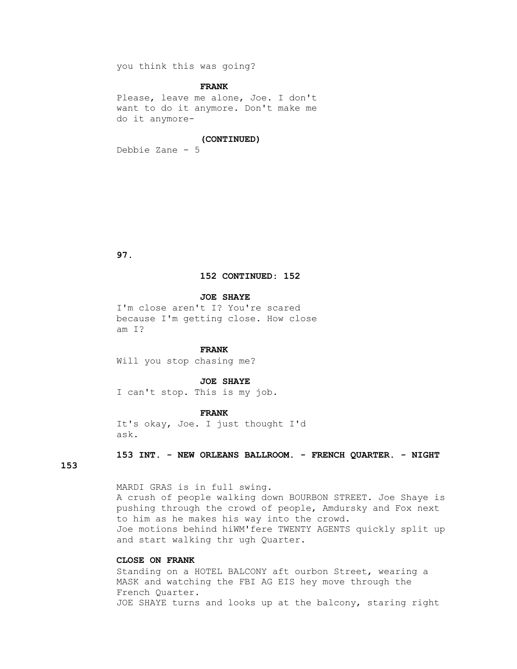you think this was going?

# **FRANK**

 Please, leave me alone, Joe. I don't want to do it anymore. Don't make me do it anymore-

# **(CONTINUED)**

Debbie Zane - 5

 **97.**

#### **152 CONTINUED: 152**

 **JOE SHAYE**

 I'm close aren't I? You're scared because I'm getting close. How close am I?

# **FRANK**

Will you stop chasing me?

#### **JOE SHAYE**

I can't stop. This is my job.

# **FRANK**

 It's okay, Joe. I just thought I'd ask.

# **153 INT. - NEW ORLEANS BALLROOM. - FRENCH QUARTER. - NIGHT**

# **153**

 MARDI GRAS is in full swing. A crush of people walking down BOURBON STREET. Joe Shaye is pushing through the crowd of people, Amdursky and Fox next to him as he makes his way into the crowd. Joe motions behind hiWM'fere TWENTY AGENTS quickly split up and start walking thr ugh Quarter.

# **CLOSE ON FRANK**

 Standing on a HOTEL BALCONY aft ourbon Street, wearing a MASK and watching the FBI AG EIS hey move through the French Quarter. JOE SHAYE turns and looks up at the balcony, staring right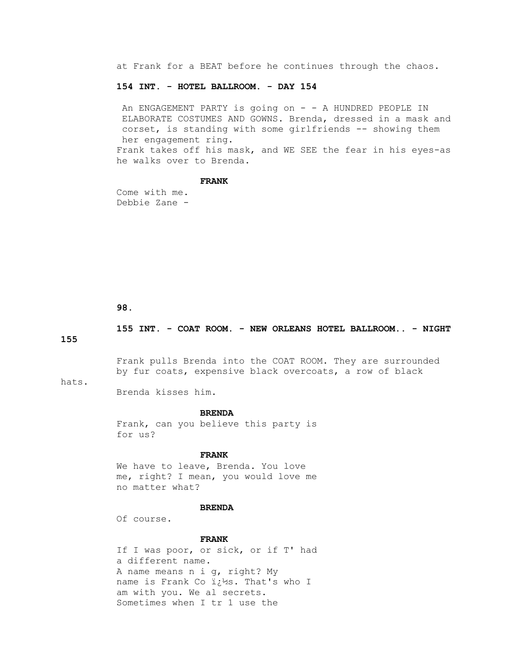at Frank for a BEAT before he continues through the chaos.

### **154 INT. - HOTEL BALLROOM. - DAY 154**

An ENGAGEMENT PARTY is going on - - A HUNDRED PEOPLE IN ELABORATE COSTUMES AND GOWNS. Brenda, dressed in a mask and corset, is standing with some girlfriends -- showing them her engagement ring. Frank takes off his mask, and WE SEE the fear in his eyes-as he walks over to Brenda.

# **FRANK**

 Come with me. Debbie Zane -

 **98.**

 **155 INT. - COAT ROOM. - NEW ORLEANS HOTEL BALLROOM.. - NIGHT** 

**155** 

 Frank pulls Brenda into the COAT ROOM. They are surrounded by fur coats, expensive black overcoats, a row of black

hats.

Brenda kisses him.

#### **BRENDA**

 Frank, can you believe this party is for us?

# **FRANK**

 We have to leave, Brenda. You love me, right? I mean, you would love me no matter what?

#### **BRENDA**

Of course.

# **FRANK**

 If I was poor, or sick, or if T' had a different name. A name means n i g, right? My name is Frank Co  $i:$ 1/2s. That's who I am with you. We al secrets. Sometimes when I tr 1 use the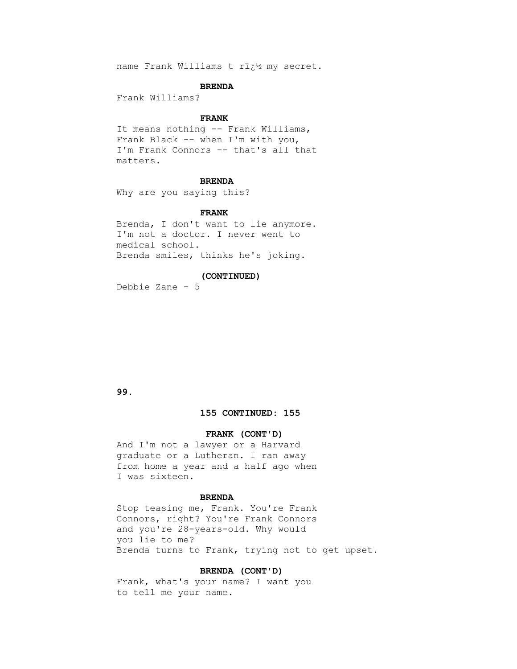name Frank Williams t ri;12 my secret.

#### **BRENDA**

Frank Williams?

#### **FRANK**

 It means nothing -- Frank Williams, Frank Black -- when I'm with you, I'm Frank Connors -- that's all that matters.

# **BRENDA**

Why are you saying this?

#### **FRANK**

 Brenda, I don't want to lie anymore. I'm not a doctor. I never went to medical school. Brenda smiles, thinks he's joking.

# **(CONTINUED)**

Debbie Zane - 5

# **99.**

# **155 CONTINUED: 155**

# **FRANK (CONT'D)**

 And I'm not a lawyer or a Harvard graduate or a Lutheran. I ran away from home a year and a half ago when I was sixteen.

# **BRENDA**

 Stop teasing me, Frank. You're Frank Connors, right? You're Frank Connors and you're 28-years-old. Why would you lie to me? Brenda turns to Frank, trying not to get upset.

# **BRENDA (CONT'D)**

 Frank, what's your name? I want you to tell me your name.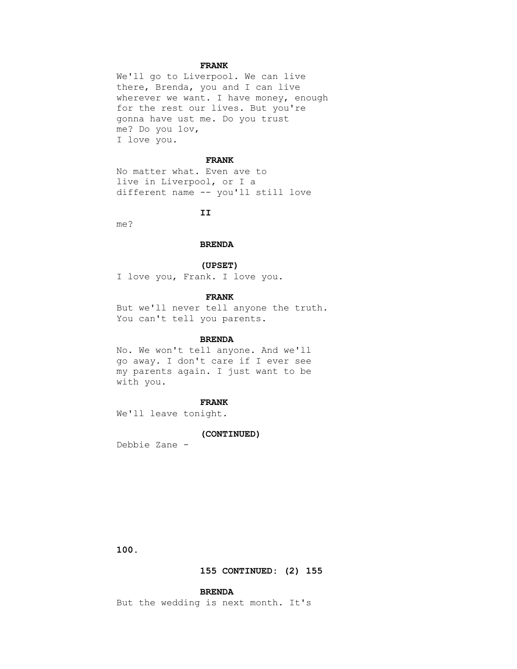# **FRANK**

 We'll go to Liverpool. We can live there, Brenda, you and I can live wherever we want. I have money, enough for the rest our lives. But you're gonna have ust me. Do you trust me? Do you 1ov, I love you.

#### **FRANK**

 No matter what. Even ave to live in Liverpool, or I a different name -- you'll still love

# **II**

me?

# **BRENDA**

#### **(UPSET)**

I love you, Frank. I love you.

# **FRANK**

 But we'll never tell anyone the truth. You can't tell you parents.

# **BRENDA**

 No. We won't tell anyone. And we'll go away. I don't care if I ever see my parents again. I just want to be with you.

# **FRANK**

We'll leave tonight.

#### **(CONTINUED)**

Debbie Zane -

 **100.**

# **155 CONTINUED: (2) 155**

# **BRENDA**

But the wedding is next month. It's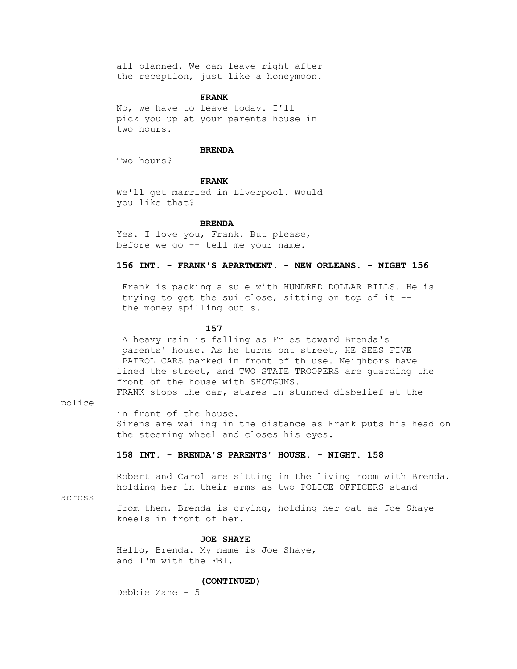all planned. We can leave right after the reception, just like a honeymoon.

#### **FRANK**

 No, we have to leave today. I'll pick you up at your parents house in two hours.

# **BRENDA**

Two hours?

# **FRANK**

 We'll get married in Liverpool. Would you like that?

#### **BRENDA**

 Yes. I love you, Frank. But please, before we go -- tell me your name.

# **156 INT. - FRANK'S APARTMENT. - NEW ORLEANS. - NIGHT 156**

 Frank is packing a su e with HUNDRED DOLLAR BILLS. He is trying to get the sui close, sitting on top of it - the money spilling out s.

# **157**

 A heavy rain is falling as Fr es toward Brenda's parents' house. As he turns ont street, HE SEES FIVE PATROL CARS parked in front of th use. Neighbors have lined the street, and TWO STATE TROOPERS are guarding the front of the house with SHOTGUNS. FRANK stops the car, stares in stunned disbelief at the

police

in front of the house.

 Sirens are wailing in the distance as Frank puts his head on the steering wheel and closes his eyes.

# **158 INT. - BRENDA'S PARENTS' HOUSE. - NIGHT. 158**

 Robert and Carol are sitting in the living room with Brenda, holding her in their arms as two POLICE OFFICERS stand

across

 from them. Brenda is crying, holding her cat as Joe Shaye kneels in front of her.

# **JOE SHAYE**

 Hello, Brenda. My name is Joe Shaye, and I'm with the FBI.

#### **(CONTINUED)**

Debbie Zane - 5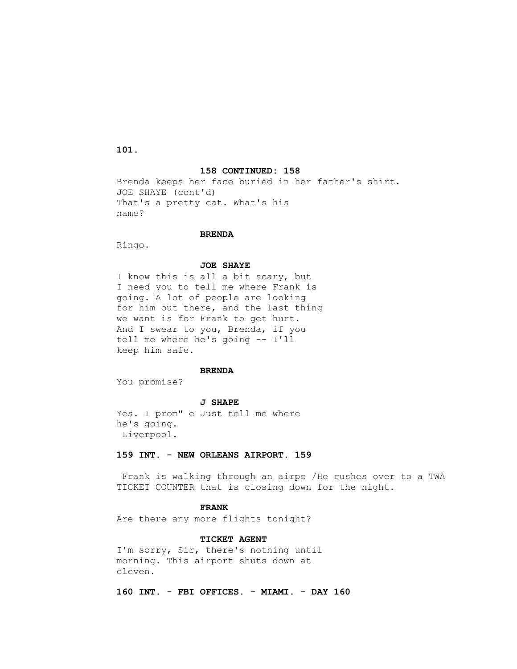**101.**

### **158 CONTINUED: 158**

 Brenda keeps her face buried in her father's shirt. JOE SHAYE (cont'd) That's a pretty cat. What's his name?

#### **BRENDA**

Ringo.

# **JOE SHAYE**

 I know this is all a bit scary, but I need you to tell me where Frank is going. A lot of people are looking for him out there, and the last thing we want is for Frank to get hurt. And I swear to you, Brenda, if you tell me where he's going -- I'll keep him safe.

# **BRENDA**

You promise?

 **J SHAPE**

 Yes. I prom" e Just tell me where he's going. Liverpool.

# **159 INT. - NEW ORLEANS AIRPORT. 159**

 Frank is walking through an airpo /He rushes over to a TWA TICKET COUNTER that is closing down for the night.

# **FRANK**

Are there any more flights tonight?

# **TICKET AGENT**

 I'm sorry, Sir, there's nothing until morning. This airport shuts down at eleven.

 **160 INT. - FBI OFFICES. - MIAMI. - DAY 160**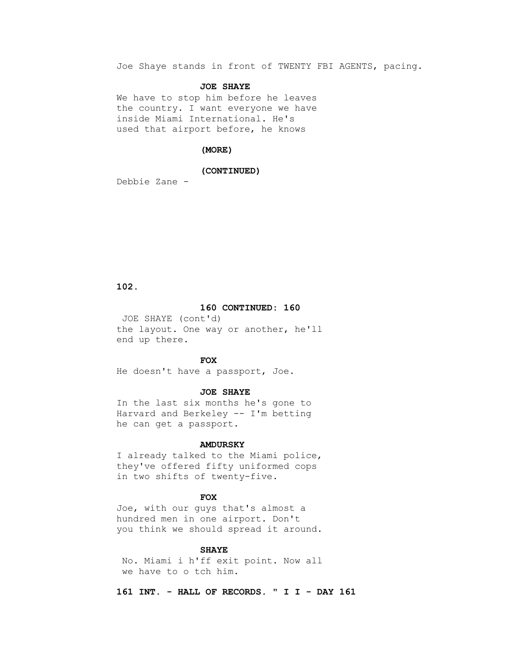Joe Shaye stands in front of TWENTY FBI AGENTS, pacing.

#### **JOE SHAYE**

 We have to stop him before he leaves the country. I want everyone we have inside Miami International. He's used that airport before, he knows

# **(MORE)**

#### **(CONTINUED)**

Debbie Zane -

 **102.**

# **160 CONTINUED: 160**

 JOE SHAYE (cont'd) the layout. One way or another, he'll end up there.

# *FOX*

He doesn't have a passport, Joe.

#### **JOE SHAYE**

 In the last six months he's gone to Harvard and Berkeley -- I'm betting he can get a passport.

#### **AMDURSKY**

 I already talked to the Miami police, they've offered fifty uniformed cops in two shifts of twenty-five.

#### **FOX**

 Joe, with our guys that's almost a hundred men in one airport. Don't you think we should spread it around.

#### **SHAYE**

 No. Miami i h'ff exit point. Now all we have to o tch him.

 **161 INT. - HALL OF RECORDS. " I I - DAY 161**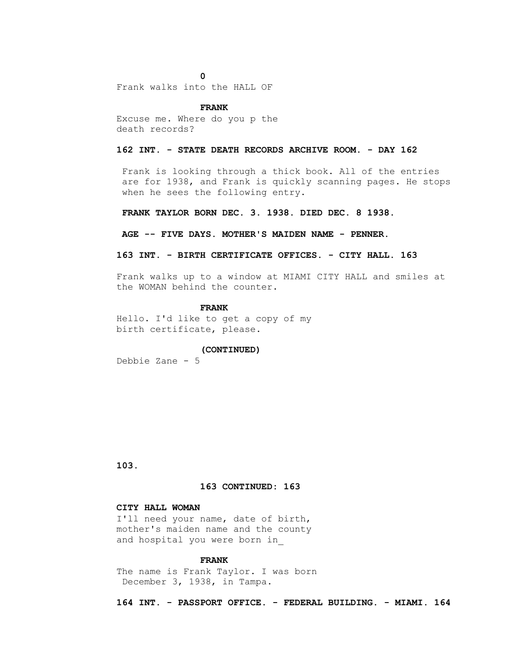**0**

Frank walks into the HALL OF

#### **FRANK**

 Excuse me. Where do you p the death records?

# **162 INT. - STATE DEATH RECORDS ARCHIVE ROOM. - DAY 162**

 Frank is looking through a thick book. All of the entries are for 1938, and Frank is quickly scanning pages. He stops when he sees the following entry.

 **FRANK TAYLOR BORN DEC. 3. 1938. DIED DEC. 8 1938.**

#### **AGE -- FIVE DAYS. MOTHER'S MAIDEN NAME - PENNER.**

# **163 INT. - BIRTH CERTIFICATE OFFICES. - CITY HALL. 163**

 Frank walks up to a window at MIAMI CITY HALL and smiles at the WOMAN behind the counter.

#### **FRANK**

 Hello. I'd like to get a copy of my birth certificate, please.

#### **(CONTINUED)**

Debbie Zane - 5

 **103.**

#### **163 CONTINUED: 163**

# **CITY HALL WOMAN**

 I'll need your name, date of birth, mother's maiden name and the county and hospital you were born in\_

# **FRANK**

 The name is Frank Taylor. I was born December 3, 1938, in Tampa.

 **164 INT. - PASSPORT OFFICE. - FEDERAL BUILDING. - MIAMI. 164**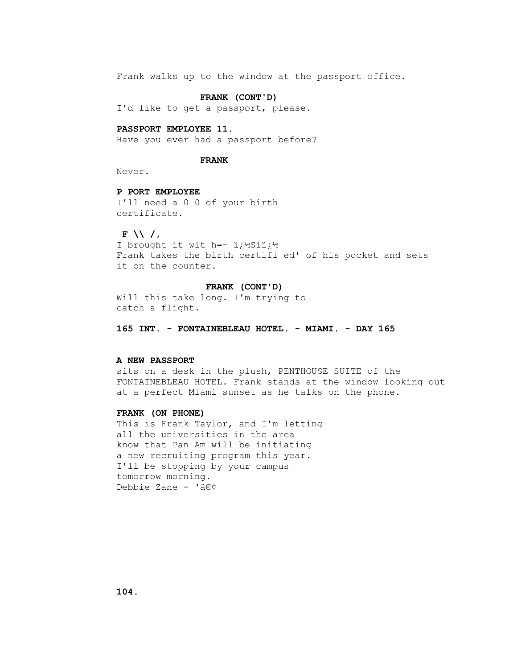Frank walks up to the window at the passport office.

# **FRANK (CONT'D)**

I'd like to get a passport, please.

#### **PASSPORT EMPLOYEE 11.**

Have you ever had a passport before?

### **FRANK**

Never.

# **P PORT EMPLOYEE**

 I'll need a 0 0 of your birth certificate.

#### **F \\ /,**

I brought it wit h =-  $i\frac{1}{2}$ Sii $\frac{1}{2}$  Frank takes the birth certifi ed' of his pocket and sets it on the counter.

#### **FRANK (CONT'D)**

 Will this take long. I'm trying to catch a flight.

 **165 INT. - FONTAINEBLEAU HOTEL. - MIAMI. - DAY 165**

# **A NEW PASSPORT**

 sits on a desk in the plush, PENTHOUSE SUITE of the FONTAINEBLEAU HOTEL. Frank stands at the window looking out at a perfect Miami sunset as he talks on the phone.

# **FRANK (ON PHONE)**

 This is Frank Taylor, and I'm letting all the universities in the area know that Pan Am will be initiating a new recruiting program this year. I'll be stopping by your campus tomorrow morning. Debbie Zane - '•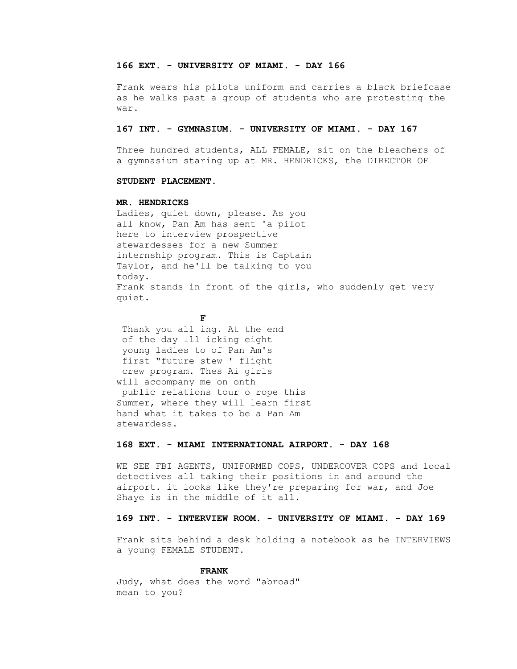# **166 EXT. - UNIVERSITY OF MIAMI. - DAY 166**

 Frank wears his pilots uniform and carries a black briefcase as he walks past a group of students who are protesting the war.

#### **167 INT. - GYMNASIUM. - UNIVERSITY OF MIAMI. - DAY 167**

 Three hundred students, ALL FEMALE, sit on the bleachers of a gymnasium staring up at MR. HENDRICKS, the DIRECTOR OF

# **STUDENT PLACEMENT.**

# **MR. HENDRICKS**

 Ladies, quiet down, please. As you all know, Pan Am has sent 'a pilot here to interview prospective stewardesses for a new Summer internship program. This is Captain Taylor, and he'll be talking to you today. Frank stands in front of the girls, who suddenly get very quiet.

# **FF**

 Thank you all ing. At the end of the day Ill icking eight young ladies to of Pan Am's first "future stew ' flight crew program. Thes Ai girls will accompany me on onth public relations tour o rope this Summer, where they will learn first hand what it takes to be a Pan Am stewardess.

# **168 EXT. - MIAMI INTERNATIONAL AIRPORT. - DAY 168**

 WE SEE FBI AGENTS, UNIFORMED COPS, UNDERCOVER COPS and local detectives all taking their positions in and around the airport. it looks like they're preparing for war, and Joe Shaye is in the middle of it all.

# **169 INT. - INTERVIEW ROOM. - UNIVERSITY OF MIAMI. - DAY 169**

 Frank sits behind a desk holding a notebook as he INTERVIEWS a young FEMALE STUDENT.

#### **FRANK**

 Judy, what does the word "abroad" mean to you?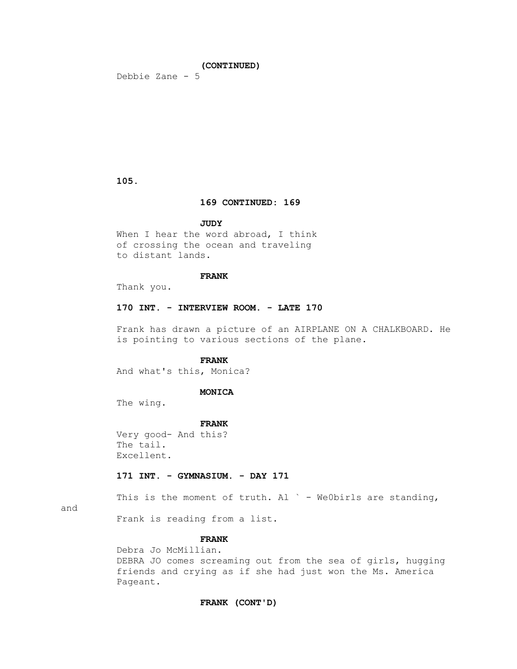# **(CONTINUED)**

Debbie Zane - 5

 **105.**

# **169 CONTINUED: 169**

# **JUDY**

When I hear the word abroad, I think of crossing the ocean and traveling to distant lands.

# **FRANK**

Thank you.

#### **170 INT. - INTERVIEW ROOM. - LATE 170**

 Frank has drawn a picture of an AIRPLANE ON A CHALKBOARD. He is pointing to various sections of the plane.

# **FRANK**

And what's this, Monica?

#### **MONICA**

The wing.

#### **FRANK**

 Very good- And this? The tail. Excellent.

# **171 INT. - GYMNASIUM. - DAY 171**

This is the moment of truth. Al  $\degree$  - We0birls are standing,

and

Frank is reading from a list.

# **FRANK**

 Debra Jo McMillian. DEBRA JO comes screaming out from the sea of girls, hugging friends and crying as if she had just won the Ms. America Pageant.

#### **FRANK (CONT'D)**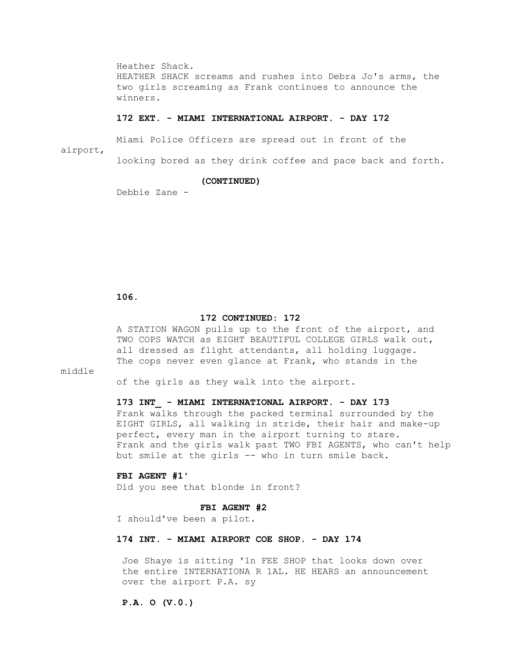Heather Shack. HEATHER SHACK screams and rushes into Debra Jo's arms, the two girls screaming as Frank continues to announce the winners.

#### **172 EXT. - MIAMI INTERNATIONAL AIRPORT. - DAY 172**

 Miami Police Officers are spread out in front of the airport,

looking bored as they drink coffee and pace back and forth.

# **(CONTINUED)**

Debbie Zane -

# **106.**

#### **172 CONTINUED: 172**

 A STATION WAGON pulls up to the front of the airport, and TWO COPS WATCH as EIGHT BEAUTIFUL COLLEGE GIRLS walk out, all dressed as flight attendants, all holding luggage. The cops never even glance at Frank, who stands in the

# middle

of the girls as they walk into the airport.

#### **173 INT\_ - MIAMI INTERNATIONAL AIRPORT. - DAY 173**

 Frank walks through the packed terminal surrounded by the EIGHT GIRLS, all walking in stride, their hair and make-up perfect, every man in the airport turning to stare. Frank and the girls walk past TWO FBI AGENTS, who can't help but smile at the girls -- who in turn smile back.

# **FBI AGENT #1'**

Did you see that blonde in front?

#### **FBI AGENT #2**

I should've been a pilot.

# **174 INT. - MIAMI AIRPORT COE SHOP. - DAY 174**

 Joe Shaye is sitting '1n FEE SHOP that looks down over the entire INTERNATIONA R 1AL. HE HEARS an announcement over the airport P.A. sy

 **P.A. O (V.0.)**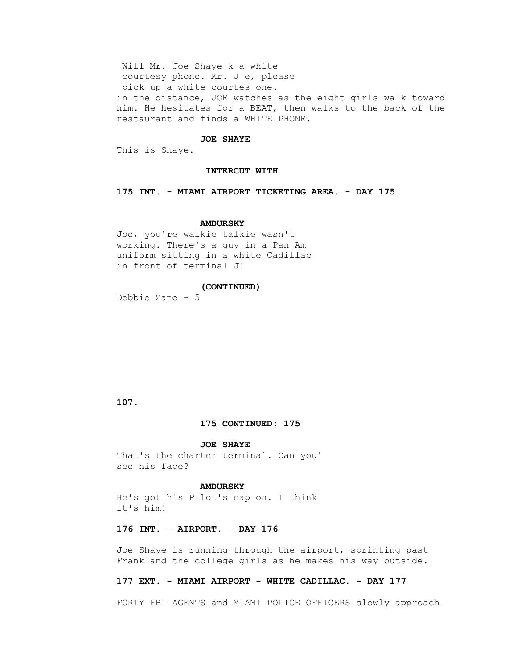Will Mr. Joe Shaye k a white courtesy phone. Mr. J e, please pick up a white courtes one. in the distance, JOE watches as the eight girls walk toward him. He hesitates for a BEAT, then walks to the back of the restaurant and finds a WHITE PHONE.

### **JOE SHAYE**

This is Shaye.

#### **INTERCUT WITH**

 **175 INT. - MIAMI AIRPORT TICKETING AREA. - DAY 175** 

#### **AMDURSKY**

 Joe, you're walkie talkie wasn't working. There's a guy in a Pan Am uniform sitting in a white Cadillac in front of terminal J!

#### **(CONTINUED)**

Debbie Zane - 5

# **107.**

#### **175 CONTINUED: 175**

#### **JOE SHAYE**

 That's the charter terminal. Can you' see his face?

# **AMDURSKY**

 He's got his Pilot's cap on. I think it's him!

# **176 INT. - AIRPORT. - DAY 176**

 Joe Shaye is running through the airport, sprinting past Frank and the college girls as he makes his way outside.

# **177 EXT. - MIAMI AIRPORT - WHITE CADILLAC. - DAY 177**

FORTY FBI AGENTS and MIAMI POLICE OFFICERS slowly approach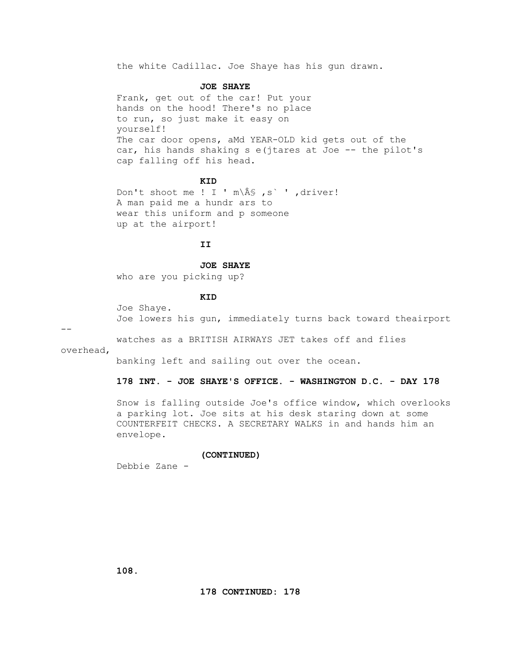the white Cadillac. Joe Shaye has his gun drawn.

#### **JOE SHAYE**

 Frank, get out of the car! Put your hands on the hood! There's no place to run, so just make it easy on yourself! The car door opens, aMd YEAR-OLD kid gets out of the car, his hands shaking s e(jtares at Joe -- the pilot's cap falling off his head.

# *KID*

Don't shoot me ! I '  $m\$ Â $\frac{1}{s}$ , s` ', driver! A man paid me a hundr ars to wear this uniform and p someone up at the airport!

# **II**

#### **JOE SHAYE**

who are you picking up?

# **KID**

 Joe Shaye. Joe lowers his gun, immediately turns back toward theairport

--

watches as a BRITISH AIRWAYS JET takes off and flies

overhead,

banking left and sailing out over the ocean.

# **178 INT. - JOE SHAYE'S OFFICE. - WASHINGTON D.C. - DAY 178**

 Snow is falling outside Joe's office window, which overlooks a parking lot. Joe sits at his desk staring down at some COUNTERFEIT CHECKS. A SECRETARY WALKS in and hands him an envelope.

# **(CONTINUED)**

Debbie Zane -

 **108.**

 **178 CONTINUED: 178**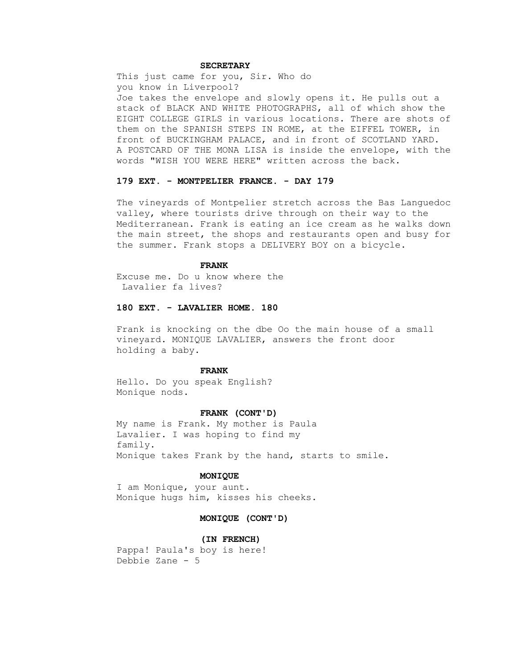# **SECRETARY**

 This just came for you, Sir. Who do you know in Liverpool? Joe takes the envelope and slowly opens it. He pulls out a stack of BLACK AND WHITE PHOTOGRAPHS, all of which show the EIGHT COLLEGE GIRLS in various locations. There are shots of them on the SPANISH STEPS IN ROME, at the EIFFEL TOWER, in front of BUCKINGHAM PALACE, and in front of SCOTLAND YARD. A POSTCARD OF THE MONA LISA is inside the envelope, with the words "WISH YOU WERE HERE" written across the back.

# **179 EXT. - MONTPELIER FRANCE. - DAY 179**

 The vineyards of Montpelier stretch across the Bas Languedoc valley, where tourists drive through on their way to the Mediterranean. Frank is eating an ice cream as he walks down the main street, the shops and restaurants open and busy for the summer. Frank stops a DELIVERY BOY on a bicycle.

#### **FRANK**

 Excuse me. Do u know where the Lavalier fa lives?

# **180 EXT. - LAVALIER HOME. 180**

 Frank is knocking on the dbe Oo the main house of a small vineyard. MONIQUE LAVALIER, answers the front door holding a baby.

# **FRANK**

 Hello. Do you speak English? Monique nods.

#### **FRANK (CONT'D)**

 My name is Frank. My mother is Paula Lavalier. I was hoping to find my family. Monique takes Frank by the hand, starts to smile.

#### **MONIQUE**

 I am Monique, your aunt. Monique hugs him, kisses his cheeks.

# **MONIQUE (CONT'D)**

 **(IN FRENCH)** Pappa! Paula's boy is here! Debbie Zane - 5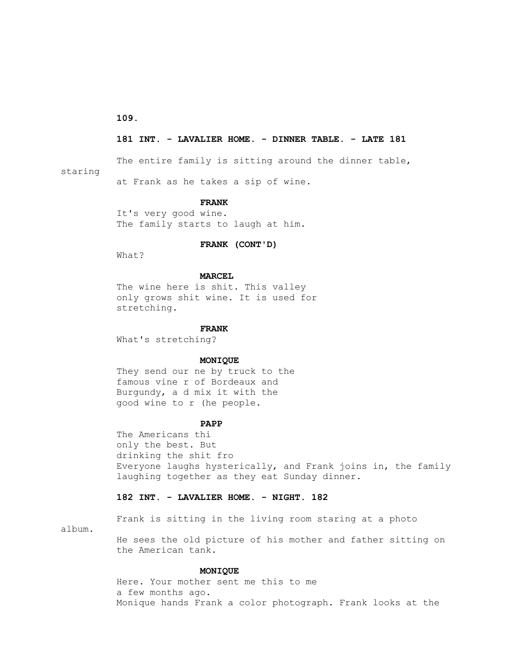**109.**

# **181 INT. - LAVALIER HOME. - DINNER TABLE. - LATE 181**

The entire family is sitting around the dinner table,

staring

at Frank as he takes a sip of wine.

# **FRANK**

 It's very good wine. The family starts to laugh at him.

# **FRANK (CONT'D)**

What?

# **MARCEL**

 The wine here is shit. This valley only grows shit wine. It is used for stretching.

#### **FRANK**

What's stretching?

#### **MONIQUE**

 They send our ne by truck to the famous vine r of Bordeaux and Burgundy, a d mix it with the good wine to r (he people.

#### **PAPP**

 The Americans thi only the best. But drinking the shit fro Everyone laughs hysterically, and Frank joins in, the family laughing together as they eat Sunday dinner.

# **182 INT. - LAVALIER HOME. - NIGHT. 182**

Frank is sitting in the living room staring at a photo

album.

 He sees the old picture of his mother and father sitting on the American tank.

# **MONIQUE**

 Here. Your mother sent me this to me a few months ago. Monique hands Frank a color photograph. Frank looks at the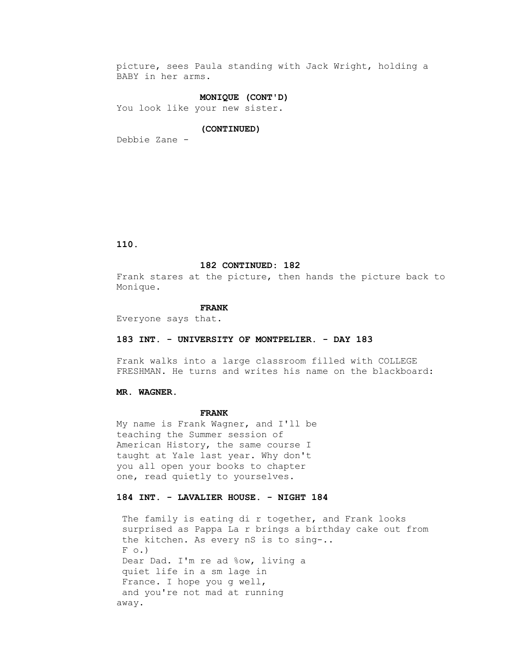picture, sees Paula standing with Jack Wright, holding a BABY in her arms.

# **MONIQUE (CONT'D)**

You look like your new sister.

#### **(CONTINUED)**

Debbie Zane -

 **110.**

# **182 CONTINUED: 182**

 Frank stares at the picture, then hands the picture back to Monique.

#### **FRANK**

Everyone says that.

# **183 INT. - UNIVERSITY OF MONTPELIER. - DAY 183**

 Frank walks into a large classroom filled with COLLEGE FRESHMAN. He turns and writes his name on the blackboard:

#### **MR. WAGNER.**

# **FRANK**

 My name is Frank Wagner, and I'll be teaching the Summer session of American History, the same course I taught at Yale last year. Why don't you all open your books to chapter one, read quietly to yourselves.

# **184 INT. - LAVALIER HOUSE. - NIGHT 184**

The family is eating di r together, and Frank looks surprised as Pappa La r brings a birthday cake out from the kitchen. As every nS is to sing-..  $F \circ .$  Dear Dad. I'm re ad %ow, living a quiet life in a sm lage in France. I hope you g well, and you're not mad at running away.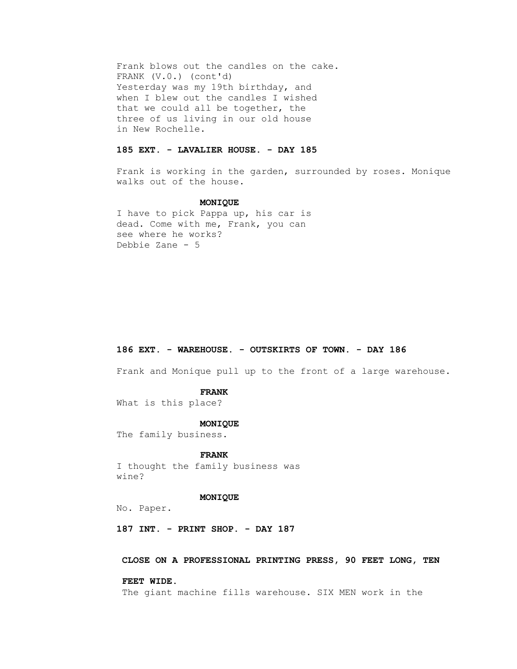Frank blows out the candles on the cake. FRANK (V.0.) (cont'd) Yesterday was my 19th birthday, and when I blew out the candles I wished that we could all be together, the three of us living in our old house in New Rochelle.

# **185 EXT. - LAVALIER HOUSE. - DAY 185**

 Frank is working in the garden, surrounded by roses. Monique walks out of the house.

#### **MONIQUE**

 I have to pick Pappa up, his car is dead. Come with me, Frank, you can see where he works? Debbie Zane - 5

# **186 EXT. - WAREHOUSE. - OUTSKIRTS OF TOWN. - DAY 186**

Frank and Monique pull up to the front of a large warehouse.

#### **FRANK**

What is this place?

#### **MONIQUE**

The family business.

# **FRANK**

 I thought the family business was wine?

#### **MONIQUE**

No. Paper.

 **187 INT. - PRINT SHOP. - DAY 187**

# **CLOSE ON A PROFESSIONAL PRINTING PRESS, 90 FEET LONG, TEN**

#### **FEET WIDE.**

The giant machine fills warehouse. SIX MEN work in the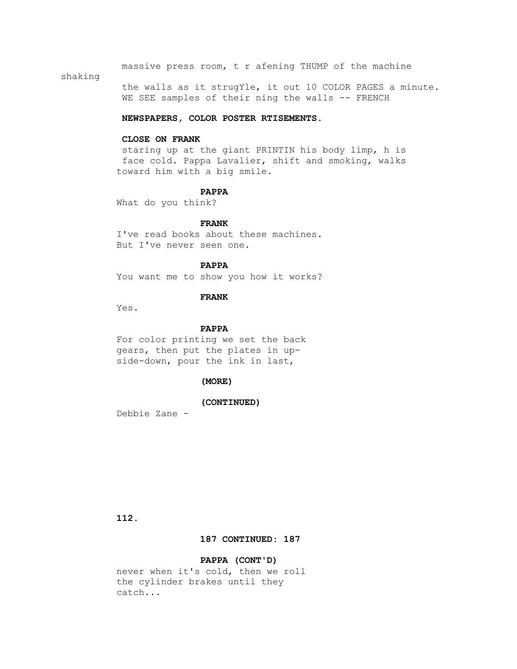massive press room, t r afening THUMP of the machine

# shaking

 the walls as it strugYle, it out 10 COLOR PAGES a minute. WE SEE samples of their ning the walls -- FRENCH

#### **NEWSPAPERS, COLOR POSTER RTISEMENTS.**

# **CLOSE ON FRANK**

 staring up at the giant PRINTIN his body limp, h is face cold. Pappa Lavalier, shift and smoking, walks toward him with a big smile.

#### **PAPPA**

What do you think?

# **FRANK**

 I've read books about these machines. But I've never seen one.

# **PAPPA**

You want me to show you how it works?

# **FRANK**

Yes.

# **PAPPA**

 For color printing we set the back gears, then put the plates in up side-down, pour the ink in last,

# **(MORE)**

#### **(CONTINUED)**

Debbie Zane -

 **112.**

# **187 CONTINUED: 187**

# **PAPPA (CONT'D)**

 never when it's cold, then we roll the cylinder brakes until they catch...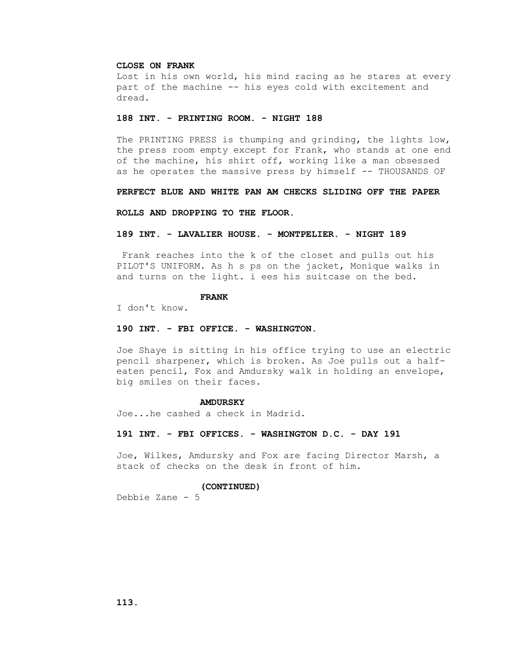# **CLOSE ON FRANK**

 Lost in his own world, his mind racing as he stares at every part of the machine -- his eyes cold with excitement and dread.

#### **188 INT. - PRINTING ROOM. - NIGHT 188**

 The PRINTING PRESS is thumping and grinding, the lights low, the press room empty except for Frank, who stands at one end of the machine, his shirt off, working like a man obsessed as he operates the massive press by himself -- THOUSANDS OF

 **PERFECT BLUE AND WHITE PAN AM CHECKS SLIDING OFF THE PAPER**

 **ROLLS AND DROPPING TO THE FLOOR.**

#### **189 INT. - LAVALIER HOUSE. - MONTPELIER. - NIGHT 189**

 Frank reaches into the k of the closet and pulls out his PILOT'S UNIFORM. As h s ps on the jacket, Monique walks in and turns on the light. i ees his suitcase on the bed.

# **FRANK**

I don't know.

#### **190 INT. - FBI OFFICE. - WASHINGTON.**

 Joe Shaye is sitting in his office trying to use an electric pencil sharpener, which is broken. As Joe pulls out a half eaten pencil, Fox and Amdursky walk in holding an envelope, big smiles on their faces.

#### **AMDURSKY**

Joe...he cashed a check in Madrid.

#### **191 INT. - FBI OFFICES. - WASHINGTON D.C. - DAY 191**

 Joe, Wilkes, Amdursky and Fox are facing Director Marsh, a stack of checks on the desk in front of him.

# **(CONTINUED)**

Debbie Zane - 5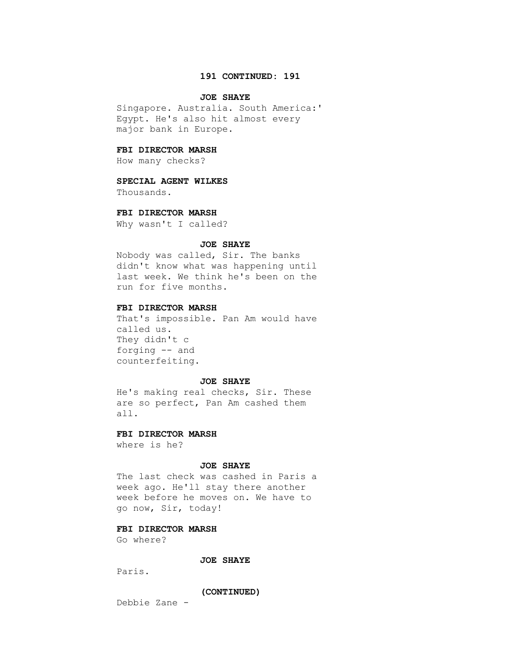# **191 CONTINUED: 191**

# **JOE SHAYE**

 Singapore. Australia. South America:' Egypt. He's also hit almost every major bank in Europe.

# **FBI DIRECTOR MARSH**

How many checks?

# **SPECIAL AGENT WILKES**

Thousands.

#### **FBI DIRECTOR MARSH**

Why wasn't I called?

#### **JOE SHAYE**

 Nobody was called, Sir. The banks didn't know what was happening until last week. We think he's been on the run for five months.

# **FBI DIRECTOR MARSH**

 That's impossible. Pan Am would have called us. They didn't c forging -- and counterfeiting.

# **JOE SHAYE**

 He's making real checks, Sir. These are so perfect, Pan Am cashed them all.

#### **FBI DIRECTOR MARSH**

where is he?

# **JOE SHAYE**

 The last check was cashed in Paris a week ago. He'll stay there another week before he moves on. We have to go now, Sir, today!

# **FBI DIRECTOR MARSH**

Go where?

# **JOE SHAYE**

Paris.

 **(CONTINUED)**

Debbie Zane -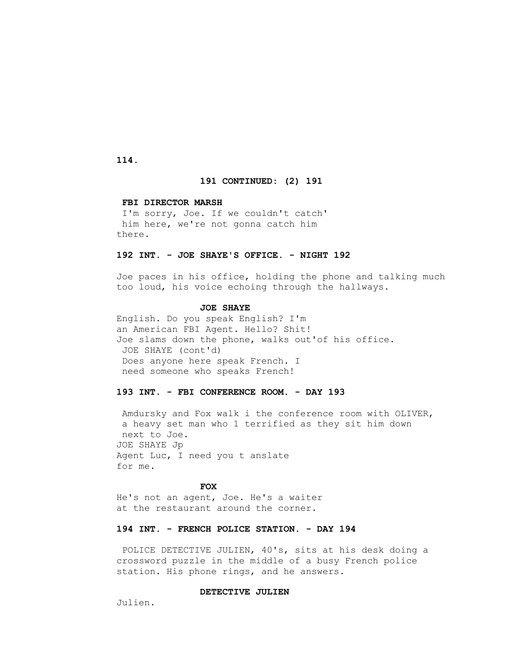# **114.**

# **191 CONTINUED: (2) 191**

#### **FBI DIRECTOR MARSH**

 I'm sorry, Joe. If we couldn't catch' him here, we're not gonna catch him there.

# **192 INT. - JOE SHAYE'S OFFICE. - NIGHT 192**

 Joe paces in his office, holding the phone and talking much too loud, his voice echoing through the hallways.

#### **JOE SHAYE**

 English. Do you speak English? I'm an American FBI Agent. Hello? Shit! Joe slams down the phone, walks out'of his office. JOE SHAYE (cont'd) Does anyone here speak French. I need someone who speaks French!

# **193 INT. - FBI CONFERENCE ROOM. - DAY 193**

 Amdursky and Fox walk i the conference room with OLIVER, a heavy set man who 1 terrified as they sit him down next to Joe. JOE SHAYE Jp Agent Luc, I need you t anslate for me.

# *FOX*

 He's not an agent, Joe. He's a waiter at the restaurant around the corner.

# **194 INT. - FRENCH POLICE STATION. - DAY 194**

 POLICE DETECTIVE JULIEN, 40's, sits at his desk doing a crossword puzzle in the middle of a busy French police station. His phone rings, and he answers.

#### **DETECTIVE JULIEN**

Julien.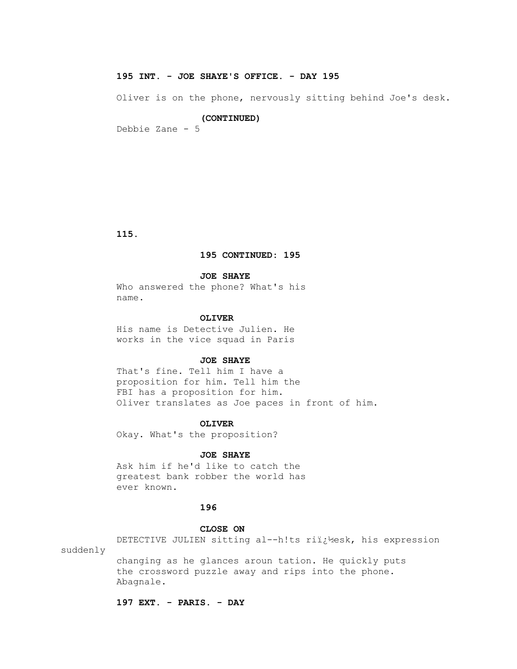# **195 INT. - JOE SHAYE'S OFFICE. - DAY 195**

Oliver is on the phone, nervously sitting behind Joe's desk.

#### **(CONTINUED)**

Debbie Zane - 5

 **115.**

# **195 CONTINUED: 195**

### **JOE SHAYE**

 Who answered the phone? What's his name.

#### **OLIVER**

 His name is Detective Julien. He works in the vice squad in Paris

# **JOE SHAYE**

 That's fine. Tell him I have a proposition for him. Tell him the FBI has a proposition for him. Oliver translates as Joe paces in front of him.

#### **OLIVER**

Okay. What's the proposition?

# **JOE SHAYE**

 Ask him if he'd like to catch the greatest bank robber the world has ever known.

# **196**

# **CLOSE ON**

 DETECTIVE JULIEN sitting al--h!ts ri�esk, his expression suddenly

 changing as he glances aroun tation. He quickly puts the crossword puzzle away and rips into the phone. Abagnale.

 **197 EXT. - PARIS. - DAY**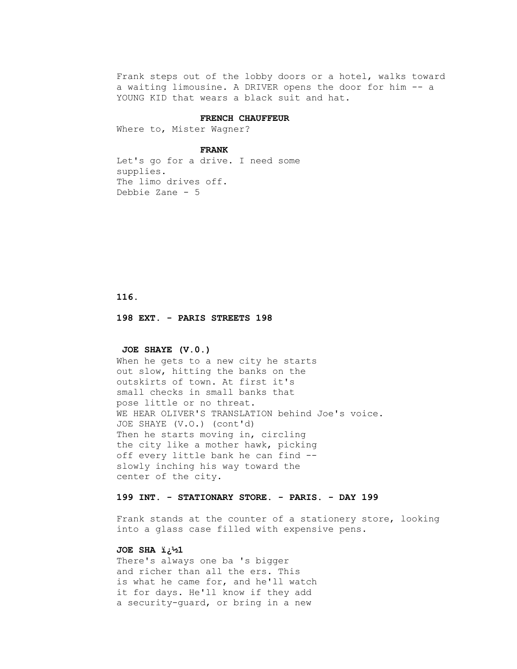Frank steps out of the lobby doors or a hotel, walks toward a waiting limousine. A DRIVER opens the door for him -- a YOUNG KID that wears a black suit and hat.

#### **FRENCH CHAUFFEUR**

Where to, Mister Wagner?

# **FRANK**

 Let's go for a drive. I need some supplies. The limo drives off. Debbie Zane - 5

 **116.**

 **198 EXT. - PARIS STREETS 198** 

#### **JOE SHAYE (V.0.)**

 When he gets to a new city he starts out slow, hitting the banks on the outskirts of town. At first it's small checks in small banks that pose little or no threat. WE HEAR OLIVER'S TRANSLATION behind Joe's voice. JOE SHAYE (V.O.) (cont'd) Then he starts moving in, circling the city like a mother hawk, picking off every little bank he can find - slowly inching his way toward the center of the city.

# **199 INT. - STATIONARY STORE. - PARIS. - DAY 199**

 Frank stands at the counter of a stationery store, looking into a glass case filled with expensive pens.

# JOE SHA  $i_{i}^{1}$ <sup>1</sup><sup>2</sup>1

 There's always one ba 's bigger and richer than all the ers. This is what he came for, and he'll watch it for days. He'll know if they add a security-guard, or bring in a new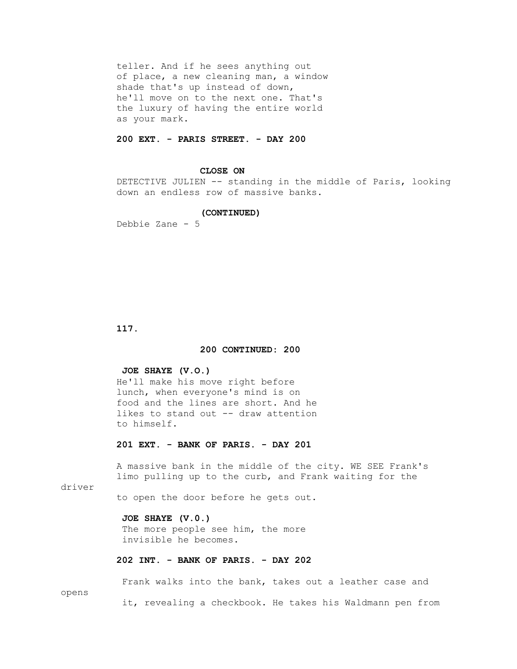teller. And if he sees anything out of place, a new cleaning man, a window shade that's up instead of down, he'll move on to the next one. That's the luxury of having the entire world as your mark.

# **200 EXT. - PARIS STREET. - DAY 200**

#### **CLOSE ON**

 DETECTIVE JULIEN -- standing in the middle of Paris, looking down an endless row of massive banks.

# **(CONTINUED)**

Debbie Zane - 5

 **117.**

# **200 CONTINUED: 200**

# **JOE SHAYE (V.O.)**

 He'll make his move right before lunch, when everyone's mind is on food and the lines are short. And he likes to stand out -- draw attention to himself.

# **201 EXT. - BANK OF PARIS. - DAY 201**

 A massive bank in the middle of the city. WE SEE Frank's limo pulling up to the curb, and Frank waiting for the

driver

to open the door before he gets out.

# **JOE SHAYE (V.0.)**

The more people see him, the more invisible he becomes.

# **202 INT. - BANK OF PARIS. - DAY 202**

 Frank walks into the bank, takes out a leather case and opens it, revealing a checkbook. He takes his Waldmann pen from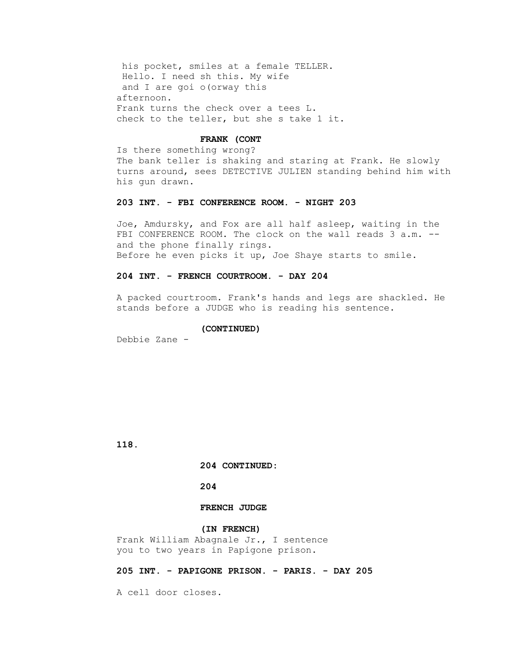his pocket, smiles at a female TELLER. Hello. I need sh this. My wife and I are goi o(orway this afternoon. Frank turns the check over a tees L. check to the teller, but she s take 1 it.

# **FRANK (CONT**

 Is there something wrong? The bank teller is shaking and staring at Frank. He slowly turns around, sees DETECTIVE JULIEN standing behind him with his gun drawn.

# **203 INT. - FBI CONFERENCE ROOM. - NIGHT 203**

 Joe, Amdursky, and Fox are all half asleep, waiting in the FBI CONFERENCE ROOM. The clock on the wall reads 3 a.m. - and the phone finally rings. Before he even picks it up, Joe Shaye starts to smile.

# **204 INT. - FRENCH COURTROOM. - DAY 204**

 A packed courtroom. Frank's hands and legs are shackled. He stands before a JUDGE who is reading his sentence.

#### **(CONTINUED)**

Debbie Zane -

 **118.**

 **204 CONTINUED:**

# **204**

# **FRENCH JUDGE**

# **(IN FRENCH)**

 Frank William Abagnale Jr., I sentence you to two years in Papigone prison.

# **205 INT. - PAPIGONE PRISON. - PARIS. - DAY 205**

A cell door closes.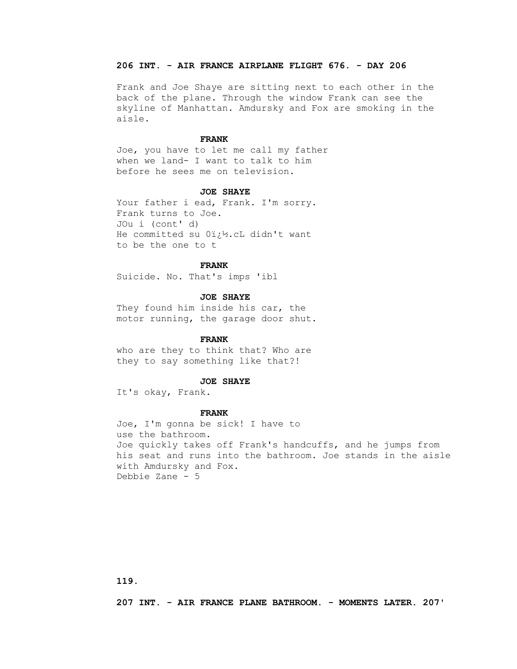# **206 INT. - AIR FRANCE AIRPLANE FLIGHT 676. - DAY 206**

 Frank and Joe Shaye are sitting next to each other in the back of the plane. Through the window Frank can see the skyline of Manhattan. Amdursky and Fox are smoking in the aisle.

#### **FRANK**

 Joe, you have to let me call my father when we land- I want to talk to him before he sees me on television.

#### **JOE SHAYE**

Your father i ead, Frank. I'm sorry. Frank turns to Joe. JOu i (cont' d) He committed su Oi.<sup>12</sup>.cL didn't want to be the one to t

#### **FRANK**

Suicide. No. That's imps 'ibl

# **JOE SHAYE**

 They found him inside his car, the motor running, the garage door shut.

# **FRANK**

 who are they to think that? Who are they to say something like that?!

#### **JOE SHAYE**

It's okay, Frank.

#### **FRANK**

 Joe, I'm gonna be sick! I have to use the bathroom. Joe quickly takes off Frank's handcuffs, and he jumps from his seat and runs into the bathroom. Joe stands in the aisle with Amdursky and Fox. Debbie Zane - 5

 **207 INT. - AIR FRANCE PLANE BATHROOM. - MOMENTS LATER. 207'**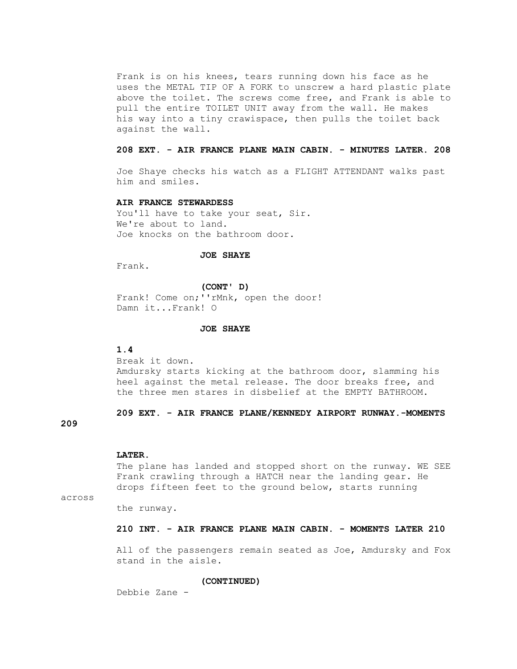Frank is on his knees, tears running down his face as he uses the METAL TIP OF A FORK to unscrew a hard plastic plate above the toilet. The screws come free, and Frank is able to pull the entire TOILET UNIT away from the wall. He makes his way into a tiny crawispace, then pulls the toilet back against the wall.

# **208 EXT. - AIR FRANCE PLANE MAIN CABIN. - MINUTES LATER. 208**

 Joe Shaye checks his watch as a FLIGHT ATTENDANT walks past him and smiles.

#### **AIR FRANCE STEWARDESS**

You'll have to take your seat, Sir. We're about to land. Joe knocks on the bathroom door.

# **JOE SHAYE**

Frank.

#### **(CONT' D)**

Frank! Come on; ''rMnk, open the door! Damn it...Frank! O

# **JOE SHAYE**

#### **1.4**

 Break it down. Amdursky starts kicking at the bathroom door, slamming his heel against the metal release. The door breaks free, and the three men stares in disbelief at the EMPTY BATHROOM.

# **209 EXT. - AIR FRANCE PLANE/KENNEDY AIRPORT RUNWAY.-MOMENTS**

# **209**

#### **LATER.**

 The plane has landed and stopped short on the runway. WE SEE Frank crawling through a HATCH near the landing gear. He drops fifteen feet to the ground below, starts running

across

the runway.

#### **210 INT. - AIR FRANCE PLANE MAIN CABIN. - MOMENTS LATER 210**

 All of the passengers remain seated as Joe, Amdursky and Fox stand in the aisle.

#### **(CONTINUED)**

Debbie Zane -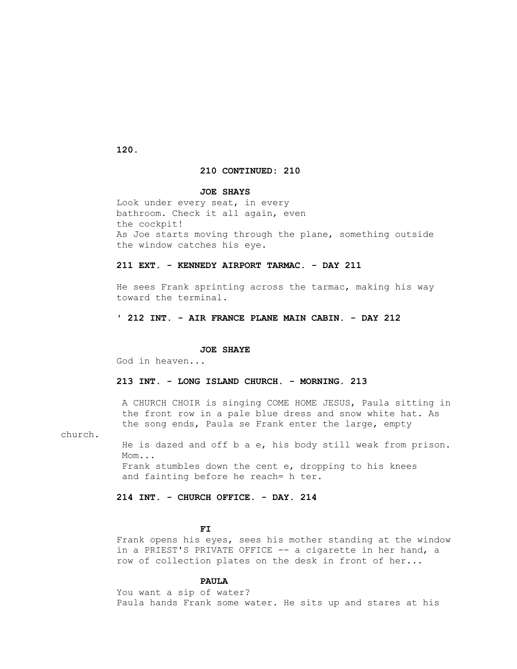### **120.**

## **210 CONTINUED: 210**

#### **JOE SHAYS**

 Look under every seat, in every bathroom. Check it all again, even the cockpit! As Joe starts moving through the plane, something outside the window catches his eye.

## **211 EXT. - KENNEDY AIRPORT TARMAC. - DAY 211**

 He sees Frank sprinting across the tarmac, making his way toward the terminal.

## **' 212 INT. - AIR FRANCE PLANE MAIN CABIN. - DAY 212**

#### **JOE SHAYE**

God in heaven...

## **213 INT. - LONG ISLAND CHURCH. - MORNING. 213**

 A CHURCH CHOIR is singing COME HOME JESUS, Paula sitting in the front row in a pale blue dress and snow white hat. As the song ends, Paula se Frank enter the large, empty

church.

 He is dazed and off b a e, his body still weak from prison. Mom... Frank stumbles down the cent e, dropping to his knees and fainting before he reach= h ter.

## **214 INT. - CHURCH OFFICE. - DAY. 214**

## **FI**

 Frank opens his eyes, sees his mother standing at the window in a PRIEST'S PRIVATE OFFICE -- a cigarette in her hand, a row of collection plates on the desk in front of her...

### **PAULA**

 You want a sip of water? Paula hands Frank some water. He sits up and stares at his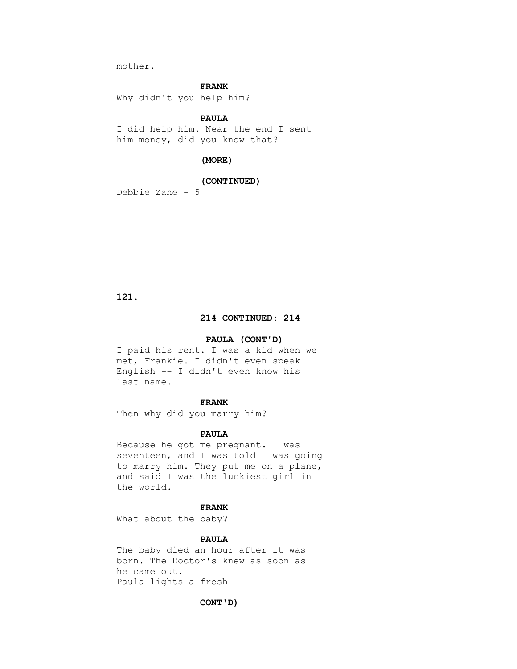mother.

### **FRANK**

Why didn't you help him?

## **PAULA**

 I did help him. Near the end I sent him money, did you know that?

### **(MORE)**

## **(CONTINUED)**

Debbie Zane - 5

 **121.**

## **214 CONTINUED: 214**

### **PAULA (CONT'D)**

 I paid his rent. I was a kid when we met, Frankie. I didn't even speak English -- I didn't even know his last name.

#### **FRANK**

Then why did you marry him?

#### **PAULA**

 Because he got me pregnant. I was seventeen, and I was told I was going to marry him. They put me on a plane, and said I was the luckiest girl in the world.

## **FRANK**

What about the baby?

## **PAULA**

 The baby died an hour after it was born. The Doctor's knew as soon as he came out. Paula lights a fresh

#### **CONT'D)**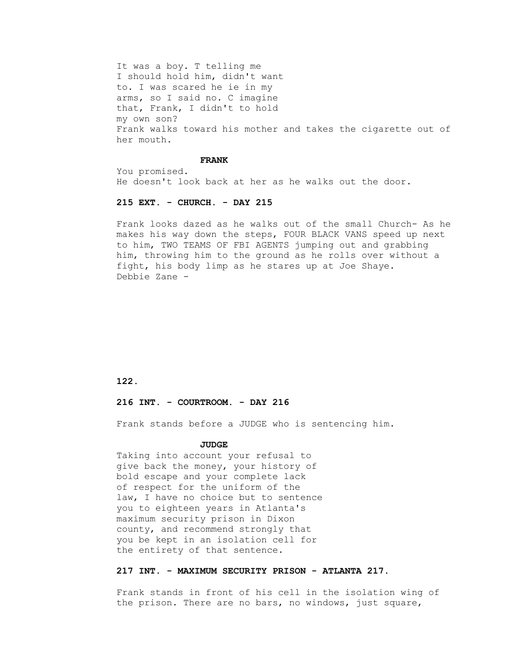It was a boy. T telling me I should hold him, didn't want to. I was scared he ie in my arms, so I said no. C imagine that, Frank, I didn't to hold my own son? Frank walks toward his mother and takes the cigarette out of her mouth.

#### **FRANK**

 You promised. He doesn't look back at her as he walks out the door.

### **215 EXT. - CHURCH. - DAY 215**

 Frank looks dazed as he walks out of the small Church- As he makes his way down the steps, FOUR BLACK VANS speed up next to him, TWO TEAMS OF FBI AGENTS jumping out and grabbing him, throwing him to the ground as he rolls over without a fight, his body limp as he stares up at Joe Shaye. Debbie Zane -

 **122.**

#### **216 INT. - COURTROOM. - DAY 216**

Frank stands before a JUDGE who is sentencing him.

#### **JUDGE**

 Taking into account your refusal to give back the money, your history of bold escape and your complete lack of respect for the uniform of the law, I have no choice but to sentence you to eighteen years in Atlanta's maximum security prison in Dixon county, and recommend strongly that you be kept in an isolation cell for the entirety of that sentence.

## **217 INT. - MAXIMUM SECURITY PRISON - ATLANTA 217.**

 Frank stands in front of his cell in the isolation wing of the prison. There are no bars, no windows, just square,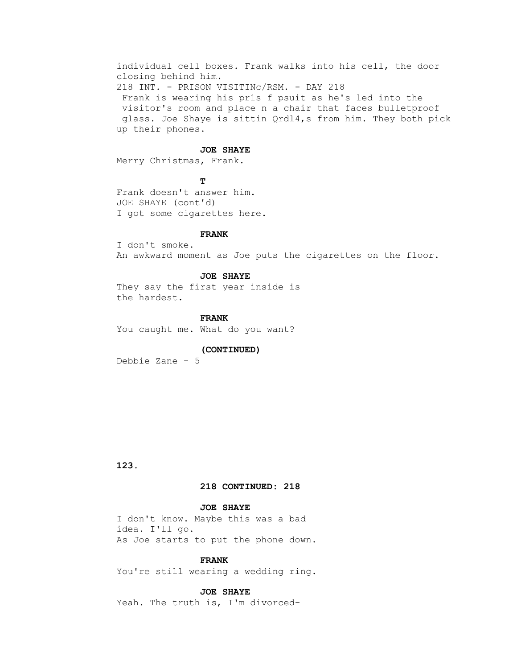individual cell boxes. Frank walks into his cell, the door closing behind him. 218 INT. - PRISON VISITINc/RSM. - DAY 218 Frank is wearing his pr1s f psuit as he's led into the visitor's room and place n a chair that faces bulletproof glass. Joe Shaye is sittin Qrdl4,s from him. They both pick up their phones.

#### **JOE SHAYE**

Merry Christmas, Frank.

**T**  Frank doesn't answer him. JOE SHAYE (cont'd) I got some cigarettes here.

#### **FRANK**

 I don't smoke. An awkward moment as Joe puts the cigarettes on the floor.

#### **JOE SHAYE**

 They say the first year inside is the hardest.

## **FRANK**

You caught me. What do you want?

#### **(CONTINUED)**

Debbie Zane - 5

 **123.**

### **218 CONTINUED: 218**

## **JOE SHAYE**

 I don't know. Maybe this was a bad idea. I'll go. As Joe starts to put the phone down.

### **FRANK**

You're still wearing a wedding ring.

### **JOE SHAYE**

Yeah. The truth is, I'm divorced-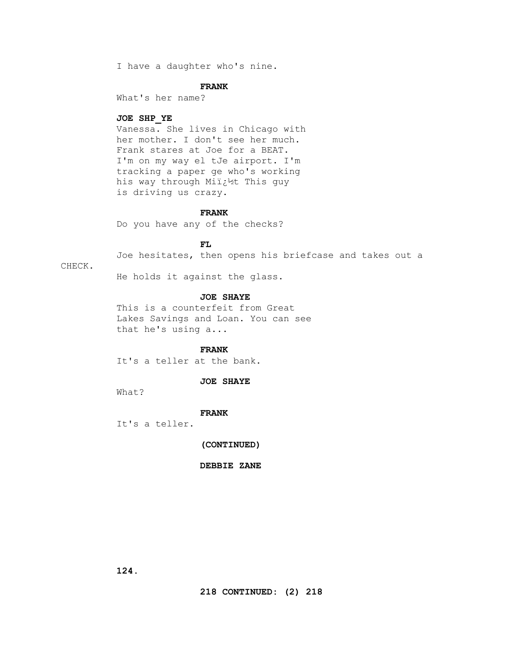I have a daughter who's nine.

#### **FRANK**

What's her name?

#### **JOE SHP\_YE**

 Vanessa. She lives in Chicago with her mother. I don't see her much. Frank stares at Joe for a BEAT. I'm on my way el tJe airport. I'm tracking a paper ge who's working his way through Militht This guy is driving us crazy.

## **FRANK**

Do you have any of the checks?

## **FL**

Joe hesitates, then opens his briefcase and takes out a

#### CHECK.

He holds it against the glass.

## **JOE SHAYE**

 This is a counterfeit from Great Lakes Savings and Loan. You can see that he's using a...

 **FRANK**

It's a teller at the bank.

## **JOE SHAYE**

What?

## **FRANK**

It's a teller.

### **(CONTINUED)**

 **DEBBIE ZANE**

 **124.**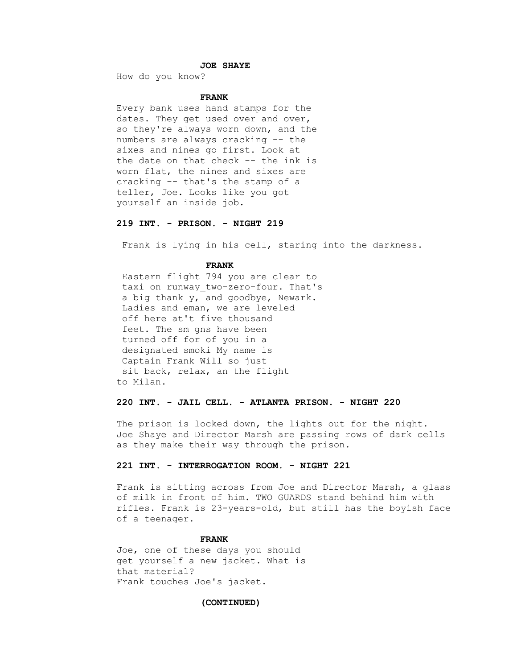## **JOE SHAYE**

How do you know?

### **FRANK**

 Every bank uses hand stamps for the dates. They get used over and over, so they're always worn down, and the numbers are always cracking -- the sixes and nines go first. Look at the date on that check -- the ink is worn flat, the nines and sixes are cracking -- that's the stamp of a teller, Joe. Looks like you got yourself an inside job.

### **219 INT. - PRISON. - NIGHT 219**

Frank is lying in his cell, staring into the darkness.

#### **FRANK**

 Eastern flight 794 you are clear to taxi on runway two-zero-four. That's a big thank y, and goodbye, Newark. Ladies and eman, we are leveled off here at't five thousand feet. The sm gns have been turned off for of you in a designated smoki My name is Captain Frank Will so just sit back, relax, an the flight to Milan.

## **220 INT. - JAIL CELL. - ATLANTA PRISON. - NIGHT 220**

 The prison is locked down, the lights out for the night. Joe Shaye and Director Marsh are passing rows of dark cells as they make their way through the prison.

## **221 INT. - INTERROGATION ROOM. - NIGHT 221**

 Frank is sitting across from Joe and Director Marsh, a glass of milk in front of him. TWO GUARDS stand behind him with rifles. Frank is 23-years-old, but still has the boyish face of a teenager.

#### **FRANK**

 Joe, one of these days you should get yourself a new jacket. What is that material? Frank touches Joe's jacket.

#### **(CONTINUED)**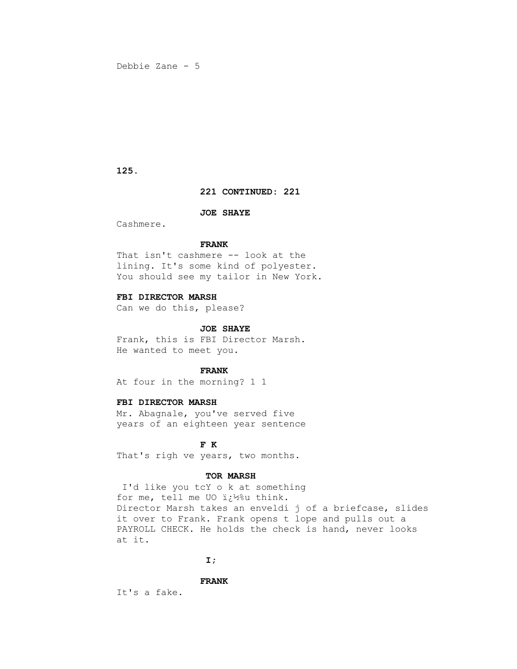### **125.**

## **221 CONTINUED: 221**

### **JOE SHAYE**

Cashmere.

## **FRANK**

 That isn't cashmere -- look at the lining. It's some kind of polyester. You should see my tailor in New York.

## **FBI DIRECTOR MARSH**

Can we do this, please?

#### **JOE SHAYE**

 Frank, this is FBI Director Marsh. He wanted to meet you.

## **FRANK**

At four in the morning? 1 1

## **FBI DIRECTOR MARSH**

 Mr. Abagnale, you've served five years of an eighteen year sentence

## **F K**

That's righ ve years, two months.

### **TOR MARSH**

 I'd like you tcY o k at something for me, tell me UO i¿<sup>12</sup>%u think. Director Marsh takes an enveldi j of a briefcase, slides it over to Frank. Frank opens t lope and pulls out a PAYROLL CHECK. He holds the check is hand, never looks at it.

## **1**  $\mathbf{I}$  **I**  $\mathbf{I}$

### **FRANK**

It's a fake.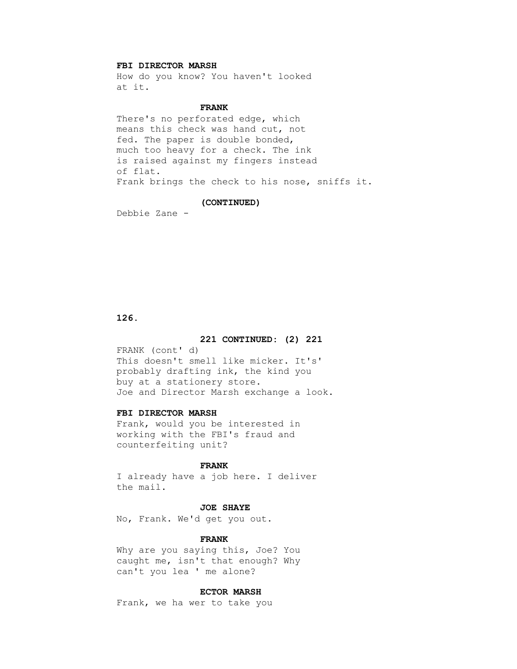## **FBI DIRECTOR MARSH**

 How do you know? You haven't looked at it.

## **FRANK**

 There's no perforated edge, which means this check was hand cut, not fed. The paper is double bonded, much too heavy for a check. The ink is raised against my fingers instead of flat. Frank brings the check to his nose, sniffs it.

#### **(CONTINUED)**

Debbie Zane -

## **126.**

## **221 CONTINUED: (2) 221**

 FRANK (cont' d) This doesn't smell like micker. It's' probably drafting ink, the kind you buy at a stationery store. Joe and Director Marsh exchange a look.

### **FBI DIRECTOR MARSH**

 Frank, would you be interested in working with the FBI's fraud and counterfeiting unit?

#### **FRANK**

 I already have a job here. I deliver the mail.

## **JOE SHAYE**

No, Frank. We'd get you out.

#### **FRANK**

 Why are you saying this, Joe? You caught me, isn't that enough? Why can't you lea ' me alone?

## **ECTOR MARSH**

Frank, we ha wer to take you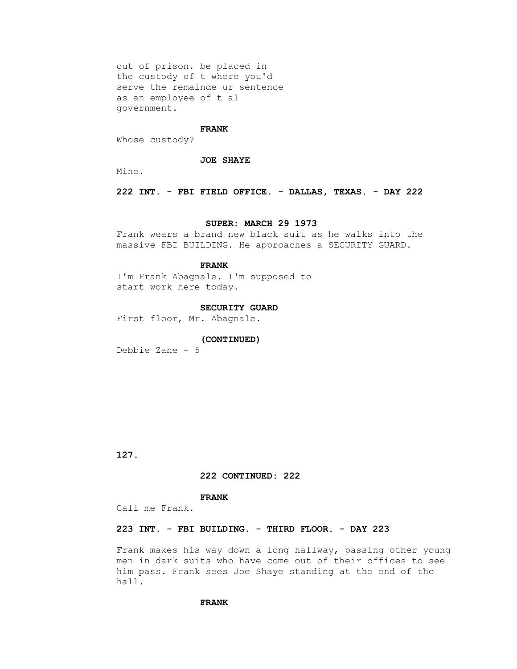out of prison. be placed in the custody of t where you'd serve the remainde ur sentence as an employee of t al government.

#### **FRANK**

Whose custody?

#### **JOE SHAYE**

Mine.

 **222 INT. - FBI FIELD OFFICE. - DALLAS, TEXAS. - DAY 222**

### **SUPER: MARCH 29 1973**

 Frank wears a brand new black suit as he walks into the massive FBI BUILDING. He approaches a SECURITY GUARD.

# **FRANK**

 I'm Frank Abagnale. I'm supposed to start work here today.

#### **SECURITY GUARD**

First floor, Mr. Abagnale.

# **(CONTINUED)**

Debbie Zane - 5

 **127.**

#### **222 CONTINUED: 222**

#### **FRANK**

Call me Frank.

### **223 INT. - FBI BUILDING. - THIRD FLOOR. - DAY 223**

 Frank makes his way down a long hallway, passing other young men in dark suits who have come out of their offices to see him pass. Frank sees Joe Shaye standing at the end of the hall.

#### **FRANK**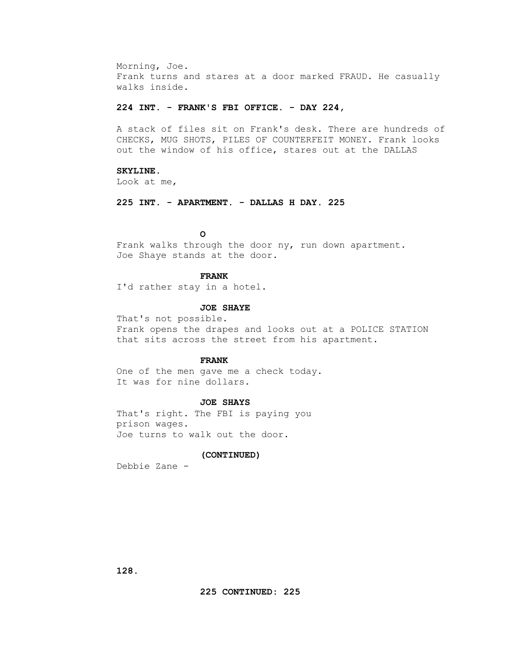Morning, Joe. Frank turns and stares at a door marked FRAUD. He casually walks inside.

### **224 INT. - FRANK'S FBI OFFICE. - DAY 224,**

 A stack of files sit on Frank's desk. There are hundreds of CHECKS, MUG SHOTS, PILES OF COUNTERFEIT MONEY. Frank looks out the window of his office, stares out at the DALLAS

## **SKYLINE.**

Look at me,

 **225 INT. - APARTMENT. - DALLAS H DAY. 225**

## *CONTRACTE CONTRACTE CONTRACTE CONTRACTE CONTRACTE CONTRACTE CONTRACTE CONTRACTE CONTRACTE CONTRACTE CONTRACTE CONTRACTE CONTRACTE CONTRACTE CONTRACTE CONTRACTE CONTRACTE CONTRACTE CONTRACTE CONTRACTE CONTRACTE CONTRACTE*

 Frank walks through the door ny, run down apartment. Joe Shaye stands at the door.

## **FRANK**

I'd rather stay in a hotel.

## **JOE SHAYE**

 That's not possible. Frank opens the drapes and looks out at a POLICE STATION that sits across the street from his apartment.

## **FRANK**

 One of the men gave me a check today. It was for nine dollars.

## **JOE SHAYS**

 That's right. The FBI is paying you prison wages. Joe turns to walk out the door.

### **(CONTINUED)**

Debbie Zane -

 **128.**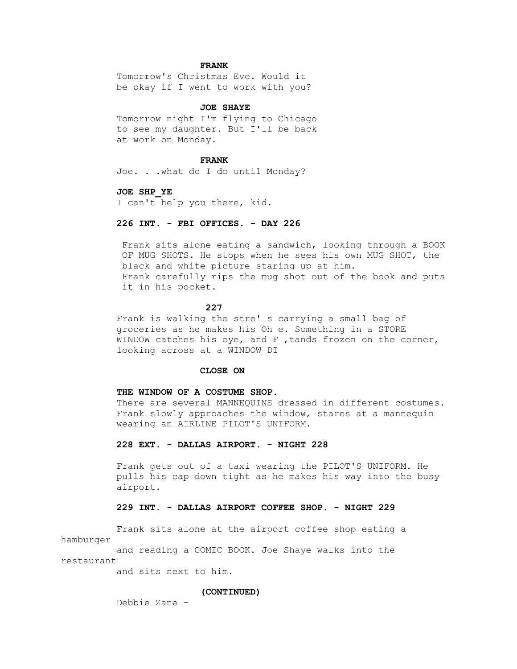### **FRANK**

 Tomorrow's Christmas Eve. Would it be okay if I went to work with you?

## **JOE SHAYE**

 Tomorrow night I'm flying to Chicago to see my daughter. But I'll be back at work on Monday.

#### **FRANK**

Joe. . .what do I do until Monday?

#### **JOE SHP\_YE**

I can't help you there, kid.

## **226 INT. - FBI OFFICES. - DAY 226**

 Frank sits alone eating a sandwich, looking through a BOOK OF MUG SHOTS. He stops when he sees his own MUG SHOT, the black and white picture staring up at him. Frank carefully rips the mug shot out of the book and puts it in his pocket.

## **227 227**

 Frank is walking the stre' s carrying a small bag of groceries as he makes his Oh e. Something in a STORE WINDOW catches his eye, and F, tands frozen on the corner, looking across at a WINDOW DI

### **CLOSE ON**

#### **THE WINDOW OF A COSTUME SHOP.**

 There are several MANNEQUINS dressed in different costumes. Frank slowly approaches the window, stares at a mannequin wearing an AIRLINE PILOT'S UNIFORM.

### **228 EXT. - DALLAS AIRPORT. - NIGHT 228**

 Frank gets out of a taxi wearing the PILOT'S UNIFORM. He pulls his cap down tight as he makes his way into the busy airport.

### **229 INT. - DALLAS AIRPORT COFFEE SHOP. - NIGHT 229**

 Frank sits alone at the airport coffee shop eating a hamburger

 and reading a COMIC BOOK. Joe Shaye walks into the restaurant

and sits next to him.

#### **(CONTINUED)**

Debbie Zane -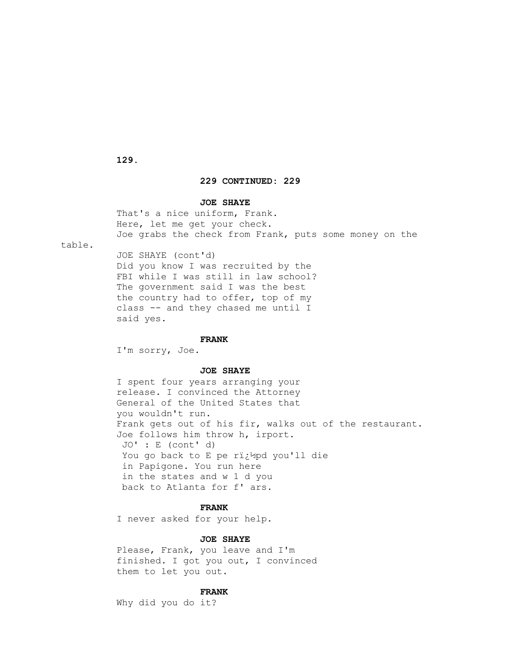**129.**

## **229 CONTINUED: 229**

### **JOE SHAYE**

 That's a nice uniform, Frank. Here, let me get your check. Joe grabs the check from Frank, puts some money on the

table.

 JOE SHAYE (cont'd) Did you know I was recruited by the FBI while I was still in law school? The government said I was the best the country had to offer, top of my class -- and they chased me until I said yes.

#### **FRANK**

I'm sorry, Joe.

### **JOE SHAYE**

 I spent four years arranging your release. I convinced the Attorney General of the United States that you wouldn't run. Frank gets out of his fir, walks out of the restaurant. Joe follows him throw h, irport. JO' : E (cont' d) You go back to E pe rï¿1/2pd you'll die in Papigone. You run here in the states and w 1 d you back to Atlanta for f' ars.

### **FRANK**

I never asked for your help.

## **JOE SHAYE**

 Please, Frank, you leave and I'm finished. I got you out, I convinced them to let you out.

## **FRANK**

Why did you do it?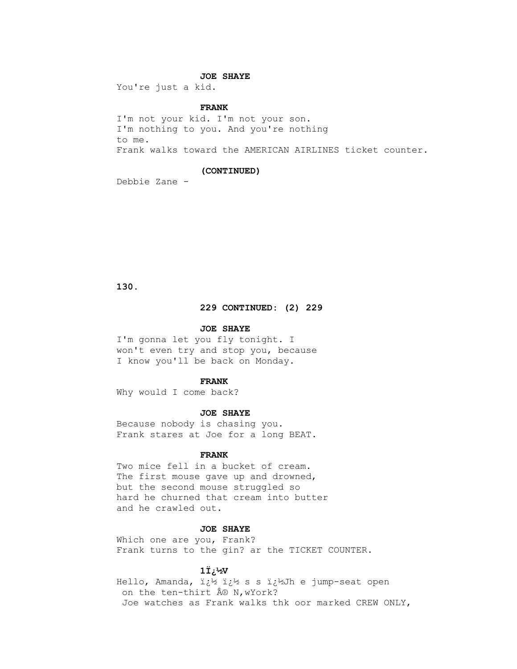## **JOE SHAYE**

You're just a kid.

## **FRANK**

 I'm not your kid. I'm not your son. I'm nothing to you. And you're nothing to me. Frank walks toward the AMERICAN AIRLINES ticket counter.

#### **(CONTINUED)**

Debbie Zane -

 **130.**

## **229 CONTINUED: (2) 229**

#### **JOE SHAYE**

 I'm gonna let you fly tonight. I won't even try and stop you, because I know you'll be back on Monday.

#### **FRANK**

Why would I come back?

#### **JOE SHAYE**

 Because nobody is chasing you. Frank stares at Joe for a long BEAT.

### **FRANK**

 Two mice fell in a bucket of cream. The first mouse gave up and drowned, but the second mouse struggled so hard he churned that cream into butter and he crawled out.

## **JOE SHAYE**

 Which one are you, Frank? Frank turns to the gin? ar the TICKET COUNTER.

#### **1Ï¿½V**

Hello, Amanda,  $\ddot{i}\dot{\xi}^{1/2}$  i $\dot{\xi}^{1/2}$  s s  $\ddot{i}\dot{\xi}^{1/2}$ Jh e jump-seat open on the ten-thirt ® N, wYork? Joe watches as Frank walks thk oor marked CREW ONLY,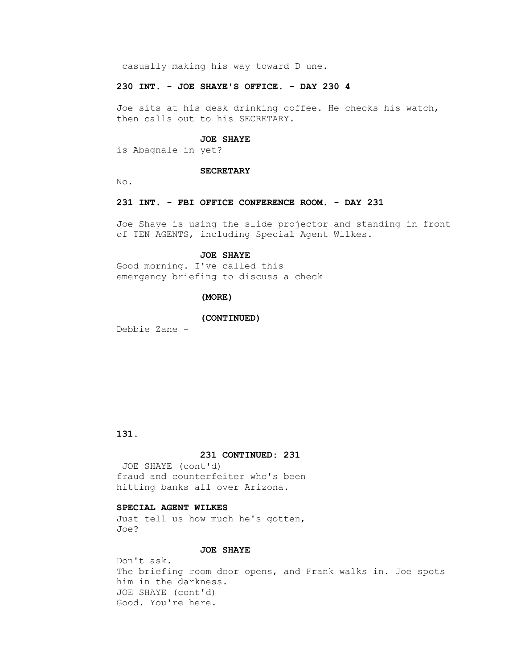casually making his way toward D une.

### **230 INT. - JOE SHAYE'S OFFICE. - DAY 230 4**

 Joe sits at his desk drinking coffee. He checks his watch, then calls out to his SECRETARY.

### **JOE SHAYE**

is Abagnale in yet?

#### **SECRETARY**

No.

## **231 INT. - FBI OFFICE CONFERENCE ROOM. - DAY 231**

 Joe Shaye is using the slide projector and standing in front of TEN AGENTS, including Special Agent Wilkes.

#### **JOE SHAYE**

 Good morning. I've called this emergency briefing to discuss a check

## **(MORE)**

#### **(CONTINUED)**

Debbie Zane -

## **131.**

## **231 CONTINUED: 231**

 JOE SHAYE (cont'd) fraud and counterfeiter who's been hitting banks all over Arizona.

## **SPECIAL AGENT WILKES**

 Just tell us how much he's gotten, Joe?

## **JOE SHAYE**

 Don't ask. The briefing room door opens, and Frank walks in. Joe spots him in the darkness. JOE SHAYE (cont'd) Good. You're here.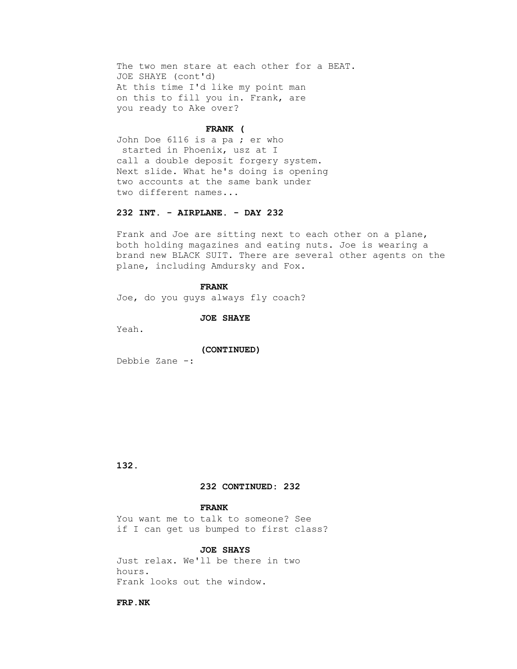The two men stare at each other for a BEAT. JOE SHAYE (cont'd) At this time I'd like my point man on this to fill you in. Frank, are you ready to Ake over?

#### **FRANK (**

 John Doe 6116 is a pa ; er who started in Phoenix, usz at I call a double deposit forgery system. Next slide. What he's doing is opening two accounts at the same bank under two different names...

## **232 INT. - AIRPLANE. - DAY 232**

 Frank and Joe are sitting next to each other on a plane, both holding magazines and eating nuts. Joe is wearing a brand new BLACK SUIT. There are several other agents on the plane, including Amdursky and Fox.

#### **FRANK**

Joe, do you guys always fly coach?

 **JOE SHAYE**

Yeah.

#### **(CONTINUED)**

Debbie Zane -:

 **132.**

## **232 CONTINUED: 232**

## **FRANK**

 You want me to talk to someone? See if I can get us bumped to first class?

#### **JOE SHAYS**

 Just relax. We'll be there in two hours. Frank looks out the window.

 **FRP.NK**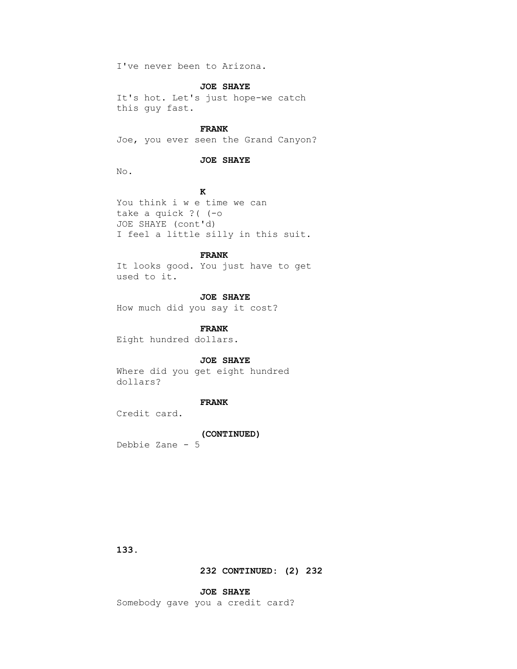I've never been to Arizona.

### **JOE SHAYE**

 It's hot. Let's just hope-we catch this guy fast.

## **FRANK**

Joe, you ever seen the Grand Canyon?

## **JOE SHAYE**

No.

## *K*

 You think i w e time we can take a quick ?( (-o JOE SHAYE (cont'd) I feel a little silly in this suit.

## **FRANK**

 It looks good. You just have to get used to it.

## **JOE SHAYE**

How much did you say it cost?

## **FRANK**

Eight hundred dollars.

### **JOE SHAYE**

 Where did you get eight hundred dollars?

# **FRANK**

Credit card.

### **(CONTINUED)**

Debbie Zane - 5

 **133.**

## **232 CONTINUED: (2) 232**

## **JOE SHAYE**

Somebody gave you a credit card?